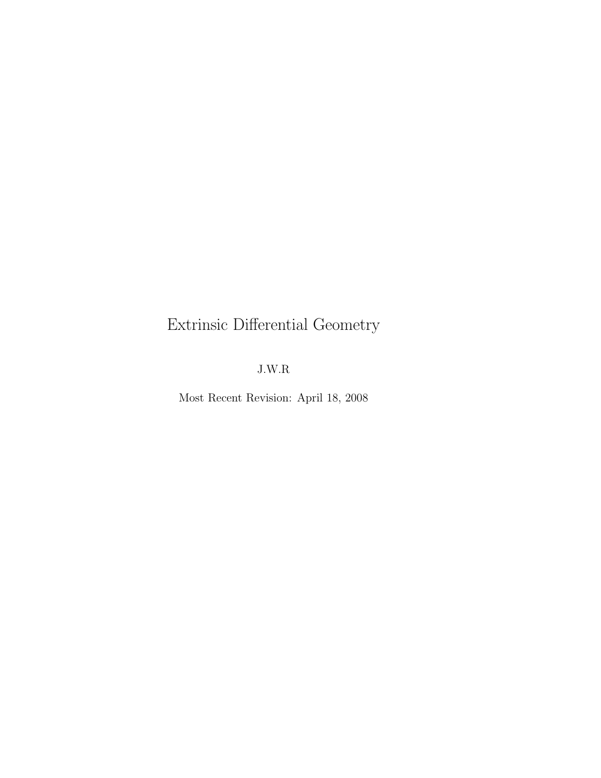# Extrinsic Differential Geometry

# J.W.R

Most Recent Revision: April 18, 2008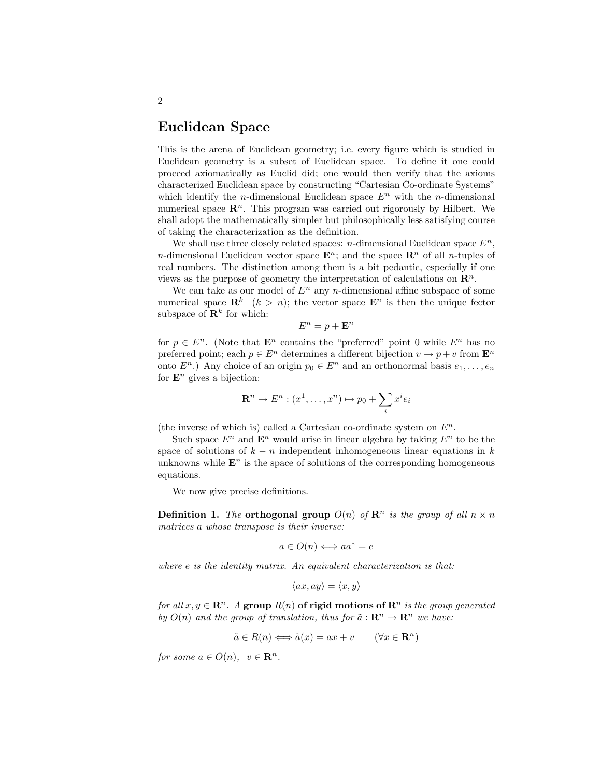#### Euclidean Space

This is the arena of Euclidean geometry; i.e. every figure which is studied in Euclidean geometry is a subset of Euclidean space. To define it one could proceed axiomatically as Euclid did; one would then verify that the axioms characterized Euclidean space by constructing "Cartesian Co-ordinate Systems" which identify the *n*-dimensional Euclidean space  $E<sup>n</sup>$  with the *n*-dimensional numerical space  $\mathbb{R}^n$ . This program was carried out rigorously by Hilbert. We shall adopt the mathematically simpler but philosophically less satisfying course of taking the characterization as the definition.

We shall use three closely related spaces: n-dimensional Euclidean space  $E^n$ . *n*-dimensional Euclidean vector space  $\mathbf{E}^n$ ; and the space  $\mathbf{R}^n$  of all *n*-tuples of real numbers. The distinction among them is a bit pedantic, especially if one views as the purpose of geometry the interpretation of calculations on  $\mathbb{R}^n$ .

We can take as our model of  $E<sup>n</sup>$  any n-dimensional affine subspace of some numerical space  $\mathbf{R}^k$   $(k > n)$ ; the vector space  $\mathbf{E}^n$  is then the unique fector subspace of  $\mathbf{R}^k$  for which:

$$
E^n = p + \mathbf{E}^n
$$

for  $p \in E<sup>n</sup>$ . (Note that  $\mathbf{E}^n$  contains the "preferred" point 0 while  $E^n$  has no preferred point; each  $p \in E^n$  determines a different bijection  $v \to p+v$  from  $\mathbf{E}^n$ onto  $E^n$ .) Any choice of an origin  $p_0 \in E^n$  and an orthonormal basis  $e_1, \ldots, e_n$ for  $\mathbf{E}^n$  gives a bijection:

$$
\mathbf{R}^n \to E^n : (x^1, \dots, x^n) \mapsto p_0 + \sum_i x^i e_i
$$

(the inverse of which is) called a Cartesian co-ordinate system on  $E^n$ .

Such space  $E^n$  and  $\mathbf{E}^n$  would arise in linear algebra by taking  $E^n$  to be the space of solutions of  $k - n$  independent inhomogeneous linear equations in k unknowns while  $\mathbf{E}^n$  is the space of solutions of the corresponding homogeneous equations.

We now give precise definitions.

**Definition 1.** The **orthogonal group**  $O(n)$  of  $\mathbb{R}^n$  is the group of all  $n \times n$ matrices a whose transpose is their inverse:

$$
a \in O(n) \Longleftrightarrow aa^* = e
$$

where e is the identity matrix. An equivalent characterization is that:

$$
\langle ax, ay \rangle = \langle x, y \rangle
$$

for all  $x, y \in \mathbb{R}^n$ . A group  $R(n)$  of rigid motions of  $\mathbb{R}^n$  is the group generated by  $O(n)$  and the group of translation, thus for  $\tilde{a}: \mathbb{R}^n \to \mathbb{R}^n$  we have:

$$
\tilde{a} \in R(n) \Longleftrightarrow \tilde{a}(x) = ax + v \qquad (\forall x \in \mathbf{R}^n)
$$

for some  $a \in O(n)$ ,  $v \in \mathbb{R}^n$ .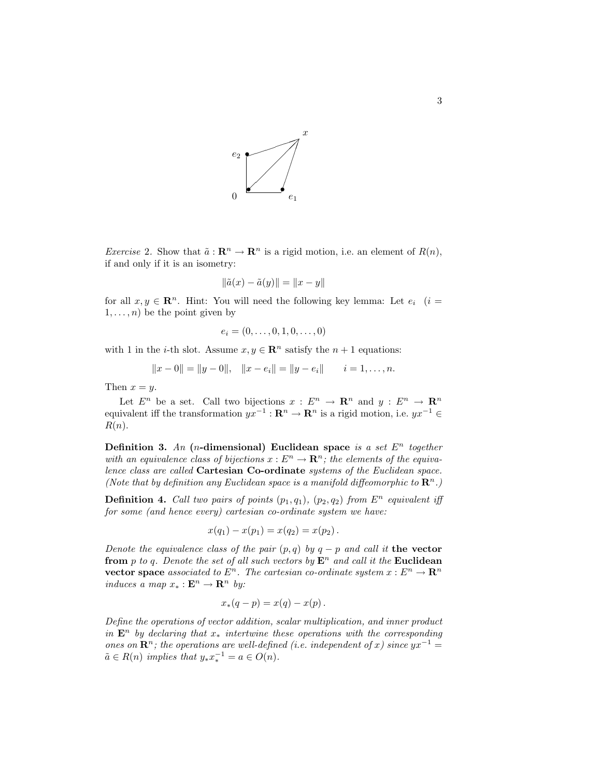

*Exercise* 2. Show that  $\tilde{a} : \mathbf{R}^n \to \mathbf{R}^n$  is a rigid motion, i.e. an element of  $R(n)$ , if and only if it is an isometry:

$$
\|\tilde{a}(x) - \tilde{a}(y)\| = \|x - y\|
$$

for all  $x, y \in \mathbb{R}^n$ . Hint: You will need the following key lemma: Let  $e_i$  (i =  $1, \ldots, n$ ) be the point given by

$$
e_i = (0, \ldots, 0, 1, 0, \ldots, 0)
$$

with 1 in the *i*-th slot. Assume  $x, y \in \mathbb{R}^n$  satisfy the  $n + 1$  equations:

$$
||x-0|| = ||y-0||, \quad ||x-e_i|| = ||y-e_i|| \qquad i=1,\ldots,n.
$$

Then  $x = y$ .

Let  $E^n$  be a set. Call two bijections  $x : E^n \to \mathbb{R}^n$  and  $y : E^n \to \mathbb{R}^n$ equivalent iff the transformation  $yx^{-1}: \mathbf{R}^n \to \mathbf{R}^n$  is a rigid motion, i.e.  $yx^{-1} \in$  $R(n)$ .

Definition 3. An (*n*-dimensional) Euclidean space is a set  $E<sup>n</sup>$  together with an equivalence class of bijections  $x : E^n \to \mathbf{R}^n$ ; the elements of the equivalence class are called Cartesian Co-ordinate systems of the Euclidean space. (Note that by definition any Euclidean space is a manifold diffeomorphic to  $\mathbb{R}^n$ .)

**Definition 4.** Call two pairs of points  $(p_1, q_1)$ ,  $(p_2, q_2)$  from  $E^n$  equivalent iff for some (and hence every) cartesian co-ordinate system we have:

$$
x(q_1) - x(p_1) = x(q_2) = x(p_2).
$$

Denote the equivalence class of the pair  $(p, q)$  by  $q - p$  and call it the vector from p to q. Denote the set of all such vectors by  $E^n$  and call it the Euclidean vector space associated to  $E^n$ . The cartesian co-ordinate system  $x : E^n \to \mathbb{R}^n$ induces a map  $x_* : \mathbf{E}^n \to \mathbf{R}^n$  by:

$$
x_*(q-p) = x(q) - x(p) .
$$

Define the operations of vector addition, scalar multiplication, and inner product in  $\mathbf{E}^n$  by declaring that  $x_*$  intertwine these operations with the corresponding ones on  $\mathbb{R}^n$ ; the operations are well-defined (i.e. independent of x) since  $yx^{-1} =$  $\tilde{a} \in R(n)$  implies that  $y_* x_*^{-1} = a \in O(n)$ .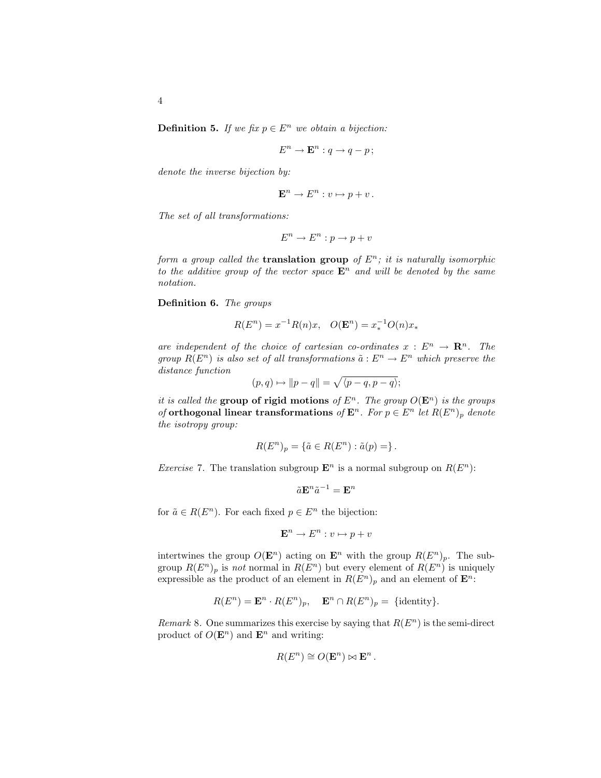**Definition 5.** If we fix  $p \in E^n$  we obtain a bijection:

$$
E^n \to \mathbf{E}^n : q \to q - p;
$$

denote the inverse bijection by:

$$
\mathbf{E}^n \to E^n : v \mapsto p + v \, .
$$

The set of all transformations:

$$
E^n \to E^n : p \to p + v
$$

form a group called the **translation group** of  $E^n$ ; it is naturally isomorphic to the additive group of the vector space  $\mathbf{E}^n$  and will be denoted by the same notation.

Definition 6. The groups

$$
R(E^n) = x^{-1}R(n)x, \quad O(\mathbf{E}^n) = x_*^{-1}O(n)x_*
$$

are independent of the choice of cartesian co-ordinates  $x : E^n \to \mathbb{R}^n$ . The group  $R(E^n)$  is also set of all transformations  $\tilde{a}: E^n \to E^n$  which preserve the distance function

$$
(p,q) \mapsto ||p-q|| = \sqrt{\langle p-q, p-q \rangle};
$$

it is called the group of rigid motions of  $E^n$ . The group  $O(E^n)$  is the groups of orthogonal linear transformations of  $\mathbf{E}^n$ . For  $p \in E^n$  let  $R(E^n)_p$  denote the isotropy group:

$$
R(E^n)_p = \{ \tilde{a} \in R(E^n) : \tilde{a}(p) = \}.
$$

*Exercise* 7. The translation subgroup  $\mathbf{E}^n$  is a normal subgroup on  $R(E^n)$ :

$$
\tilde{a}\mathbf{E}^n\tilde{a}^{-1}=\mathbf{E}^n
$$

for  $\tilde{a} \in R(E^n)$ . For each fixed  $p \in E^n$  the bijection:

$$
\mathbf{E}^n \to E^n : v \mapsto p + v
$$

intertwines the group  $O(\mathbf{E}^n)$  acting on  $\mathbf{E}^n$  with the group  $R(E^n)_p$ . The subgroup  $R(E^n)_p$  is not normal in  $R(E^n)$  but every element of  $R(E^n)$  is uniquely expressible as the product of an element in  $R(E^n)_p$  and an element of  $\mathbf{E}^n$ :

$$
R(E^n) = \mathbf{E}^n \cdot R(E^n)_p, \quad \mathbf{E}^n \cap R(E^n)_p = {\text{identity}}.
$$

Remark 8. One summarizes this exercise by saying that  $R(E^n)$  is the semi-direct product of  $O(\mathbf{E}^n)$  and  $\mathbf{E}^n$  and writing:

$$
R(E^n) \cong O(\mathbf{E}^n) \bowtie \mathbf{E}^n.
$$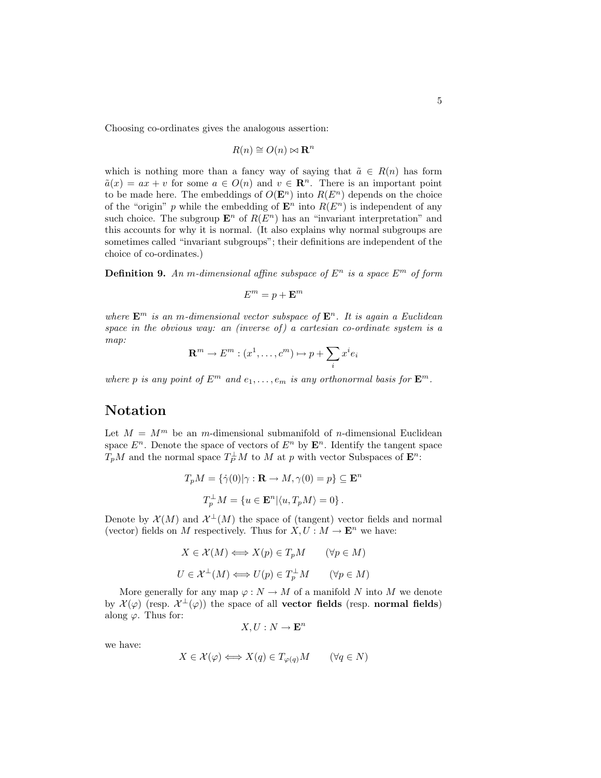Choosing co-ordinates gives the analogous assertion:

$$
R(n) \cong O(n) \bowtie \mathbf{R}^n
$$

which is nothing more than a fancy way of saying that  $\tilde{a} \in R(n)$  has form  $\tilde{a}(x) = ax + v$  for some  $a \in O(n)$  and  $v \in \mathbb{R}^n$ . There is an important point to be made here. The embeddings of  $O(\mathbf{E}^n)$  into  $R(E^n)$  depends on the choice of the "origin" p while the embedding of  $\mathbf{E}^n$  into  $R(E^n)$  is independent of any such choice. The subgroup  $\mathbf{E}^n$  of  $R(E^n)$  has an "invariant interpretation" and this accounts for why it is normal. (It also explains why normal subgroups are sometimes called "invariant subgroups"; their definitions are independent of the choice of co-ordinates.)

**Definition 9.** An m-dimensional affine subspace of  $E^n$  is a space  $E^m$  of form

$$
E^m=p+\mathbf{E}^m
$$

where  $\mathbf{E}^m$  is an m-dimensional vector subspace of  $\mathbf{E}^n$ . It is again a Euclidean space in the obvious way: an (inverse of) a cartesian co-ordinate system is a map:

$$
\mathbf{R}^m \to E^m : (x^1, \dots, c^m) \mapsto p + \sum_i x^i e_i
$$

where p is any point of  $E^m$  and  $e_1, \ldots, e_m$  is any orthonormal basis for  $E^m$ .

#### Notation

Let  $M = M<sup>m</sup>$  be an *m*-dimensional submanifold of *n*-dimensional Euclidean space  $E^n$ . Denote the space of vectors of  $E^n$  by  $\mathbf{E}^n$ . Identify the tangent space  $T_pM$  and the normal space  $T_P^{\perp}M$  to M at p with vector Subspaces of  $\mathbf{E}^n$ :

$$
T_p M = \{ \dot{\gamma}(0) | \gamma : \mathbf{R} \to M, \gamma(0) = p \} \subseteq \mathbf{E}^n
$$
  

$$
T_p^{\perp} M = \{ u \in \mathbf{E}^n | \langle u, T_p M \rangle = 0 \}.
$$

Denote by  $\mathcal{X}(M)$  and  $\mathcal{X}^{\perp}(M)$  the space of (tangent) vector fields and normal (vector) fields on M respectively. Thus for  $X, U : M \to \mathbf{E}^n$  we have:

$$
X \in \mathcal{X}(M) \Longleftrightarrow X(p) \in T_p M \qquad (\forall p \in M)
$$
  

$$
U \in \mathcal{X}^{\perp}(M) \Longleftrightarrow U(p) \in T_p^{\perp} M \qquad (\forall p \in M)
$$

More generally for any map  $\varphi : N \to M$  of a manifold N into M we denote by  $\mathcal{X}(\varphi)$  (resp.  $\mathcal{X}^{\perp}(\varphi)$ ) the space of all **vector fields** (resp. **normal fields**) along  $\varphi$ . Thus for:

$$
X, U: N \to \mathbf{E}^n
$$

we have:

$$
X \in \mathcal{X}(\varphi) \Longleftrightarrow X(q) \in T_{\varphi(q)}M \qquad (\forall q \in N)
$$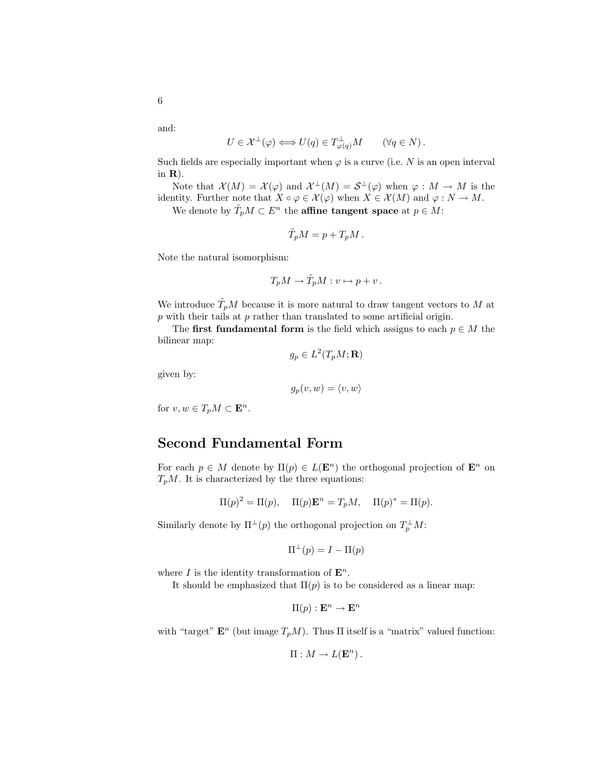and:

$$
U \in \mathcal{X}^{\perp}(\varphi) \Longleftrightarrow U(q) \in T^{\perp}_{\varphi(q)}M \qquad (\forall q \in N).
$$

Such fields are especially important when  $\varphi$  is a curve (i.e. N is an open interval in R).

Note that  $\mathcal{X}(M) = \mathcal{X}(\varphi)$  and  $\mathcal{X}^{\perp}(M) = \mathcal{S}^{\perp}(\varphi)$  when  $\varphi : M \to M$  is the identity. Further note that  $X \circ \varphi \in \mathcal{X}(\varphi)$  when  $X \in \mathcal{X}(M)$  and  $\varphi : N \to M$ .

We denote by  $\tilde{T}_p M \subset E^n$  the **affine tangent space** at  $p \in M$ :

$$
\tilde{T}_p M = p + T_p M \, .
$$

Note the natural isomorphism:

$$
T_p M \to \tilde{T}_p M : v \mapsto p + v \, .
$$

We introduce  $\tilde{T}_pM$  because it is more natural to draw tangent vectors to M at  $p$  with their tails at  $p$  rather than translated to some artificial origin.

The first fundamental form is the field which assigns to each  $p \in M$  the bilinear map:

$$
g_p\in L^2(T_pM;\mathbf{R})
$$

given by:

$$
g_p(v, w) = \langle v, w \rangle
$$

for  $v, w \in T_pM \subset \mathbf{E}^n$ .

## Second Fundamental Form

For each  $p \in M$  denote by  $\Pi(p) \in L(\mathbf{E}^n)$  the orthogonal projection of  $\mathbf{E}^n$  on  $T_pM$ . It is characterized by the three equations:

$$
\Pi(p)^2 = \Pi(p), \quad \Pi(p)\mathbf{E}^n = T_pM, \quad \Pi(p)^* = \Pi(p).
$$

Similarly denote by  $\Pi^{\perp}(p)$  the orthogonal projection on  $T_p^{\perp}M$ :

$$
\Pi^{\perp}(p) = I - \Pi(p)
$$

where I is the identity transformation of  $\mathbf{E}^n$ .

It should be emphasized that  $\Pi(p)$  is to be considered as a linear map:

$$
\Pi(p): \mathbf{E}^n \to \mathbf{E}^n
$$

with "target"  $\mathbf{E}^n$  (but image  $T_pM$ ). Thus  $\Pi$  itself is a "matrix" valued function:

$$
\Pi : M \to L(\mathbf{E}^n) \, .
$$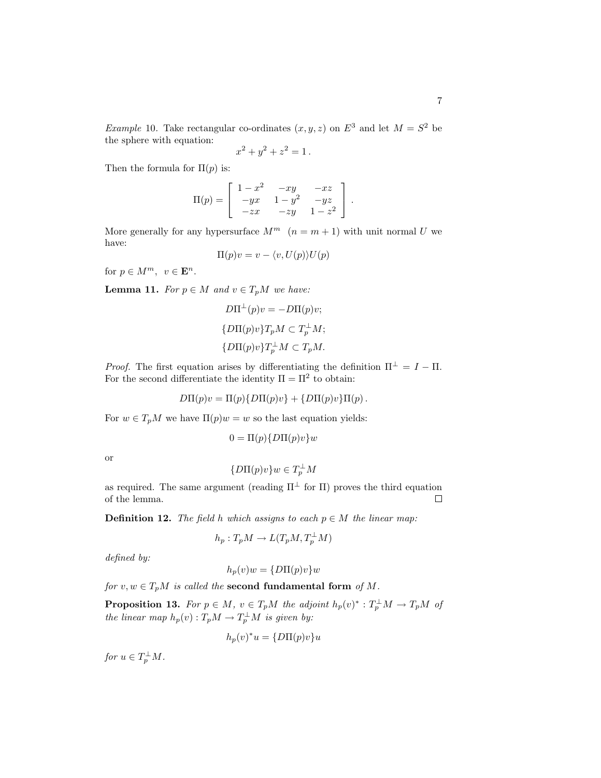*Example* 10. Take rectangular co-ordinates  $(x, y, z)$  on  $E^3$  and let  $M = S^2$  be the sphere with equation:

$$
x^2 + y^2 + z^2 = 1.
$$

Then the formula for  $\Pi(p)$  is:

$$
\Pi(p) = \begin{bmatrix} 1 - x^2 & -xy & -xz \\ -yx & 1 - y^2 & -yz \\ -zx & -zy & 1 - z^2 \end{bmatrix}.
$$

More generally for any hypersurface  $M^m$   $(n = m + 1)$  with unit normal U we have:

$$
\Pi(p)v = v - \langle v, U(p) \rangle U(p)
$$

for  $p \in M^m$ ,  $v \in \mathbf{E}^n$ .

**Lemma 11.** For  $p \in M$  and  $v \in T_pM$  we have:

$$
D\Pi^{\perp}(p)v = -D\Pi(p)v;
$$
  
\n
$$
\{D\Pi(p)v\}T_pM \subset T_p^{\perp}M;
$$
  
\n
$$
\{D\Pi(p)v\}T_p^{\perp}M \subset T_pM.
$$

*Proof.* The first equation arises by differentiating the definition  $\Pi^{\perp} = I - \Pi$ . For the second differentiate the identity  $\Pi = \Pi^2$  to obtain:

$$
D\Pi(p)v = \Pi(p)\{D\Pi(p)v\} + \{D\Pi(p)v\}\Pi(p).
$$

For  $w \in T_pM$  we have  $\Pi(p)w = w$  so the last equation yields:

$$
0 = \Pi(p) \{D\Pi(p)v\}u
$$

or

$$
\{D\Pi(p)v\}w\in T_p^\perp M
$$

as required. The same argument (reading  $\Pi^{\perp}$  for  $\Pi$ ) proves the third equation  $\Box$ of the lemma.

**Definition 12.** The field h which assigns to each  $p \in M$  the linear map:

$$
h_p: T_pM \to L(T_pM, T_p^{\perp}M)
$$

defined by:

$$
h_p(v)w = \{D\Pi(p)v\}w
$$

for  $v, w \in T_pM$  is called the second fundamental form of M.

**Proposition 13.** For  $p \in M$ ,  $v \in T_pM$  the adjoint  $h_p(v)^* : T_p^{\perp}M \to T_pM$  of the linear map  $h_p(v) : T_pM \to T_p^{\perp}M$  is given by:

$$
h_p(v)^*u = \{D\Pi(p)v\}u
$$

for  $u \in T_p^{\perp} M$ .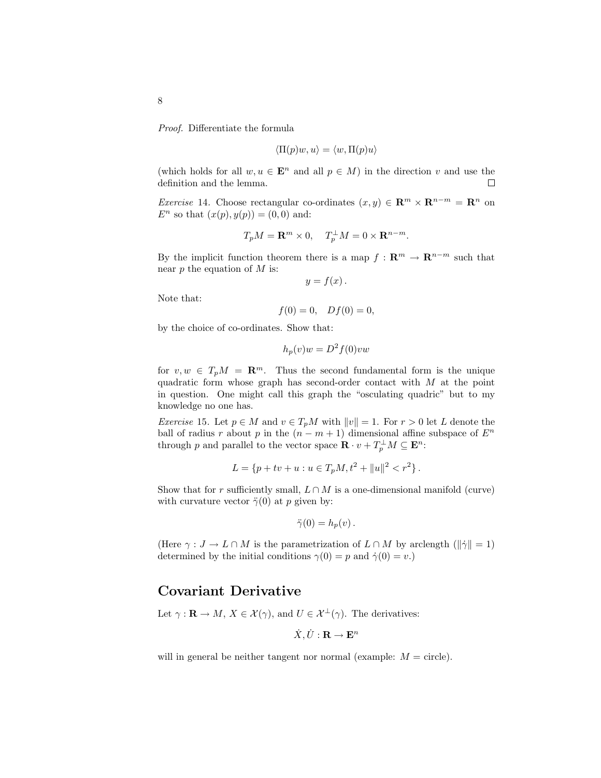Proof. Differentiate the formula

$$
\langle \Pi(p)w, u \rangle = \langle w, \Pi(p)u \rangle
$$

(which holds for all  $w, u \in \mathbf{E}^n$  and all  $p \in M$ ) in the direction v and use the definition and the lemma.  $\Box$ 

Exercise 14. Choose rectangular co-ordinates  $(x, y) \in \mathbb{R}^m \times \mathbb{R}^{n-m} = \mathbb{R}^n$  on  $E^n$  so that  $(x(p), y(p)) = (0, 0)$  and:

$$
T_pM = \mathbf{R}^m \times 0, \quad T_p^{\perp}M = 0 \times \mathbf{R}^{n-m}.
$$

By the implicit function theorem there is a map  $f : \mathbb{R}^m \to \mathbb{R}^{n-m}$  such that near  $p$  the equation of  $M$  is:

$$
y = f(x).
$$

Note that:

$$
f(0) = 0
$$
,  $Df(0) = 0$ ,

by the choice of co-ordinates. Show that:

$$
h_p(v)w = D^2 f(0)vw
$$

for  $v, w \in T_pM = \mathbb{R}^m$ . Thus the second fundamental form is the unique quadratic form whose graph has second-order contact with  $M$  at the point in question. One might call this graph the "osculating quadric" but to my knowledge no one has.

*Exercise* 15. Let  $p \in M$  and  $v \in T_pM$  with  $||v|| = 1$ . For  $r > 0$  let L denote the ball of radius r about p in the  $(n - m + 1)$  dimensional affine subspace of  $E<sup>n</sup>$ through p and parallel to the vector space  $\mathbf{R} \cdot v + T_p^{\perp} M \subseteq \mathbf{E}^n$ :

$$
L = \{ p + tv + u : u \in T_pM, t^2 + ||u||^2 < r^2 \}.
$$

Show that for r sufficiently small,  $L \cap M$  is a one-dimensional manifold (curve) with curvature vector  $\ddot{\gamma}(0)$  at p given by:

$$
\ddot{\gamma}(0) = h_p(v) \, .
$$

(Here  $\gamma : J \to L \cap M$  is the parametrization of  $L \cap M$  by arclength  $(\|\dot{\gamma}\| = 1)$ determined by the initial conditions  $\gamma(0) = p$  and  $\dot{\gamma}(0) = v$ .

#### Covariant Derivative

Let  $\gamma : \mathbf{R} \to M$ ,  $X \in \mathcal{X}(\gamma)$ , and  $U \in \mathcal{X}^{\perp}(\gamma)$ . The derivatives:

$$
\dot{X}, \dot{U}: \mathbf{R} \to \mathbf{E}^n
$$

will in general be neither tangent nor normal (example:  $M = \text{circle}$ ).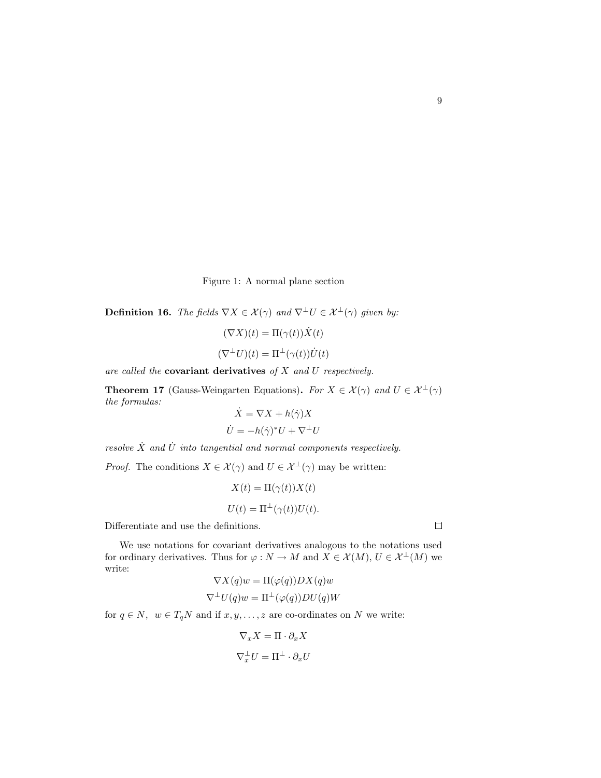Figure 1: A normal plane section

**Definition 16.** The fields  $\nabla X \in \mathcal{X}(\gamma)$  and  $\nabla^{\perp}U \in \mathcal{X}^{\perp}(\gamma)$  given by:

$$
(\nabla X)(t) = \Pi(\gamma(t))\dot{X}(t)
$$

$$
(\nabla^{\perp} U)(t) = \Pi^{\perp}(\gamma(t))\dot{U}(t)
$$

are called the **covariant derivatives** of  $X$  and  $U$  respectively.

**Theorem 17** (Gauss-Weingarten Equations). For  $X \in \mathcal{X}(\gamma)$  and  $U \in \mathcal{X}^{\perp}(\gamma)$ the formulas:  $\dot{V} = \nabla V + h(i) V$ 

$$
X = \nabla X + h(\gamma)X
$$

$$
\dot{U} = -h(\dot{\gamma})^* U + \nabla^{\perp} U
$$

resolve  $\dot{X}$  and  $\dot{U}$  into tangential and normal components respectively.

*Proof.* The conditions  $X \in \mathcal{X}(\gamma)$  and  $U \in \mathcal{X}^{\perp}(\gamma)$  may be written:

$$
X(t) = \Pi(\gamma(t))X(t)
$$

$$
U(t) = \Pi^{\perp}(\gamma(t))U(t).
$$

Differentiate and use the definitions.

We use notations for covariant derivatives analogous to the notations used for ordinary derivatives. Thus for  $\varphi : N \to M$  and  $X \in \mathcal{X}(M)$ ,  $U \in \mathcal{X}^{\perp}(M)$  we write:  $\blacktriangledown v \left( \begin{array}{cc} \searrow & \searrow \\ \searrow & \searrow & \searrow \\ \searrow & \searrow & \searrow \end{array}$ 

$$
\nabla X(q)w = \Pi(\varphi(q))DX(q)w
$$
  

$$
\nabla^{\perp}U(q)w = \Pi^{\perp}(\varphi(q))DU(q)W
$$

for  $q \in N$ ,  $w \in T_qN$  and if  $x, y, \ldots, z$  are co-ordinates on N we write:

$$
\nabla_x X = \Pi \cdot \partial_x X
$$

$$
\nabla_x^{\perp} U = \Pi^{\perp} \cdot \partial_x U
$$

 $\Box$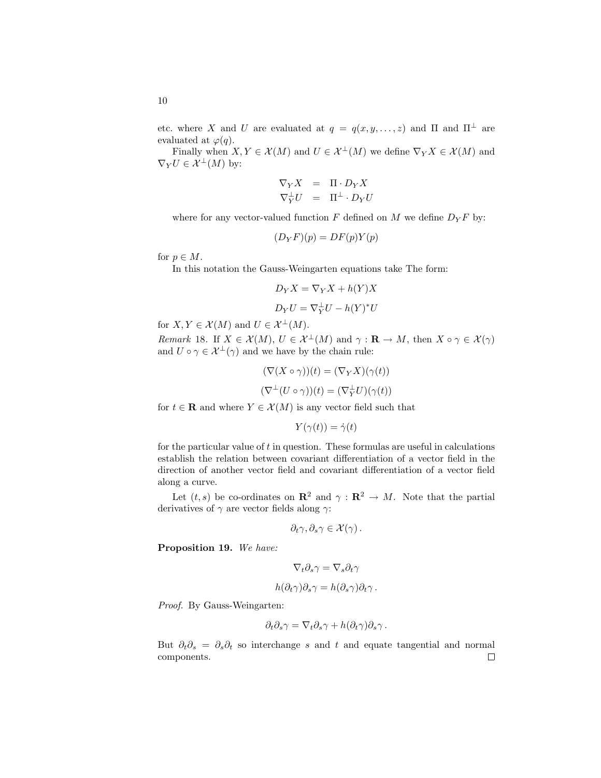etc. where X and U are evaluated at  $q = q(x, y, \ldots, z)$  and  $\Pi$  and  $\Pi^{\perp}$  are evaluated at  $\varphi(q)$ .

Finally when  $X, Y \in \mathcal{X}(M)$  and  $U \in \mathcal{X}^{\perp}(M)$  we define  $\nabla_Y X \in \mathcal{X}(M)$  and  $\nabla_Y U \in \mathcal{X}^{\perp}(M)$  by:

$$
\nabla_Y X = \Pi \cdot D_Y X \nabla_Y^{\perp} U = \Pi^{\perp} \cdot D_Y U
$$

where for any vector-valued function F defined on M we define  $D_Y F$  by:

$$
(D_YF)(p) = DF(p)Y(p)
$$

for  $p \in M$ .

10

In this notation the Gauss-Weingarten equations take The form:

$$
D_Y X = \nabla_Y X + h(Y)X
$$

$$
D_Y U = \nabla_Y^{\perp} U - h(Y)^* U
$$

for  $X, Y \in \mathcal{X}(M)$  and  $U \in \mathcal{X}^{\perp}(M)$ .

*Remark* 18. If  $X \in \mathcal{X}(M)$ ,  $U \in \mathcal{X}^{\perp}(M)$  and  $\gamma : \mathbf{R} \to M$ , then  $X \circ \gamma \in \mathcal{X}(\gamma)$ and  $U \circ \gamma \in \mathcal{X}^{\perp}(\gamma)$  and we have by the chain rule:

$$
(\nabla(X \circ \gamma))(t) = (\nabla_Y X)(\gamma(t))
$$

$$
(\nabla^{\perp}(U \circ \gamma))(t) = (\nabla_Y^{\perp}U)(\gamma(t))
$$

for  $t \in \mathbf{R}$  and where  $Y \in \mathcal{X}(M)$  is any vector field such that

$$
Y(\gamma(t)) = \dot{\gamma}(t)
$$

for the particular value of  $t$  in question. These formulas are useful in calculations establish the relation between covariant differentiation of a vector field in the direction of another vector field and covariant differentiation of a vector field along a curve.

Let  $(t, s)$  be co-ordinates on  $\mathbb{R}^2$  and  $\gamma : \mathbb{R}^2 \to M$ . Note that the partial derivatives of  $\gamma$  are vector fields along  $\gamma$ :

$$
\partial_t \gamma, \partial_s \gamma \in \mathcal{X}(\gamma).
$$

Proposition 19. We have:

$$
\nabla_t\partial_s\gamma=\nabla_s\partial_t\gamma
$$

$$
h(\partial_t \gamma)\partial_s \gamma = h(\partial_s \gamma)\partial_t \gamma.
$$

Proof. By Gauss-Weingarten:

$$
\partial_t \partial_s \gamma = \nabla_t \partial_s \gamma + h(\partial_t \gamma) \partial_s \gamma.
$$

But  $\partial_t \partial_s = \partial_s \partial_t$  so interchange s and t and equate tangential and normal components. $\Box$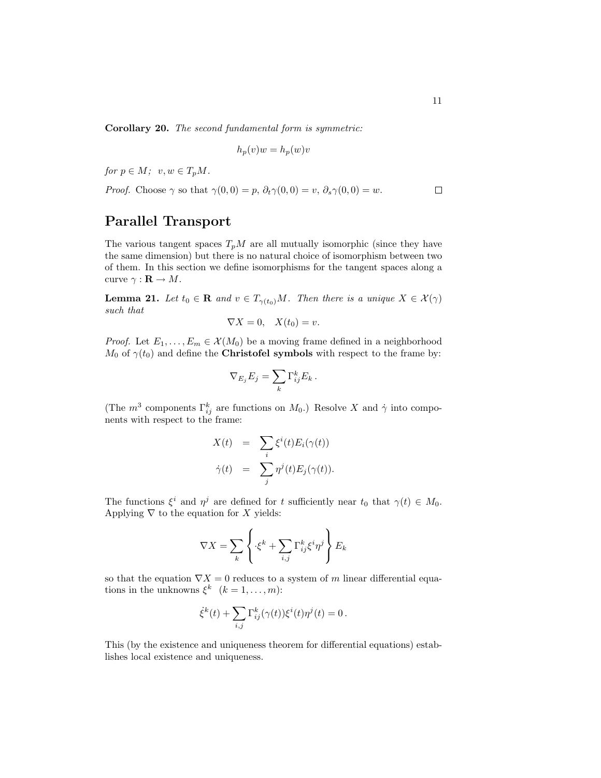Corollary 20. The second fundamental form is symmetric:

$$
h_p(v)w = h_p(w)v
$$

for  $p \in M$ ;  $v, w \in T_pM$ .

*Proof.* Choose 
$$
\gamma
$$
 so that  $\gamma(0,0) = p$ ,  $\partial_t \gamma(0,0) = v$ ,  $\partial_s \gamma(0,0) = w$ .

## Parallel Transport

The various tangent spaces  $T_pM$  are all mutually isomorphic (since they have the same dimension) but there is no natural choice of isomorphism between two of them. In this section we define isomorphisms for the tangent spaces along a curve  $\gamma : \mathbf{R} \to M$ .

**Lemma 21.** Let  $t_0 \in \mathbf{R}$  and  $v \in T_{\gamma(t_0)}M$ . Then there is a unique  $X \in \mathcal{X}(\gamma)$ such that

$$
\nabla X = 0, \quad X(t_0) = v.
$$

*Proof.* Let  $E_1, \ldots, E_m \in \mathcal{X}(M_0)$  be a moving frame defined in a neighborhood  $M_0$  of  $\gamma(t_0)$  and define the **Christofel symbols** with respect to the frame by:

$$
\nabla_{E_j} E_j = \sum_k \Gamma_{ij}^k E_k.
$$

(The  $m^3$  components  $\Gamma_{ij}^k$  are functions on  $M_0$ .) Resolve X and  $\dot{\gamma}$  into components with respect to the frame:

$$
X(t) = \sum_{i} \xi^{i}(t) E_{i}(\gamma(t))
$$
  

$$
\dot{\gamma}(t) = \sum_{j} \eta^{j}(t) E_{j}(\gamma(t)).
$$

The functions  $\xi^i$  and  $\eta^j$  are defined for t sufficiently near  $t_0$  that  $\gamma(t) \in M_0$ . Applying  $\nabla$  to the equation for X yields:

$$
\nabla X = \sum_{k} \left\{ \cdot \xi^{k} + \sum_{i,j} \Gamma_{ij}^{k} \xi^{i} \eta^{j} \right\} E_{k}
$$

so that the equation  $\nabla X = 0$  reduces to a system of m linear differential equations in the unknowns  $\xi^k$   $(k = 1, ..., m)$ :

$$
\dot{\xi}^k(t) + \sum_{i,j} \Gamma^k_{ij}(\gamma(t)) \xi^i(t) \eta^j(t) = 0.
$$

This (by the existence and uniqueness theorem for differential equations) establishes local existence and uniqueness.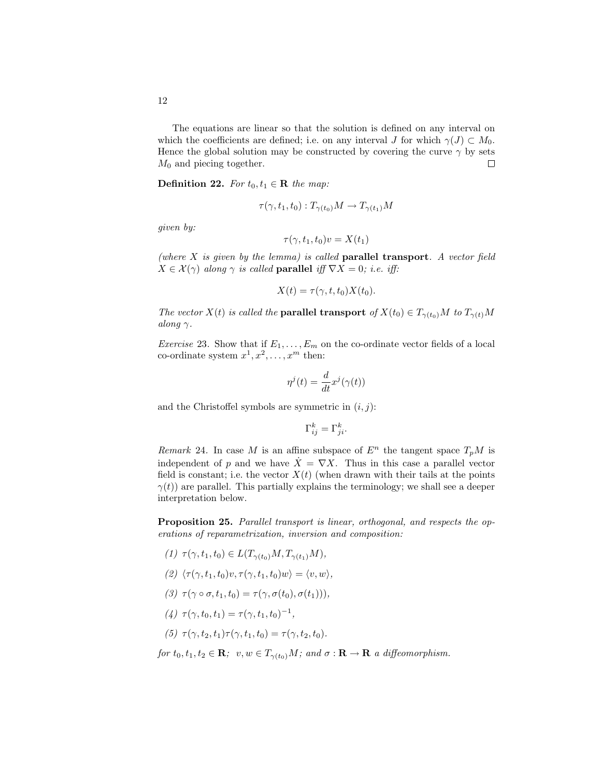The equations are linear so that the solution is defined on any interval on which the coefficients are defined; i.e. on any interval J for which  $\gamma(J) \subset M_0$ . Hence the global solution may be constructed by covering the curve  $\gamma$  by sets  $M_0$  and piecing together.  $\Box$ 

**Definition 22.** For  $t_0, t_1 \in \mathbf{R}$  the map:

$$
\tau(\gamma, t_1, t_0) : T_{\gamma(t_0)}M \to T_{\gamma(t_1)}M
$$

given by:

$$
\tau(\gamma, t_1, t_0)v = X(t_1)
$$

(where  $X$  is given by the lemma) is called **parallel transport**. A vector field  $X \in \mathcal{X}(\gamma)$  along  $\gamma$  is called **parallel** iff  $\nabla X = 0$ ; i.e. iff:

$$
X(t) = \tau(\gamma, t, t_0) X(t_0).
$$

The vector  $X(t)$  is called the **parallel transport** of  $X(t_0) \in T_{\gamma(t_0)}M$  to  $T_{\gamma(t)}M$ along  $\gamma$ .

*Exercise* 23. Show that if  $E_1, \ldots, E_m$  on the co-ordinate vector fields of a local co-ordinate system  $x^1, x^2, \ldots, x^m$  then:

$$
\eta^j(t) = \frac{d}{dt} x^j(\gamma(t))
$$

and the Christoffel symbols are symmetric in  $(i, j)$ :

$$
\Gamma_{ij}^k = \Gamma_{ji}^k.
$$

Remark 24. In case M is an affine subspace of  $E<sup>n</sup>$  the tangent space  $T<sub>p</sub>M$  is independent of p and we have  $\dot{X} = \nabla X$ . Thus in this case a parallel vector field is constant; i.e. the vector  $X(t)$  (when drawn with their tails at the points  $\gamma(t)$  are parallel. This partially explains the terminology; we shall see a deeper interpretation below.

Proposition 25. Parallel transport is linear, orthogonal, and respects the operations of reparametrization, inversion and composition:

- (1)  $\tau(\gamma, t_1, t_0) \in L(T_{\gamma(t_0)}M, T_{\gamma(t_1)}M),$
- (2)  $\langle \tau (\gamma, t_1, t_0)v, \tau (\gamma, t_1, t_0)w \rangle = \langle v, w \rangle,$
- (3)  $\tau(\gamma \circ \sigma, t_1, t_0) = \tau(\gamma, \sigma(t_0), \sigma(t_1))),$
- (4)  $\tau(\gamma, t_0, t_1) = \tau(\gamma, t_1, t_0)^{-1}$ ,

(5) 
$$
\tau(\gamma, t_2, t_1) \tau(\gamma, t_1, t_0) = \tau(\gamma, t_2, t_0).
$$

for  $t_0, t_1, t_2 \in \mathbf{R}$ ;  $v, w \in T_{\gamma(t_0)}M$ ; and  $\sigma : \mathbf{R} \to \mathbf{R}$  a diffeomorphism.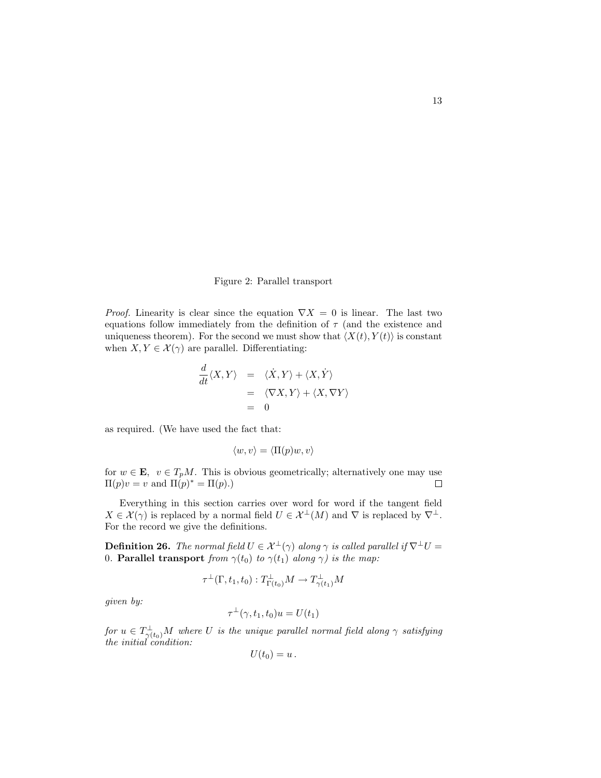Figure 2: Parallel transport

*Proof.* Linearity is clear since the equation  $\nabla X = 0$  is linear. The last two equations follow immediately from the definition of  $\tau$  (and the existence and uniqueness theorem). For the second we must show that  $\langle X(t), Y(t) \rangle$  is constant when  $X, Y \in \mathcal{X}(\gamma)$  are parallel. Differentiating:

$$
\frac{d}{dt}\langle X, Y \rangle = \langle \dot{X}, Y \rangle + \langle X, \dot{Y} \rangle \n= \langle \nabla X, Y \rangle + \langle X, \nabla Y \rangle \n= 0
$$

as required. (We have used the fact that:

$$
\langle w, v \rangle = \langle \Pi(p) w, v \rangle
$$

for  $w \in \mathbf{E}$ ,  $v \in T_pM$ . This is obvious geometrically; alternatively one may use  $\Pi(p)v = v$  and  $\Pi(p)^* = \Pi(p)$ .  $\Box$ 

Everything in this section carries over word for word if the tangent field  $X \in \mathcal{X}(\gamma)$  is replaced by a normal field  $U \in \mathcal{X}^{\perp}(M)$  and  $\nabla$  is replaced by  $\nabla^{\perp}$ . For the record we give the definitions.

**Definition 26.** The normal field  $U \in \mathcal{X}^{\perp}(\gamma)$  along  $\gamma$  is called parallel if  $\nabla^{\perp}U =$ 0. Parallel transport from  $\gamma(t_0)$  to  $\gamma(t_1)$  along  $\gamma$ ) is the map:

$$
\tau^{\perp}(\Gamma, t_1, t_0) : T^{\perp}_{\Gamma(t_0)}M \to T^{\perp}_{\gamma(t_1)}M
$$

given by:

$$
\tau^{\perp}(\gamma, t_1, t_0)u = U(t_1)
$$

 $\textit{for $u \in T^{\perp}_{\gamma(t_0)}M$ where $U$ is the unique parallel normal field along $\gamma$ satisfying}$ the initial condition:

$$
U(t_0)=u.
$$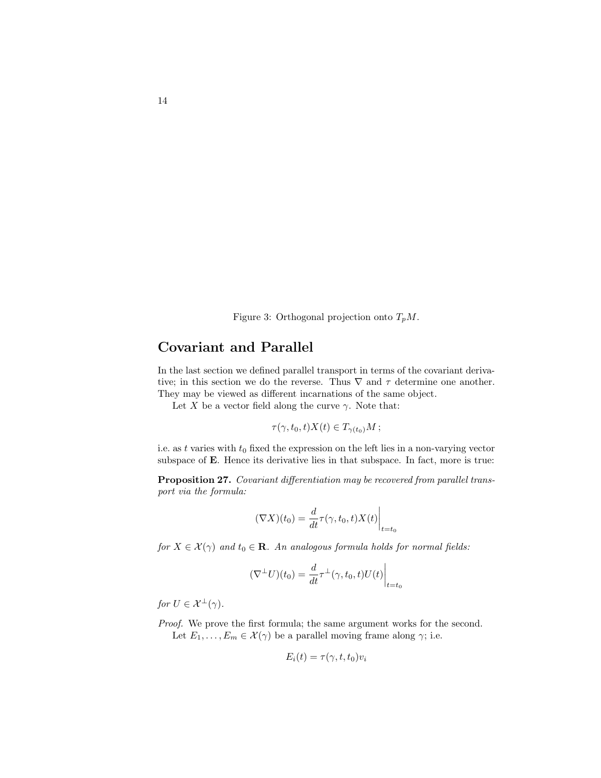Figure 3: Orthogonal projection onto  $T_pM$ .

# Covariant and Parallel

In the last section we defined parallel transport in terms of the covariant derivative; in this section we do the reverse. Thus  $\nabla$  and  $\tau$  determine one another. They may be viewed as different incarnations of the same object.

Let X be a vector field along the curve  $\gamma$ . Note that:

$$
\tau(\gamma, t_0, t)X(t) \in T_{\gamma(t_0)}M \, ;
$$

i.e. as t varies with  $t_0$  fixed the expression on the left lies in a non-varying vector subspace of **E**. Hence its derivative lies in that subspace. In fact, more is true:

Proposition 27. Covariant differentiation may be recovered from parallel transport via the formula:

$$
(\nabla X)(t_0) = \frac{d}{dt}\tau(\gamma, t_0, t)X(t)\Big|_{t=t_0}
$$

for  $X \in \mathcal{X}(\gamma)$  and  $t_0 \in \mathbf{R}$ . An analogous formula holds for normal fields:

$$
(\nabla^{\perp}U)(t_0) = \frac{d}{dt}\tau^{\perp}(\gamma, t_0, t)U(t)\Big|_{t=t_0}
$$

for  $U \in \mathcal{X}^{\perp}(\gamma)$ .

Proof. We prove the first formula; the same argument works for the second. Let  $E_1, \ldots, E_m \in \mathcal{X}(\gamma)$  be a parallel moving frame along  $\gamma$ ; i.e.

$$
E_i(t) = \tau(\gamma, t, t_0)v_i
$$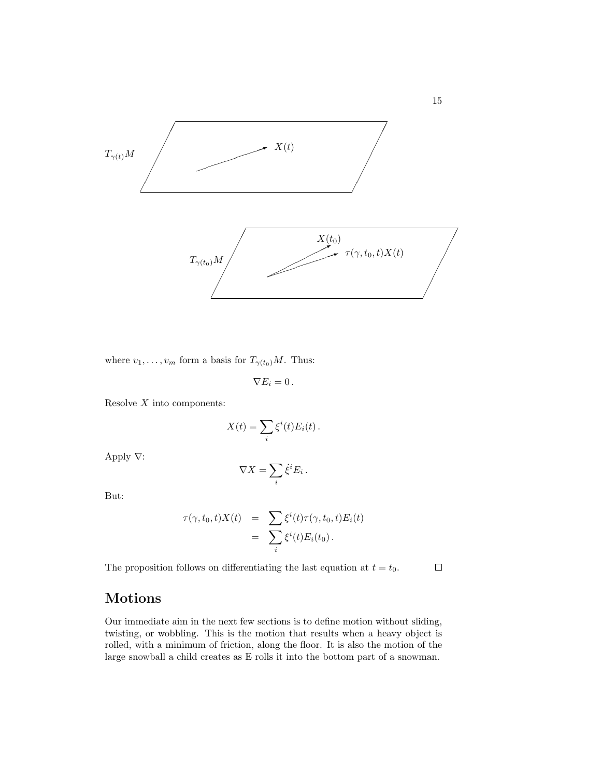

where  $v_1, \ldots, v_m$  form a basis for  $T_{\gamma(t_0)}M$ . Thus:

$$
\nabla E_i=0\,.
$$

Resolve  $X$  into components:

$$
X(t) = \sum_{i} \xi^{i}(t) E_{i}(t).
$$

Apply ∇:

$$
\nabla X = \sum_i \dot{\xi}^i E_i \,.
$$

But:

$$
\tau(\gamma, t_0, t)X(t) = \sum_i \xi^i(t)\tau(\gamma, t_0, t)E_i(t)
$$
  
= 
$$
\sum_i \xi^i(t)E_i(t_0).
$$

The proposition follows on differentiating the last equation at  $t = t_0$ .

# Motions

Our immediate aim in the next few sections is to define motion without sliding, twisting, or wobbling. This is the motion that results when a heavy object is rolled, with a minimum of friction, along the floor. It is also the motion of the large snowball a child creates as E rolls it into the bottom part of a snowman.

15

 $\Box$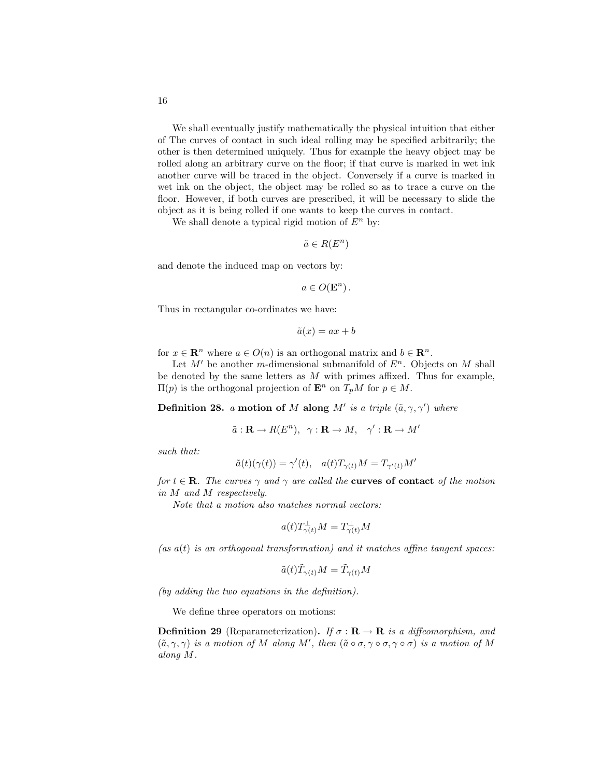We shall eventually justify mathematically the physical intuition that either of The curves of contact in such ideal rolling may be specified arbitrarily; the other is then determined uniquely. Thus for example the heavy object may be rolled along an arbitrary curve on the floor; if that curve is marked in wet ink another curve will be traced in the object. Conversely if a curve is marked in wet ink on the object, the object may be rolled so as to trace a curve on the floor. However, if both curves are prescribed, it will be necessary to slide the object as it is being rolled if one wants to keep the curves in contact.

We shall denote a typical rigid motion of  $E^n$  by:

$$
\tilde{a} \in R(E^n)
$$

and denote the induced map on vectors by:

 $a \in O(\mathbf{E}^n)$ .

Thus in rectangular co-ordinates we have:

$$
\tilde{a}(x)=ax+b
$$

for  $x \in \mathbb{R}^n$  where  $a \in O(n)$  is an orthogonal matrix and  $b \in \mathbb{R}^n$ .

Let  $M'$  be another m-dimensional submanifold of  $E<sup>n</sup>$ . Objects on M shall be denoted by the same letters as  $M$  with primes affixed. Thus for example,  $\Pi(p)$  is the orthogonal projection of **E**<sup>n</sup> on *T<sub>p</sub>M* for *p* ∈ *M*.

**Definition 28.** a motion of M along M' is a triple  $(\tilde{a}, \gamma, \gamma')$  where

$$
\tilde{a} : \mathbf{R} \to R(E^n), \ \ \gamma : \mathbf{R} \to M, \ \ \gamma' : \mathbf{R} \to M'
$$

such that:

$$
\tilde{a}(t)(\gamma(t)) = \gamma'(t), \quad a(t)T_{\gamma(t)}M = T_{\gamma'(t)}M'
$$

for  $t \in \mathbf{R}$ . The curves  $\gamma$  and  $\gamma$  are called the **curves of contact** of the motion in M and M respectively.

Note that a motion also matches normal vectors:

$$
a(t)T_{\gamma(t)}^\perp M=T_{\gamma(t)}^\perp M
$$

 $(as a(t) is an orthogonal transformation) and it matches affine tangent spaces:$ 

$$
\tilde{a}(t)\tilde{T}_{\gamma(t)}M=\tilde{T}_{\gamma(t)}M
$$

(by adding the two equations in the definition).

We define three operators on motions:

**Definition 29** (Reparameterization). If  $\sigma : \mathbf{R} \to \mathbf{R}$  is a diffeomorphism, and  $(\tilde{a}, \gamma, \gamma)$  is a motion of M along M', then  $(\tilde{a} \circ \sigma, \gamma \circ \sigma, \gamma \circ \sigma)$  is a motion of M along M.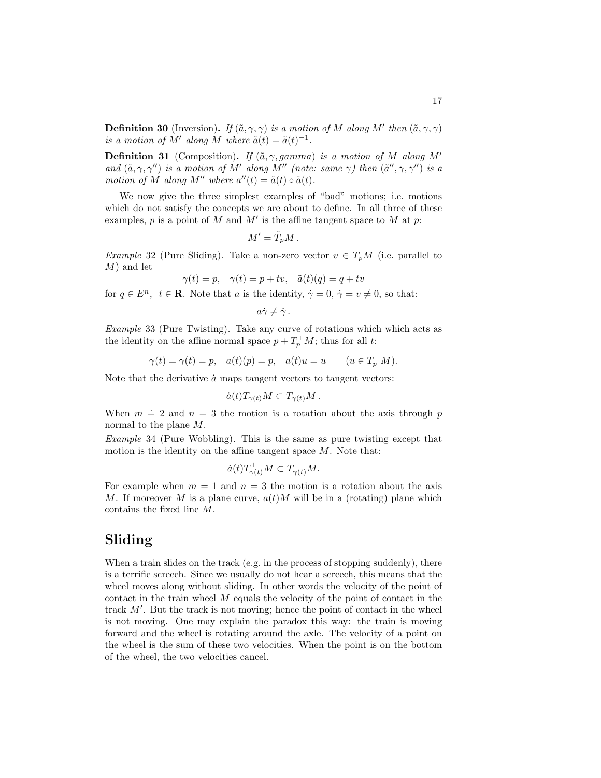**Definition 30** (Inversion). If  $(\tilde{a}, \gamma, \gamma)$  is a motion of M along M' then  $(\tilde{a}, \gamma, \gamma)$ is a motion of M' along M where  $\tilde{a}(t) = \tilde{a}(t)^{-1}$ .

**Definition 31** (Composition). If  $(\tilde{a}, \gamma, gamma)$  is a motion of M along M' and  $(\tilde{a}, \gamma, \gamma'')$  is a motion of M' along M" (note: same  $\gamma$ ) then  $(\tilde{a}'', \gamma, \gamma'')$  is a motion of M along M'' where  $a''(t) = \tilde{a}(t) \circ \tilde{a}(t)$ .

We now give the three simplest examples of "bad" motions; i.e. motions which do not satisfy the concepts we are about to define. In all three of these examples,  $p$  is a point of  $M$  and  $M'$  is the affine tangent space to  $M$  at  $p$ :

$$
M' = \tilde{T}_p M \,.
$$

*Example* 32 (Pure Sliding). Take a non-zero vector  $v \in T_pM$  (i.e. parallel to M) and let

$$
\gamma(t) = p, \quad \gamma(t) = p + tv, \quad \tilde{a}(t)(q) = q + tv
$$

for  $q \in E^n$ ,  $t \in \mathbf{R}$ . Note that a is the identity,  $\dot{\gamma} = 0$ ,  $\dot{\gamma} = v \neq 0$ , so that:

$$
a\dot{\gamma}\neq\dot{\gamma}.
$$

Example 33 (Pure Twisting). Take any curve of rotations which which acts as the identity on the affine normal space  $p + T_p^{\perp}M$ ; thus for all t:

$$
\gamma(t) = \gamma(t) = p, \quad a(t)(p) = p, \quad a(t)u = u \qquad (u \in T_p^{\perp} M).
$$

Note that the derivative  $\dot{a}$  maps tangent vectors to tangent vectors:

$$
\dot{a}(t)T_{\gamma(t)}M\subset T_{\gamma(t)}M\,.
$$

When  $m \doteq 2$  and  $n = 3$  the motion is a rotation about the axis through p normal to the plane M.

Example 34 (Pure Wobbling). This is the same as pure twisting except that motion is the identity on the affine tangent space  $M$ . Note that:

$$
\dot{a}(t)T_{\gamma(t)}^{\perp}M\subset T_{\gamma(t)}^{\perp}M.
$$

For example when  $m = 1$  and  $n = 3$  the motion is a rotation about the axis M. If moreover M is a plane curve,  $a(t)$ M will be in a (rotating) plane which contains the fixed line M.

#### Sliding

When a train slides on the track (e.g. in the process of stopping suddenly), there is a terrific screech. Since we usually do not hear a screech, this means that the wheel moves along without sliding. In other words the velocity of the point of contact in the train wheel M equals the velocity of the point of contact in the track  $M'$ . But the track is not moving; hence the point of contact in the wheel is not moving. One may explain the paradox this way: the train is moving forward and the wheel is rotating around the axle. The velocity of a point on the wheel is the sum of these two velocities. When the point is on the bottom of the wheel, the two velocities cancel.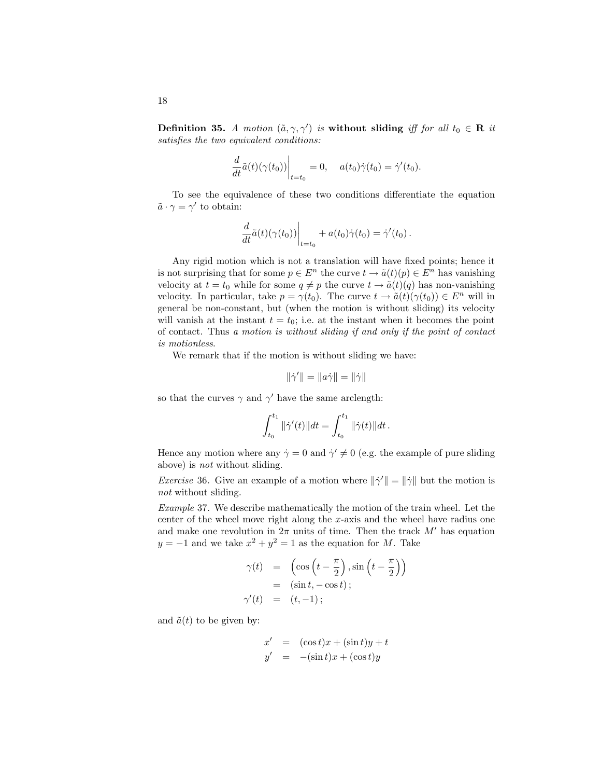**Definition 35.** A motion  $(\tilde{a}, \gamma, \gamma')$  is without sliding iff for all  $t_0 \in \mathbf{R}$  it satisfies the two equivalent conditions:

$$
\left. \frac{d}{dt} \tilde{a}(t) (\gamma(t_0)) \right|_{t=t_0} = 0, \quad a(t_0) \dot{\gamma}(t_0) = \dot{\gamma}'(t_0).
$$

To see the equivalence of these two conditions differentiate the equation  $\tilde{a} \cdot \gamma = \gamma'$  to obtain:

$$
\left. \frac{d}{dt} \tilde{a}(t) (\gamma(t_0)) \right|_{t=t_0} + a(t_0) \dot{\gamma}(t_0) = \dot{\gamma}'(t_0) .
$$

Any rigid motion which is not a translation will have fixed points; hence it is not surprising that for some  $p \in E^n$  the curve  $t \to \tilde{a}(t)(p) \in E^n$  has vanishing velocity at  $t = t_0$  while for some  $q \neq p$  the curve  $t \to \tilde{a}(t)(q)$  has non-vanishing velocity. In particular, take  $p = \gamma(t_0)$ . The curve  $t \to \tilde{a}(t)(\gamma(t_0)) \in E^n$  will in general be non-constant, but (when the motion is without sliding) its velocity will vanish at the instant  $t = t_0$ ; i.e. at the instant when it becomes the point of contact. Thus a motion is without sliding if and only if the point of contact is motionless.

We remark that if the motion is without sliding we have:

$$
\|\dot{\gamma}'\| = \|a\dot{\gamma}\| = \|\dot{\gamma}\|
$$

so that the curves  $\gamma$  and  $\gamma'$  have the same arclength:

$$
\int_{t_0}^{t_1} \|\dot{\gamma}'(t)\|dt = \int_{t_0}^{t_1} \|\dot{\gamma}(t)\|dt.
$$

Hence any motion where any  $\dot{\gamma} = 0$  and  $\dot{\gamma}' \neq 0$  (e.g. the example of pure sliding above) is not without sliding.

*Exercise* 36. Give an example of a motion where  $\|\dot{\gamma}'\| = \|\dot{\gamma}\|$  but the motion is not without sliding.

Example 37. We describe mathematically the motion of the train wheel. Let the center of the wheel move right along the x-axis and the wheel have radius one and make one revolution in  $2\pi$  units of time. Then the track M' has equation  $y = -1$  and we take  $x^2 + y^2 = 1$  as the equation for M. Take

$$
\gamma(t) = \left(\cos\left(t - \frac{\pi}{2}\right), \sin\left(t - \frac{\pi}{2}\right)\right)
$$

$$
= (\sin t, -\cos t);
$$

$$
\gamma'(t) = (t, -1);
$$

and  $\tilde{a}(t)$  to be given by:

$$
x' = (\cos t)x + (\sin t)y + t
$$
  

$$
y' = -(\sin t)x + (\cos t)y
$$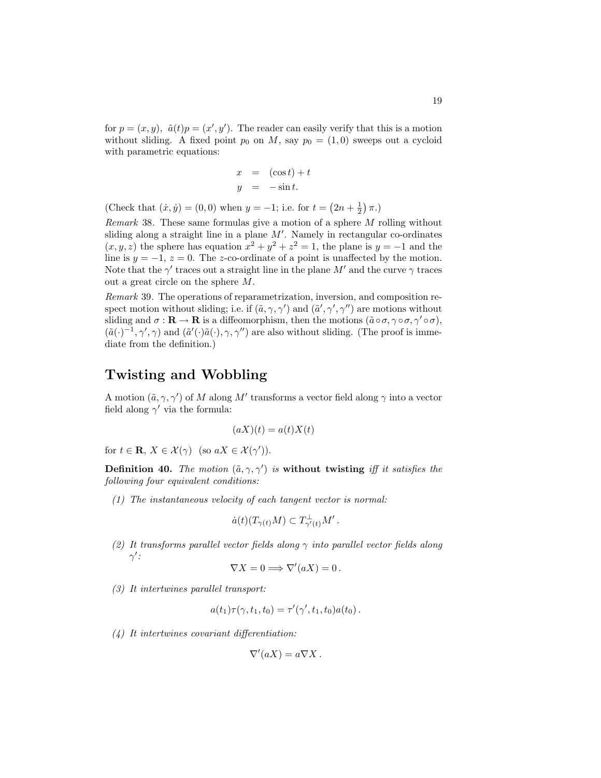for  $p = (x, y)$ ,  $\tilde{a}(t)p = (x', y')$ . The reader can easily verify that this is a motion without sliding. A fixed point  $p_0$  on M, say  $p_0 = (1, 0)$  sweeps out a cycloid with parametric equations:

$$
x = (\cos t) + t
$$
  

$$
y = -\sin t.
$$

(Check that  $(\dot{x}, \dot{y}) = (0, 0)$  when  $y = -1$ ; i.e. for  $t = (2n + \frac{1}{2}) \pi$ .)

Remark 38. These same formulas give a motion of a sphere M rolling without sliding along a straight line in a plane  $M'$ . Namely in rectangular co-ordinates  $(x, y, z)$  the sphere has equation  $x^2 + y^2 + z^2 = 1$ , the plane is  $y = -1$  and the line is  $y = -1$ ,  $z = 0$ . The z-co-ordinate of a point is unaffected by the motion. Note that the  $\gamma'$  traces out a straight line in the plane  $M'$  and the curve  $\gamma$  traces out a great circle on the sphere M.

Remark 39. The operations of reparametrization, inversion, and composition respect motion without sliding; i.e. if  $(\tilde{a}, \gamma, \gamma')$  and  $(\tilde{a}', \gamma', \gamma'')$  are motions without sliding and  $\sigma : \mathbf{R} \to \mathbf{R}$  is a diffeomorphism, then the motions  $(\tilde{a} \circ \sigma, \gamma \circ \sigma, \gamma' \circ \sigma)$ ,  $(\tilde{a}(\cdot)^{-1}, \gamma', \gamma)$  and  $(\tilde{a}'(\cdot)\tilde{a}(\cdot), \gamma, \gamma'')$  are also without sliding. (The proof is immediate from the definition.)

#### Twisting and Wobbling

A motion  $(\tilde{a}, \gamma, \gamma')$  of M along M' transforms a vector field along  $\gamma$  into a vector field along  $\gamma'$  via the formula:

$$
(aX)(t) = a(t)X(t)
$$

for  $t \in \mathbf{R}, X \in \mathcal{X}(\gamma)$  (so  $aX \in \mathcal{X}(\gamma')$ ).

Definition 40. The motion  $(\tilde{a}, \gamma, \gamma')$  is without twisting iff it satisfies the following four equivalent conditions:

(1) The instantaneous velocity of each tangent vector is normal:

$$
\dot{a}(t)(T_{\gamma(t)}M)\subset T_{\gamma'(t)}^{\perp}M'.
$$

(2) It transforms parallel vector fields along  $\gamma$  into parallel vector fields along  $\gamma'$  :

$$
\nabla X = 0 \Longrightarrow \nabla'(aX) = 0.
$$

(3) It intertwines parallel transport:

$$
a(t_1)\tau(\gamma, t_1, t_0) = \tau'(\gamma', t_1, t_0)a(t_0).
$$

(4) It intertwines covariant differentiation:

$$
\nabla'(aX) = a\nabla X.
$$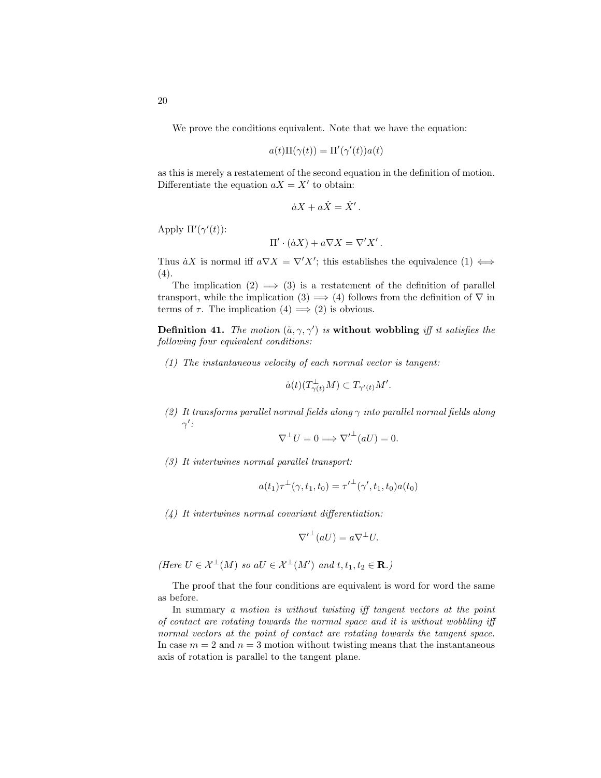We prove the conditions equivalent. Note that we have the equation:

$$
a(t)\Pi(\gamma(t)) = \Pi'(\gamma'(t))a(t)
$$

as this is merely a restatement of the second equation in the definition of motion. Differentiate the equation  $aX = X'$  to obtain:

$$
\dot{a}X + a\dot{X} = \dot{X}'.
$$

Apply  $\Pi'(\gamma'(t))$ :

$$
\Pi' \cdot (\dot{a}X) + a\nabla X = \nabla' X'.
$$

Thus  $\dot{a}X$  is normal iff  $a\nabla X = \nabla' X'$ ; this establishes the equivalence  $(1) \iff$ (4).

The implication  $(2) \implies (3)$  is a restatement of the definition of parallel transport, while the implication (3)  $\implies$  (4) follows from the definition of  $\nabla$  in terms of  $\tau$ . The implication  $(4) \implies (2)$  is obvious.

**Definition 41.** The motion  $(\tilde{a}, \gamma, \gamma')$  is without wobbling iff it satisfies the following four equivalent conditions:

(1) The instantaneous velocity of each normal vector is tangent:

$$
\dot{a}(t)(T_{\gamma(t)}^{\perp}M) \subset T_{\gamma'(t)}M'.
$$

(2) It transforms parallel normal fields along  $\gamma$  into parallel normal fields along  $\gamma'$ :

$$
\nabla^{\perp}U = 0 \Longrightarrow \nabla'^{\perp}(aU) = 0.
$$

(3) It intertwines normal parallel transport:

$$
a(t_1)\tau^{\perp}(\gamma, t_1, t_0) = {\tau'}^{\perp}(\gamma', t_1, t_0)a(t_0)
$$

(4) It intertwines normal covariant differentiation:

$$
\nabla'^{\perp}(aU) = a\nabla^{\perp}U.
$$

(Here  $U \in \mathcal{X}^{\perp}(M)$  so a $U \in \mathcal{X}^{\perp}(M')$  and  $t, t_1, t_2 \in \mathbf{R}$ .)

The proof that the four conditions are equivalent is word for word the same as before.

In summary a motion is without twisting iff tangent vectors at the point of contact are rotating towards the normal space and it is without wobbling iff normal vectors at the point of contact are rotating towards the tangent space. In case  $m = 2$  and  $n = 3$  motion without twisting means that the instantaneous axis of rotation is parallel to the tangent plane.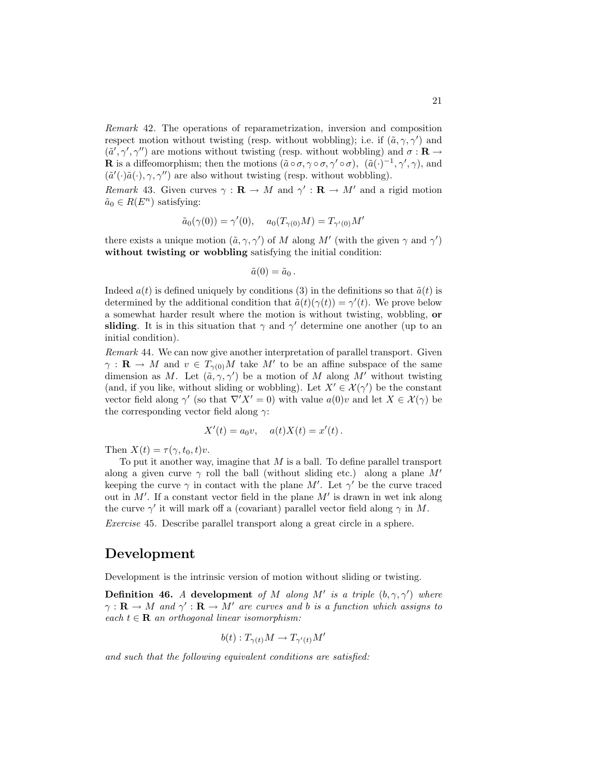Remark 42. The operations of reparametrization, inversion and composition respect motion without twisting (resp. without wobbling); i.e. if  $(\tilde{a}, \gamma, \gamma')$  and  $(\tilde{a}', \gamma', \gamma'')$  are motions without twisting (resp. without wobbling) and  $\sigma : \mathbf{R} \to$ **R** is a diffeomorphism; then the motions  $(\tilde{a} \circ \sigma, \gamma \circ \sigma, \gamma' \circ \sigma)$ ,  $(\tilde{a}(\cdot)^{-1}, \gamma', \gamma)$ , and  $(\tilde{a}'(\cdot)\tilde{a}(\cdot), \gamma, \gamma'')$  are also without twisting (resp. without wobbling).

Remark 43. Given curves  $\gamma : \mathbf{R} \to M$  and  $\gamma' : \mathbf{R} \to M'$  and a rigid motion  $\tilde{a}_0 \in R(E^n)$  satisfying:

$$
\tilde{a}_0(\gamma(0)) = \gamma'(0), \quad a_0(T_{\gamma(0)}M) = T_{\gamma'(0)}M'
$$

there exists a unique motion  $(\tilde{a}, \gamma, \gamma')$  of M along M' (with the given  $\gamma$  and  $\gamma'$ ) without twisting or wobbling satisfying the initial condition:

$$
\tilde{a}(0)=\tilde{a}_0.
$$

Indeed  $a(t)$  is defined uniquely by conditions (3) in the definitions so that  $\tilde{a}(t)$  is determined by the additional condition that  $\tilde{a}(t)(\gamma(t)) = \gamma'(t)$ . We prove below a somewhat harder result where the motion is without twisting, wobbling, or sliding. It is in this situation that  $\gamma$  and  $\gamma'$  determine one another (up to an initial condition).

Remark 44. We can now give another interpretation of parallel transport. Given  $\gamma: \mathbf{R} \to M$  and  $v \in T_{\gamma(0)}M$  take M' to be an affine subspace of the same dimension as M. Let  $(\tilde{a}, \gamma, \gamma')$  be a motion of M along M' without twisting (and, if you like, without sliding or wobbling). Let  $X' \in \mathcal{X}(\gamma')$  be the constant vector field along  $\gamma'$  (so that  $\nabla' X' = 0$ ) with value  $a(0)v$  and let  $X \in \mathcal{X}(\gamma)$  be the corresponding vector field along  $\gamma$ :

$$
X'(t) = a_0 v, \quad a(t)X(t) = x'(t).
$$

Then  $X(t) = \tau(\gamma, t_0, t)v$ .

To put it another way, imagine that  $M$  is a ball. To define parallel transport along a given curve  $\gamma$  roll the ball (without sliding etc.) along a plane M' keeping the curve  $\gamma$  in contact with the plane M'. Let  $\gamma'$  be the curve traced out in  $M'$ . If a constant vector field in the plane  $M'$  is drawn in wet ink along the curve  $\gamma'$  it will mark off a (covariant) parallel vector field along  $\gamma$  in M.

Exercise 45. Describe parallel transport along a great circle in a sphere.

#### Development

Development is the intrinsic version of motion without sliding or twisting.

**Definition 46.** A development of M along M' is a triple  $(b, \gamma, \gamma')$  where  $\gamma: \mathbf{R} \to M$  and  $\gamma': \mathbf{R} \to M'$  are curves and b is a function which assigns to each  $t \in \mathbf{R}$  an orthogonal linear isomorphism:

$$
b(t): T_{\gamma(t)}M \to T_{\gamma'(t)}M'
$$

and such that the following equivalent conditions are satisfied: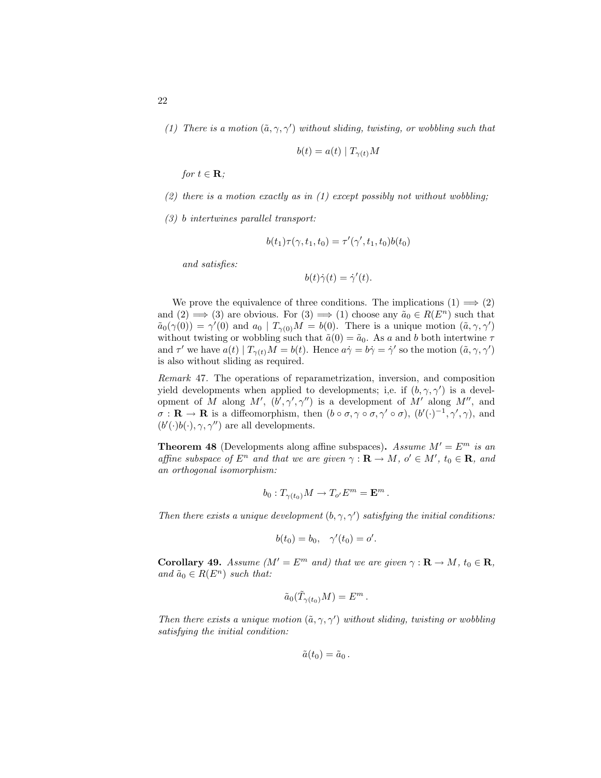(1) There is a motion  $(\tilde{a}, \gamma, \gamma')$  without sliding, twisting, or wobbling such that

$$
b(t)=a(t)\mid T_{\gamma(t)}M
$$

for  $t \in \mathbf{R}$ ;

- (2) there is a motion exactly as in (1) except possibly not without wobbling;
- (3) b intertwines parallel transport:

$$
b(t_1)\tau(\gamma, t_1, t_0) = \tau'(\gamma', t_1, t_0)b(t_0)
$$

and satisfies:

$$
b(t)\dot{\gamma}(t) = \dot{\gamma}'(t).
$$

We prove the equivalence of three conditions. The implications  $(1) \implies (2)$ and  $(2) \implies (3)$  are obvious. For  $(3) \implies (1)$  choose any  $\tilde{a}_0 \in R(E^n)$  such that  $\tilde{a}_0(\gamma(0)) = \gamma'(0)$  and  $a_0 | T_{\gamma(0)}M = b(0)$ . There is a unique motion  $(\tilde{a}, \gamma, \gamma')$ without twisting or wobbling such that  $\tilde{a}(0) = \tilde{a}_0$ . As a and b both intertwine  $\tau$ and  $\tau'$  we have  $a(t) | T_{\gamma(t)}M = b(t)$ . Hence  $a\dot{\gamma} = b\dot{\gamma} = \dot{\gamma}'$  so the motion  $(\tilde{a}, \gamma, \gamma')$ is also without sliding as required.

Remark 47. The operations of reparametrization, inversion, and composition yield developments when applied to developments; i,e. if  $(b, \gamma, \gamma')$  is a development of M along M',  $(b', \gamma', \gamma'')$  is a development of M' along M'', and  $\sigma : \mathbf{R} \to \mathbf{R}$  is a diffeomorphism, then  $(b \circ \sigma, \gamma \circ \sigma, \gamma' \circ \sigma)$ ,  $(b'(\cdot)^{-1}, \gamma', \gamma)$ , and  $(b'(\cdot)b(\cdot), \gamma, \gamma'')$  are all developments.

**Theorem 48** (Developments along affine subspaces). Assume  $M' = E^m$  is an affine subspace of  $E^n$  and that we are given  $\gamma : \mathbf{R} \to M$ ,  $o' \in M'$ ,  $t_0 \in \mathbf{R}$ , and an orthogonal isomorphism:

$$
b_0: T_{\gamma(t_0)}M \to T_{o'}E^m = \mathbf{E}^m.
$$

Then there exists a unique development  $(b, \gamma, \gamma')$  satisfying the initial conditions:

$$
b(t_0) = b_0, \quad \gamma'(t_0) = o'.
$$

**Corollary 49.** Assume  $(M' = E^m$  and) that we are given  $\gamma : \mathbf{R} \to M$ ,  $t_0 \in \mathbf{R}$ , and  $\tilde{a}_0 \in R(E^n)$  such that:

$$
\tilde a_0(\tilde T_{\gamma(t_0)}M)=E^m\,.
$$

Then there exists a unique motion  $(\tilde{a}, \gamma, \gamma')$  without sliding, twisting or wobbling satisfying the initial condition:

$$
\tilde{a}(t_0)=\tilde{a}_0.
$$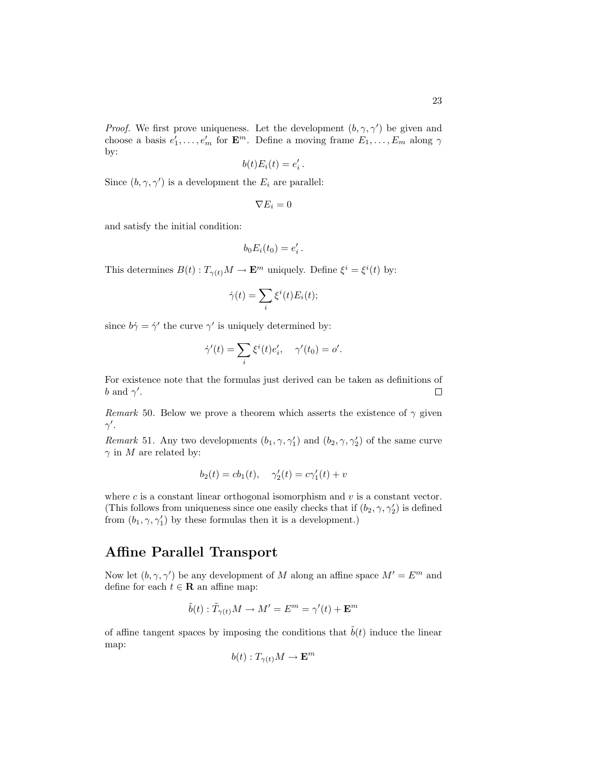*Proof.* We first prove uniqueness. Let the development  $(b, \gamma, \gamma')$  be given and choose a basis  $e'_1, \ldots, e'_m$  for  $\mathbf{E}^m$ . Define a moving frame  $E_1, \ldots, E_m$  along  $\gamma$ by:

$$
b(t)E_i(t) = e_i'.
$$

Since  $(b, \gamma, \gamma')$  is a development the  $E_i$  are parallel:

$$
\nabla E_i = 0
$$

and satisfy the initial condition:

$$
b_0 E_i(t_0) = e'_i.
$$

This determines  $B(t) : T_{\gamma(t)}M \to \mathbf{E}^m$  uniquely. Define  $\xi^i = \xi^i(t)$  by:

$$
\dot{\gamma}(t) = \sum_{i} \xi^{i}(t) E_{i}(t);
$$

since  $b\dot{\gamma} = \dot{\gamma}'$  the curve  $\gamma'$  is uniquely determined by:

$$
\dot{\gamma}'(t) = \sum_i \xi^i(t) e_i', \quad \gamma'(t_0) = o'.
$$

For existence note that the formulas just derived can be taken as definitions of b and  $\gamma'$ .  $\Box$ 

Remark 50. Below we prove a theorem which asserts the existence of  $\gamma$  given  $\gamma'$ .

*Remark* 51. Any two developments  $(b_1, \gamma, \gamma_1')$  and  $(b_2, \gamma, \gamma_2')$  of the same curve  $\gamma$  in M are related by:

$$
b_2(t) = cb_1(t), \quad \gamma'_2(t) = c\gamma'_1(t) + v
$$

where  $c$  is a constant linear orthogonal isomorphism and  $v$  is a constant vector. (This follows from uniqueness since one easily checks that if  $(b_2, \gamma, \gamma'_2)$  is defined from  $(b_1, \gamma, \gamma'_1)$  by these formulas then it is a development.)

## Affine Parallel Transport

Now let  $(b, \gamma, \gamma')$  be any development of M along an affine space  $M' = E^m$  and define for each  $t \in \mathbf{R}$  an affine map:

$$
\tilde{b}(t) : \tilde{T}_{\gamma(t)}M \to M' = E^m = \gamma'(t) + \mathbf{E}^m
$$

of affine tangent spaces by imposing the conditions that  $\tilde{b}(t)$  induce the linear map:

$$
b(t): T_{\gamma(t)}M\to {\bf E}^m
$$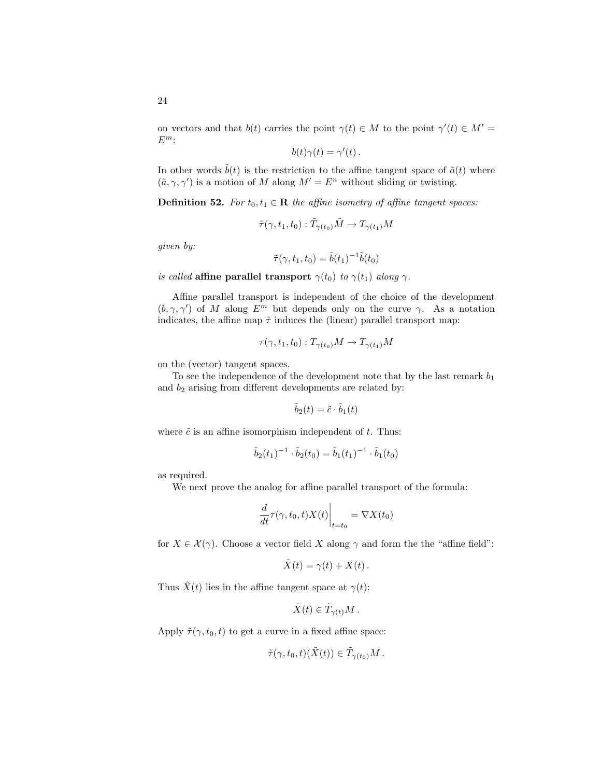on vectors and that  $b(t)$  carries the point  $\gamma(t) \in M$  to the point  $\gamma'(t) \in M'$  $E^m$ :

$$
b(t)\gamma(t) = \gamma'(t).
$$

In other words  $\tilde{b}(t)$  is the restriction to the affine tangent space of  $\tilde{a}(t)$  where  $(\tilde{a}, \gamma, \gamma')$  is a motion of M along  $M' = E^n$  without sliding or twisting.

**Definition 52.** For  $t_0, t_1 \in \mathbb{R}$  the affine isometry of affine tangent spaces:

$$
\tilde{\tau}(\gamma, t_1, t_0) : \tilde{T}_{\gamma(t_0)} \tilde{M} \to T_{\gamma(t_1)} M
$$

given by:

$$
\tilde{\tau}(\gamma, t_1, t_0) = \tilde{b}(t_1)^{-1} \tilde{b}(t_0)
$$

is called affine parallel transport  $\gamma(t_0)$  to  $\gamma(t_1)$  along  $\gamma$ .

Affine parallel transport is independent of the choice of the development  $(b, \gamma, \gamma')$  of M along  $E^m$  but depends only on the curve  $\gamma$ . As a notation indicates, the affine map  $\tilde{\tau}$  induces the (linear) parallel transport map:

$$
\tau(\gamma, t_1, t_0) : T_{\gamma(t_0)}M \to T_{\gamma(t_1)}M
$$

on the (vector) tangent spaces.

To see the independence of the development note that by the last remark  $b_1$ and  $b_2$  arising from different developments are related by:

$$
\tilde{b}_2(t) = \tilde{c} \cdot \tilde{b}_1(t)
$$

where  $\tilde{c}$  is an affine isomorphism independent of  $t$ . Thus:

$$
\tilde{b}_2(t_1)^{-1} \cdot \tilde{b}_2(t_0) = \tilde{b}_1(t_1)^{-1} \cdot \tilde{b}_1(t_0)
$$

as required.

We next prove the analog for affine parallel transport of the formula:

$$
\left. \frac{d}{dt} \tau(\gamma, t_0, t) X(t) \right|_{t=t_0} = \nabla X(t_0)
$$

for  $X \in \mathcal{X}(\gamma)$ . Choose a vector field X along  $\gamma$  and form the the "affine field":

$$
\tilde{X}(t) = \gamma(t) + X(t).
$$

Thus  $\tilde{X}(t)$  lies in the affine tangent space at  $\gamma(t)$ :

$$
\tilde{X}(t)\in \tilde{T}_{\gamma(t)}M
$$

Apply  $\tilde{\tau}(\gamma, t_0, t)$  to get a curve in a fixed affine space:

$$
\tilde{\tau}(\gamma, t_0, t)(\tilde{X}(t)) \in \tilde{T}_{\gamma(t_0)}M.
$$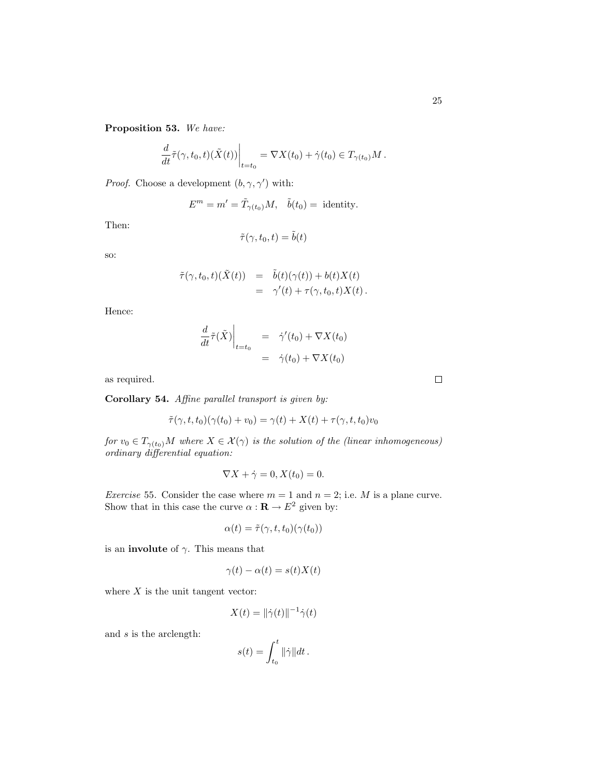Proposition 53. We have:

$$
\left. \frac{d}{dt} \tilde{\tau}(\gamma, t_0, t)(\tilde{X}(t)) \right|_{t=t_0} = \nabla X(t_0) + \dot{\gamma}(t_0) \in T_{\gamma(t_0)}M.
$$

*Proof.* Choose a development  $(b, \gamma, \gamma')$  with:

$$
E^m = m' = \tilde{T}_{\gamma(t_0)}M, \quad \tilde{b}(t_0) = \text{ identity.}
$$

Then:

$$
\tilde{\tau}(\gamma, t_0, t) = \tilde{b}(t)
$$

so:

$$
\tilde{\tau}(\gamma, t_0, t)(\tilde{X}(t)) = \tilde{b}(t)(\gamma(t)) + b(t)X(t) \n= \gamma'(t) + \tau(\gamma, t_0, t)X(t).
$$

Hence:

$$
\frac{d}{dt}\tilde{\tau}(\tilde{X})\Big|_{t=t_0} = \dot{\gamma}'(t_0) + \nabla X(t_0)
$$
  

$$
= \dot{\gamma}(t_0) + \nabla X(t_0)
$$

as required.

Corollary 54. Affine parallel transport is given by:

$$
\tilde{\tau}(\gamma, t, t_0)(\gamma(t_0) + v_0) = \gamma(t) + X(t) + \tau(\gamma, t, t_0)v_0
$$

for  $v_0 \in T_{\gamma(t_0)}M$  where  $X \in \mathcal{X}(\gamma)$  is the solution of the (linear inhomogeneous) ordinary differential equation:

$$
\nabla X + \dot{\gamma} = 0, X(t_0) = 0.
$$

*Exercise* 55. Consider the case where  $m = 1$  and  $n = 2$ ; i.e. M is a plane curve. Show that in this case the curve  $\alpha : \mathbf{R} \to E^2$  given by:

$$
\alpha(t) = \tilde{\tau}(\gamma, t, t_0)(\gamma(t_0))
$$

is an **involute** of  $\gamma$ . This means that

$$
\gamma(t) - \alpha(t) = s(t)X(t)
$$

where  $X$  is the unit tangent vector:

$$
X(t) = \|\dot{\gamma}(t)\|^{-1} \dot{\gamma}(t)
$$

and s is the arclength:

$$
s(t) = \int_{t_0}^t ||\dot{\gamma}|| dt.
$$

 $\Box$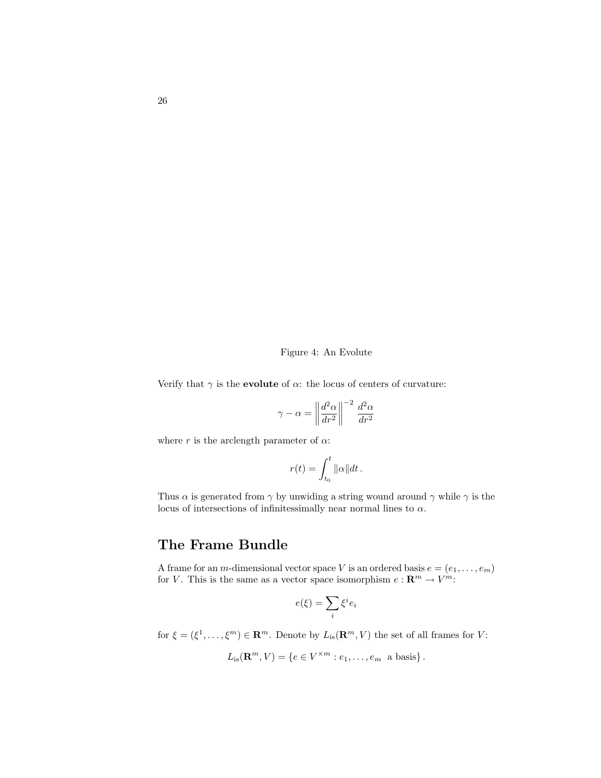#### Figure 4: An Evolute

Verify that  $\gamma$  is the **evolute** of  $\alpha$ : the locus of centers of curvature:

$$
\gamma - \alpha = \left\| \frac{d^2 \alpha}{dr^2} \right\|^{-2} \frac{d^2 \alpha}{dr^2}
$$

where r is the arclength parameter of  $\alpha$ :

$$
r(t) = \int_{t_0}^t \|\alpha\| dt.
$$

Thus  $\alpha$  is generated from  $\gamma$  by unwiding a string wound around  $\gamma$  while  $\gamma$  is the locus of intersections of infinitessimally near normal lines to  $\alpha$ .

# The Frame Bundle

A frame for an *m*-dimensional vector space V is an ordered basis  $e = (e_1, \ldots, e_m)$ for V. This is the same as a vector space isomorphism  $e: \mathbb{R}^m \to V^m$ :

$$
e(\xi) = \sum_i \xi^i e_i
$$

for  $\xi = (\xi^1, \ldots, \xi^m) \in \mathbf{R}^m$ . Denote by  $L_{is}(\mathbf{R}^m, V)$  the set of all frames for V:

$$
L_{\text{is}}(\mathbf{R}^m, V) = \{e \in V^{\times m} : e_1, \dots, e_m \text{ a basis}\}.
$$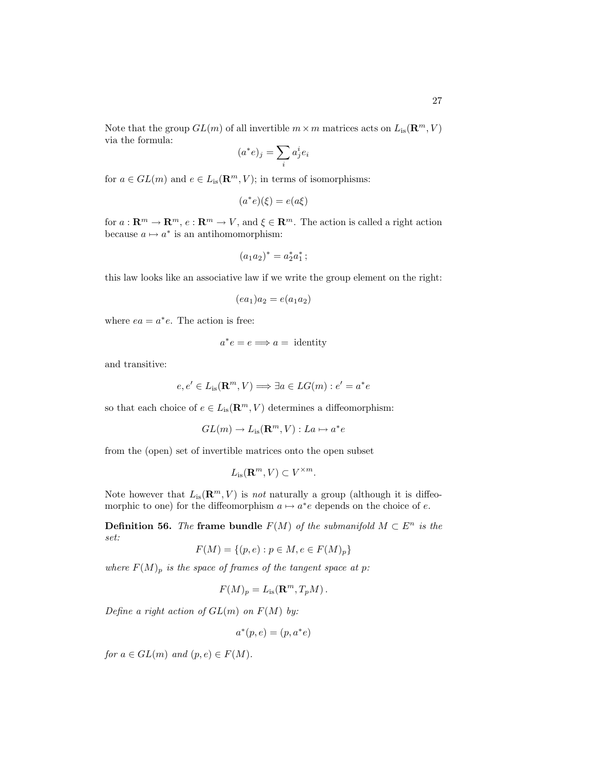Note that the group  $GL(m)$  of all invertible  $m \times m$  matrices acts on  $L_{is}(\mathbf{R}^m, V)$ via the formula:

$$
(a^*e)_j = \sum_i a_j^i e_i
$$

for  $a \in GL(m)$  and  $e \in L_{is}(\mathbf{R}^m, V)$ ; in terms of isomorphisms:

$$
(a^*e)(\xi) = e(a\xi)
$$

for  $a: \mathbf{R}^m \to \mathbf{R}^m$ ,  $e: \mathbf{R}^m \to V$ , and  $\xi \in \mathbf{R}^m$ . The action is called a right action because  $a \mapsto a^*$  is an antihomomorphism:

$$
(a_1a_2)^* = a_2^*a_1^* \, ;
$$

this law looks like an associative law if we write the group element on the right:

$$
(ea1)a2 = e(a1a2)
$$

where  $ea = a^*e$ . The action is free:

$$
a^*e = e \Longrightarrow a = \text{identity}
$$

and transitive:

$$
e, e' \in L_{\text{is}}(\mathbf{R}^m, V) \Longrightarrow \exists a \in LG(m) : e' = a^*e
$$

so that each choice of  $e \in L_{is}(\mathbf{R}^m, V)$  determines a diffeomorphism:

$$
GL(m) \to L_{\text{is}}(\mathbf{R}^m, V) : La \mapsto a^*e
$$

from the (open) set of invertible matrices onto the open subset

$$
L_{\text{is}}(\mathbf{R}^m, V) \subset V^{\times m}.
$$

Note however that  $L_{is}(\mathbf{R}^m, V)$  is not naturally a group (although it is diffeomorphic to one) for the diffeomorphism  $a \mapsto a^*e$  depends on the choice of e.

**Definition 56.** The frame bundle  $F(M)$  of the submanifold  $M \subset E^n$  is the set:

$$
F(M) = \{(p, e) : p \in M, e \in F(M)_p\}
$$

where  $F(M)_p$  is the space of frames of the tangent space at p:

$$
F(M)_p = L_{\text{is}}(\mathbf{R}^m, T_p M).
$$

Define a right action of  $GL(m)$  on  $F(M)$  by:

$$
a^*(p, e) = (p, a^*e)
$$

for  $a \in GL(m)$  and  $(p, e) \in F(M)$ .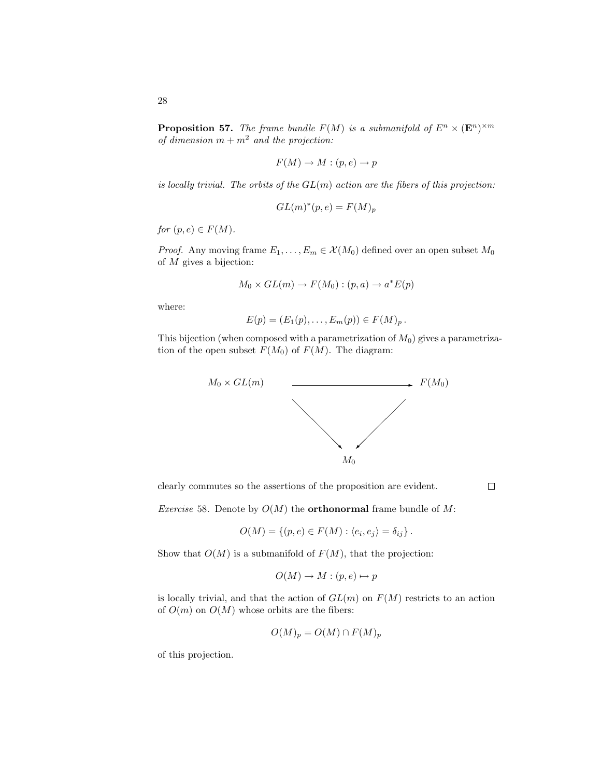28

**Proposition 57.** The frame bundle  $F(M)$  is a submanifold of  $E^n \times (\mathbf{E}^n)^{\times m}$ of dimension  $m + m^2$  and the projection:

$$
F(M) \to M : (p, e) \to p
$$

is locally trivial. The orbits of the  $GL(m)$  action are the fibers of this projection:

$$
GL(m)^*(p, e) = F(M)_p
$$

for  $(p, e) \in F(M)$ .

*Proof.* Any moving frame  $E_1, \ldots, E_m \in \mathcal{X}(M_0)$  defined over an open subset  $M_0$ of M gives a bijection:

$$
M_0 \times GL(m) \to F(M_0) : (p, a) \to a^*E(p)
$$

where:

$$
E(p) = (E_1(p), \ldots, E_m(p)) \in F(M)_p.
$$

This bijection (when composed with a parametrization of  $M_0$ ) gives a parametrization of the open subset  $F(M_0)$  of  $F(M)$ . The diagram:



clearly commutes so the assertions of the proposition are evident.

 $\Box$ 

*Exercise* 58. Denote by  $O(M)$  the **orthonormal** frame bundle of M:

$$
O(M) = \{(p, e) \in F(M) : \langle e_i, e_j \rangle = \delta_{ij}\}.
$$

Show that  $O(M)$  is a submanifold of  $F(M)$ , that the projection:

$$
O(M) \to M : (p, e) \mapsto p
$$

is locally trivial, and that the action of  $GL(m)$  on  $F(M)$  restricts to an action of  $O(m)$  on  $O(M)$  whose orbits are the fibers:

$$
O(M)_p = O(M) \cap F(M)_p
$$

of this projection.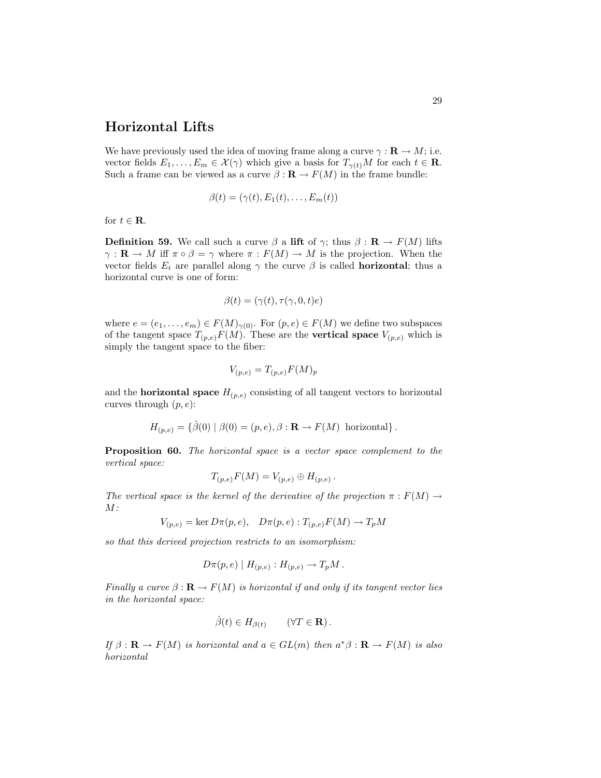## Horizontal Lifts

We have previously used the idea of moving frame along a curve  $\gamma : \mathbf{R} \to M$ ; i.e. vector fields  $E_1, \ldots, E_m \in \mathcal{X}(\gamma)$  which give a basis for  $T_{\gamma(t)}M$  for each  $t \in \mathbf{R}$ . Such a frame can be viewed as a curve  $\beta : \mathbf{R} \to F(M)$  in the frame bundle:

$$
\beta(t) = (\gamma(t), E_1(t), \dots, E_m(t))
$$

for  $t \in \mathbf{R}$ .

**Definition 59.** We call such a curve  $\beta$  a lift of  $\gamma$ ; thus  $\beta : \mathbf{R} \to F(M)$  lifts  $\gamma: \mathbf{R} \to M$  iff  $\pi \circ \beta = \gamma$  where  $\pi: F(M) \to M$  is the projection. When the vector fields  $E_i$  are parallel along  $\gamma$  the curve  $\beta$  is called **horizontal**; thus a horizontal curve is one of form:

$$
\beta(t) = (\gamma(t), \tau(\gamma, 0, t)e)
$$

where  $e = (e_1, \ldots, e_m) \in F(M)_{\gamma(0)}$ . For  $(p, e) \in F(M)$  we define two subspaces of the tangent space  $T_{(p,e)}F(M)$ . These are the **vertical space**  $V_{(p,e)}$  which is simply the tangent space to the fiber:

$$
V_{(p,e)} = T_{(p,e)} F(M)_p
$$

and the **horizontal space**  $H_{(p,e)}$  consisting of all tangent vectors to horizontal curves through  $(p, e)$ :

$$
H_{(p,e)} = \{ \beta(0) \mid \beta(0) = (p,e), \beta : \mathbf{R} \to F(M) \text{ horizontal} \}.
$$

Proposition 60. The horizontal space is a vector space complement to the vertical space:

$$
T_{(p,e)}F(M) = V_{(p,e)} \oplus H_{(p,e)}.
$$

The vertical space is the kernel of the derivative of the projection  $\pi : F(M) \rightarrow$  $M$ :

$$
V_{(p,e)} = \ker D\pi(p,e), \quad D\pi(p,e) : T_{(p,e)}F(M) \to T_pM
$$

so that this derived projection restricts to an isomorphism:

$$
D\pi(p,e) | H_{(p,e)} : H_{(p,e)} \to T_pM.
$$

Finally a curve  $\beta : \mathbf{R} \to F(M)$  is horizontal if and only if its tangent vector lies in the horizontal space:

$$
\dot{\beta}(t) \in H_{\beta(t)} \qquad (\forall T \in \mathbf{R}).
$$

If  $\beta : \mathbf{R} \to F(M)$  is horizontal and  $a \in GL(m)$  then  $a^*\beta : \mathbf{R} \to F(M)$  is also horizontal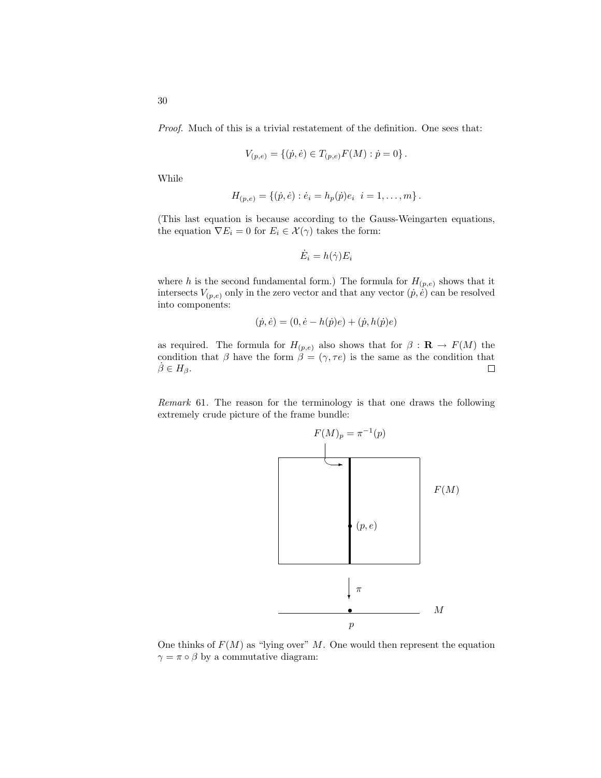Proof. Much of this is a trivial restatement of the definition. One sees that:

$$
V_{(p,e)} = \{(\dot{p}, \dot{e}) \in T_{(p,e)}F(M) : \dot{p} = 0\}
$$

While

$$
H_{(p,e)} = \{(\dot{p}, \dot{e}) : \dot{e}_i = h_p(\dot{p})e_i \ \ i = 1, \dots, m\}.
$$

(This last equation is because according to the Gauss-Weingarten equations, the equation  $\nabla E_i = 0$  for  $E_i \in \mathcal{X}(\gamma)$  takes the form:

$$
\dot{E}_i = h(\dot{\gamma}) E_i
$$

where h is the second fundamental form.) The formula for  $H_{(p,e)}$  shows that it intersects  $V_{(p,e)}$  only in the zero vector and that any vector  $(\dot{p}, \dot{e})$  can be resolved into components:

$$
(\dot{p}, \dot{e}) = (0, \dot{e} - h(\dot{p})e) + (\dot{p}, h(\dot{p})e)
$$

as required. The formula for  $H_{(p,e)}$  also shows that for  $\beta : \mathbf{R} \to F(M)$  the condition that  $\beta$  have the form  $\beta = (\gamma, \tau e)$  is the same as the condition that  $\beta \in H_{\beta}$ .  $\Box$ 

Remark 61. The reason for the terminology is that one draws the following extremely crude picture of the frame bundle:



One thinks of  $F(M)$  as "lying over" M. One would then represent the equation  $\gamma = \pi \circ \beta$  by a commutative diagram: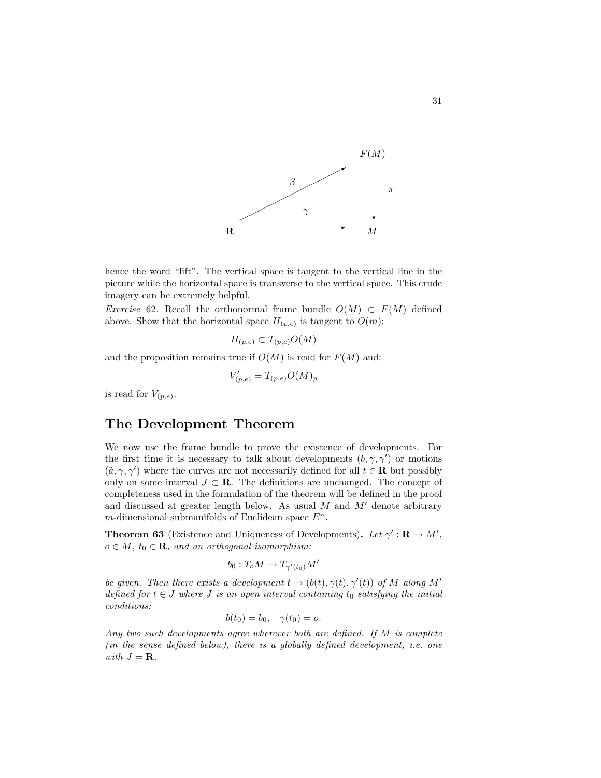

hence the word "lift". The vertical space is tangent to the vertical line in the picture while the horizontal space is transverse to the vertical space. This crude imagery can be extremely helpful.

Exercise 62. Recall the orthonormal frame bundle  $O(M) \subset F(M)$  defined above. Show that the horizontal space  $H_{(p,e)}$  is tangent to  $O(m)$ :

$$
H_{(p,e)} \subset T_{(p,e)}O(M)
$$

and the proposition remains true if  $O(M)$  is read for  $F(M)$  and:

$$
V'_{(p,e)} = T_{(p,e)}O(M)_p
$$

is read for  $V_{(p,e)}$ .

#### The Development Theorem

We now use the frame bundle to prove the existence of developments. For the first time it is necessary to talk about developments  $(b, \gamma, \gamma')$  or motions  $(\tilde{a}, \gamma, \gamma')$  where the curves are not necessarily defined for all  $t \in \mathbf{R}$  but possibly only on some interval  $J \subset \mathbf{R}$ . The definitions are unchanged. The concept of completeness used in the formulation of the theorem will be defined in the proof and discussed at greater length below. As usual  $M$  and  $M'$  denote arbitrary m-dimensional submanifolds of Euclidean space  $E^n$ .

**Theorem 63** (Existence and Uniqueness of Developments). Let  $\gamma' : \mathbf{R} \to M'$ ,  $o \in M$ ,  $t_0 \in \mathbf{R}$ , and an orthogonal isomorphism:

$$
b_0: T_oM \to T_{\gamma'(t_0)}M'
$$

be given. Then there exists a development  $t \to (b(t), \gamma(t), \gamma'(t))$  of M along M' defined for  $t \in J$  where  $J$  is an open interval containing  $t_0$  satisfying the initial conditions:

$$
b(t_0) = b_0, \quad \gamma(t_0) = o.
$$

Any two such developments agree wherever both are defined. If M is complete (in the sense defined below), there is a globally defined development, i.e. one with  $J = \mathbf{R}$ .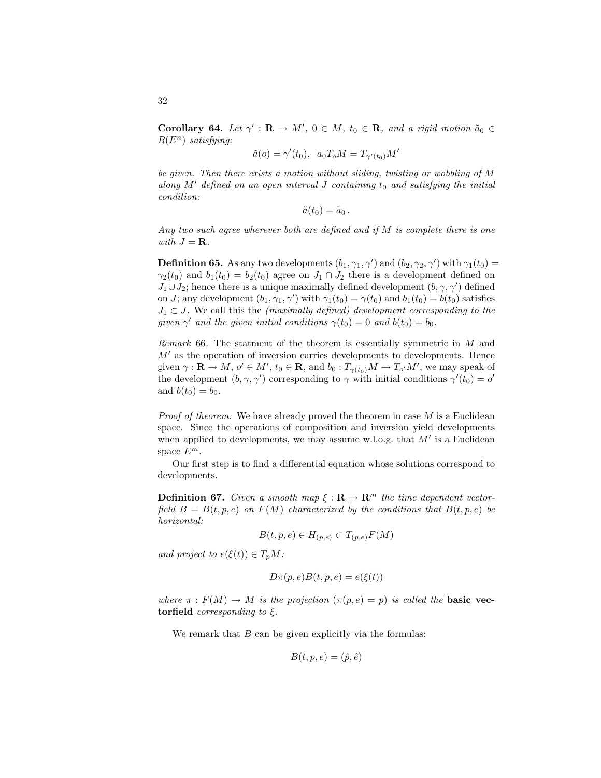**Corollary 64.** Let  $\gamma' : \mathbf{R} \to M'$ ,  $0 \in M$ ,  $t_0 \in \mathbf{R}$ , and a rigid motion  $\tilde{a}_0 \in$  $R(E^n)$  satisfying:

$$
\tilde{a}(o) = \gamma'(t_0), \ a_0 T_o M = T_{\gamma'(t_0)} M'
$$

be given. Then there exists a motion without sliding, twisting or wobbling of M along M<sup>'</sup> defined on an open interval J containing  $t_0$  and satisfying the initial condition:

$$
\tilde{a}(t_0)=\tilde{a}_0.
$$

Any two such agree wherever both are defined and if M is complete there is one with  $J = \mathbf{R}$ .

**Definition 65.** As any two developments  $(b_1, \gamma_1, \gamma')$  and  $(b_2, \gamma_2, \gamma')$  with  $\gamma_1(t_0)$  =  $\gamma_2(t_0)$  and  $b_1(t_0) = b_2(t_0)$  agree on  $J_1 \cap J_2$  there is a development defined on  $J_1 \cup J_2$ ; hence there is a unique maximally defined development  $(b, \gamma, \gamma')$  defined on *J*; any development  $(b_1, \gamma_1, \gamma')$  with  $\gamma_1(t_0) = \gamma(t_0)$  and  $b_1(t_0) = b(t_0)$  satisfies  $J_1 \subset J$ . We call this the *(maximally defined)* development corresponding to the given  $\gamma'$  and the given initial conditions  $\gamma(t_0) = 0$  and  $b(t_0) = b_0$ .

Remark 66. The statment of the theorem is essentially symmetric in M and  $M'$  as the operation of inversion carries developments to developments. Hence given  $\gamma: \mathbf{R} \to M$ ,  $o' \in M'$ ,  $t_0 \in \mathbf{R}$ , and  $b_0: T_{\gamma(t_0)}M \to T_{o'}M'$ , we may speak of the development  $(b, \gamma, \gamma')$  corresponding to  $\gamma$  with initial conditions  $\gamma'(t_0) = o'$ and  $b(t_0) = b_0$ .

*Proof of theorem.* We have already proved the theorem in case  $M$  is a Euclidean space. Since the operations of composition and inversion yield developments when applied to developments, we may assume w.l.o.g. that  $M'$  is a Euclidean space  $E^m$ .

Our first step is to find a differential equation whose solutions correspond to developments.

**Definition 67.** Given a smooth map  $\xi : \mathbf{R} \to \mathbf{R}^m$  the time dependent vectorfield  $B = B(t, p, e)$  on  $F(M)$  characterized by the conditions that  $B(t, p, e)$  be horizontal:

$$
B(t, p, e) \in H_{(p,e)} \subset T_{(p,e)}F(M)
$$

and project to  $e(\xi(t)) \in T_pM$ :

$$
D\pi(p, e)B(t, p, e) = e(\xi(t))
$$

where  $\pi : F(M) \to M$  is the projection  $(\pi(p, e) = p)$  is called the **basic vec**torfield *corresponding to*  $\xi$ *.* 

We remark that  $B$  can be given explicitly via the formulas:

$$
B(t, p, e) = (\hat{p}, \hat{e})
$$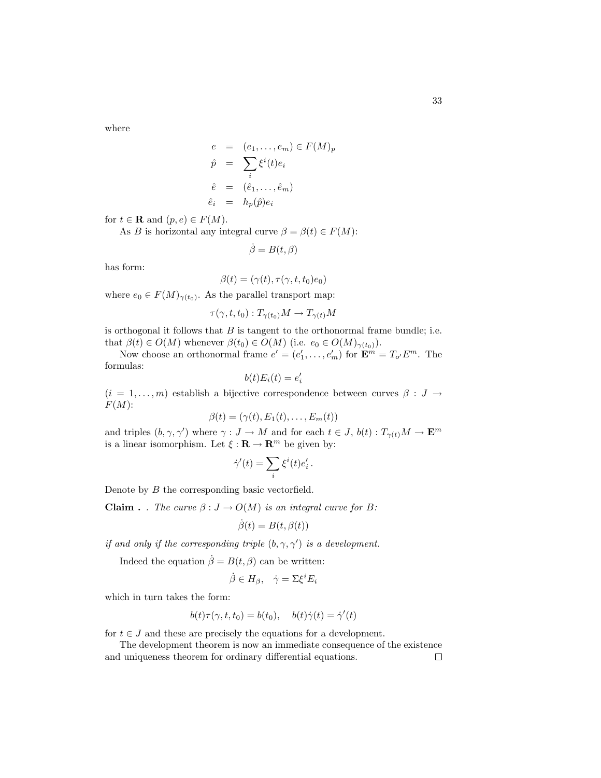where

$$
e = (e_1, \dots, e_m) \in F(M)_p
$$
  
\n
$$
\hat{p} = \sum_i \xi^i(t) e_i
$$
  
\n
$$
\hat{e} = (\hat{e}_1, \dots, \hat{e}_m)
$$
  
\n
$$
\hat{e}_i = h_p(\hat{p}) e_i
$$

for  $t \in \mathbf{R}$  and  $(p, e) \in F(M)$ .

As B is horizontal any integral curve  $\beta = \beta(t) \in F(M)$ :

$$
\dot{\beta} = B(t, \beta)
$$

has form:

$$
\beta(t) = (\gamma(t), \tau(\gamma, t, t_0)e_0)
$$

where  $e_0 \in F(M)_{\gamma(t_0)}$ . As the parallel transport map:

$$
\tau(\gamma, t, t_0) : T_{\gamma(t_0)}M \to T_{\gamma(t)}M
$$

is orthogonal it follows that  $B$  is tangent to the orthonormal frame bundle; i.e. that  $\beta(t) \in O(M)$  whenever  $\beta(t_0) \in O(M)$  (i.e.  $e_0 \in O(M)_{\gamma(t_0)}$ ).

Now choose an orthonormal frame  $e' = (e'_1, \ldots, e'_m)$  for  $\mathbf{E}^m = T_{o'} E^m$ . The formulas:

$$
b(t)E_i(t) = e_i'
$$

 $(i = 1, \ldots, m)$  establish a bijective correspondence between curves  $\beta : J \to$  $F(M)$ :

$$
\beta(t) = (\gamma(t), E_1(t), \dots, E_m(t))
$$

and triples  $(b, \gamma, \gamma')$  where  $\gamma : J \to M$  and for each  $t \in J$ ,  $b(t) : T_{\gamma(t)}M \to \mathbf{E}^m$ is a linear isomorphism. Let  $\xi : \mathbf{R} \to \mathbf{R}^m$  be given by:

$$
\dot{\gamma}'(t)=\sum_i\xi^i(t)e_i'
$$

.

Denote by B the corresponding basic vectorfield.

**Claim** . . The curve  $\beta : J \to O(M)$  is an integral curve for B:

$$
\dot{\beta}(t) = B(t, \beta(t))
$$

if and only if the corresponding triple  $(b, \gamma, \gamma')$  is a development.

Indeed the equation  $\dot{\beta} = B(t, \beta)$  can be written:

$$
\dot{\beta} \in H_{\beta}, \quad \dot{\gamma} = \Sigma \xi^{i} E_{i}
$$

which in turn takes the form:

$$
b(t)\tau(\gamma, t, t_0) = b(t_0), \quad b(t)\dot{\gamma}(t) = \dot{\gamma}'(t)
$$

for  $t \in J$  and these are precisely the equations for a development.

The development theorem is now an immediate consequence of the existence and uniqueness theorem for ordinary differential equations. $\Box$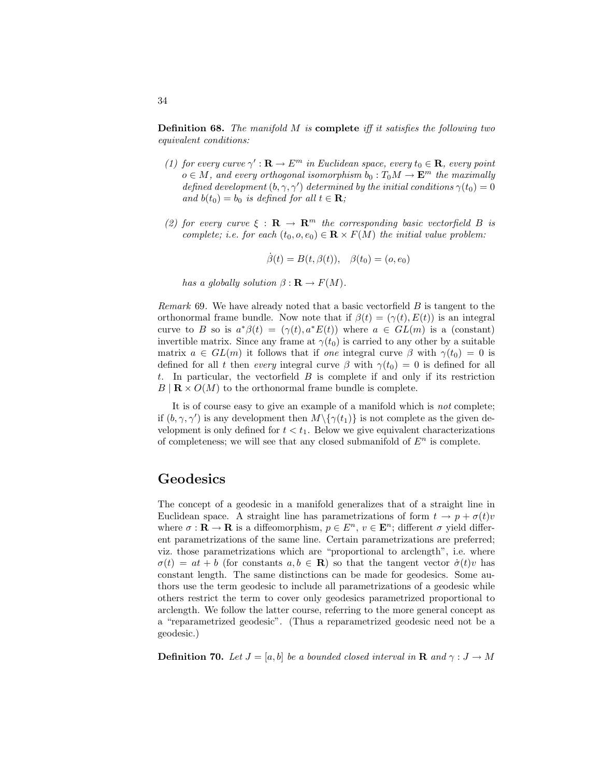**Definition 68.** The manifold  $M$  is **complete** iff it satisfies the following two equivalent conditions:

- (1) for every curve  $\gamma': \mathbf{R} \to E^m$  in Euclidean space, every  $t_0 \in \mathbf{R}$ , every point  $o \in M$ , and every orthogonal isomorphism  $b_0: T_0M \to \mathbf{E}^m$  the maximally defined development  $(b, \gamma, \gamma')$  determined by the initial conditions  $\gamma(t_0) = 0$ and  $b(t_0) = b_0$  is defined for all  $t \in \mathbf{R}$ ;
- (2) for every curve  $\xi : \mathbf{R} \to \mathbf{R}^m$  the corresponding basic vectorfield B is complete; i.e. for each  $(t_0, o, e_0) \in \mathbf{R} \times F(M)$  the initial value problem:

$$
\dot{\beta}(t) = B(t, \beta(t)), \quad \beta(t_0) = (o, e_0)
$$

has a globally solution  $\beta : \mathbf{R} \to F(M)$ .

Remark  $69$ . We have already noted that a basic vectorfield  $B$  is tangent to the orthonormal frame bundle. Now note that if  $\beta(t) = (\gamma(t), E(t))$  is an integral curve to B so is  $a^*\beta(t) = (\gamma(t), a^*E(t))$  where  $a \in GL(m)$  is a (constant) invertible matrix. Since any frame at  $\gamma(t_0)$  is carried to any other by a suitable matrix  $a \in GL(m)$  it follows that if one integral curve  $\beta$  with  $\gamma(t_0) = 0$  is defined for all t then every integral curve  $\beta$  with  $\gamma(t_0) = 0$  is defined for all t. In particular, the vectorfield  $B$  is complete if and only if its restriction  $B | \mathbf{R} \times O(M)$  to the orthonormal frame bundle is complete.

It is of course easy to give an example of a manifold which is not complete; if  $(b, \gamma, \gamma')$  is any development then  $M \setminus {\gamma(t_1)}$  is not complete as the given development is only defined for  $t < t_1$ . Below we give equivalent characterizations of completeness; we will see that any closed submanifold of  $E<sup>n</sup>$  is complete.

#### Geodesics

The concept of a geodesic in a manifold generalizes that of a straight line in Euclidean space. A straight line has parametrizations of form  $t \to p + \sigma(t)v$ where  $\sigma : \mathbf{R} \to \mathbf{R}$  is a diffeomorphism,  $p \in E^n$ ,  $v \in \mathbf{E}^n$ ; different  $\sigma$  yield different parametrizations of the same line. Certain parametrizations are preferred; viz. those parametrizations which are "proportional to arclength", i.e. where  $\sigma(t) = at + b$  (for constants  $a, b \in \mathbf{R}$ ) so that the tangent vector  $\dot{\sigma}(t)v$  has constant length. The same distinctions can be made for geodesics. Some authors use the term geodesic to include all parametrizations of a geodesic while others restrict the term to cover only geodesics parametrized proportional to arclength. We follow the latter course, referring to the more general concept as a "reparametrized geodesic". (Thus a reparametrized geodesic need not be a geodesic.)

**Definition 70.** Let  $J = [a, b]$  be a bounded closed interval in **R** and  $\gamma : J \to M$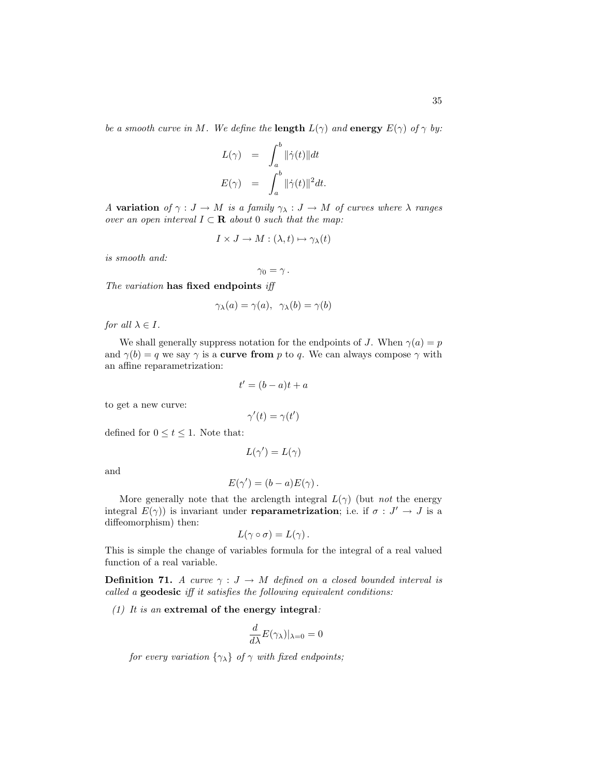be a smooth curve in M. We define the **length**  $L(\gamma)$  and **energy**  $E(\gamma)$  of  $\gamma$  by:

$$
L(\gamma) = \int_a^b ||\dot{\gamma}(t)||dt
$$
  

$$
E(\gamma) = \int_a^b ||\dot{\gamma}(t)||^2 dt.
$$

A variation of  $\gamma : J \to M$  is a family  $\gamma_{\lambda} : J \to M$  of curves where  $\lambda$  ranges over an open interval  $I \subset \mathbf{R}$  about 0 such that the map:

$$
I \times J \to M : (\lambda, t) \mapsto \gamma_{\lambda}(t)
$$

is smooth and:

$$
\gamma_0=\gamma\,.
$$

The variation has fixed endpoints iff

$$
\gamma_{\lambda}(a) = \gamma(a), \ \ \gamma_{\lambda}(b) = \gamma(b)
$$

for all  $\lambda \in I$ .

We shall generally suppress notation for the endpoints of J. When  $\gamma(a) = p$ and  $\gamma(b) = q$  we say  $\gamma$  is a **curve from** p to q. We can always compose  $\gamma$  with an affine reparametrization:

$$
t' = (b - a)t + a
$$

to get a new curve:

$$
\gamma'(t) = \gamma(t')
$$

defined for  $0 \le t \le 1$ . Note that:

$$
L(\gamma')=L(\gamma)
$$

and

$$
E(\gamma') = (b - a)E(\gamma).
$$

More generally note that the arclength integral  $L(\gamma)$  (but not the energy integral  $E(\gamma)$  is invariant under **reparametrization**; i.e. if  $\sigma : J' \to J$  is a diffeomorphism) then:

$$
L(\gamma \circ \sigma) = L(\gamma).
$$

This is simple the change of variables formula for the integral of a real valued function of a real variable.

**Definition 71.** A curve  $\gamma : J \to M$  defined on a closed bounded interval is called a geodesic iff it satisfies the following equivalent conditions:

#### $(1)$  It is an extremal of the energy integral:

$$
\frac{d}{d\lambda}E(\gamma_{\lambda})|_{\lambda=0}=0
$$

for every variation  $\{\gamma_{\lambda}\}\$  of  $\gamma$  with fixed endpoints;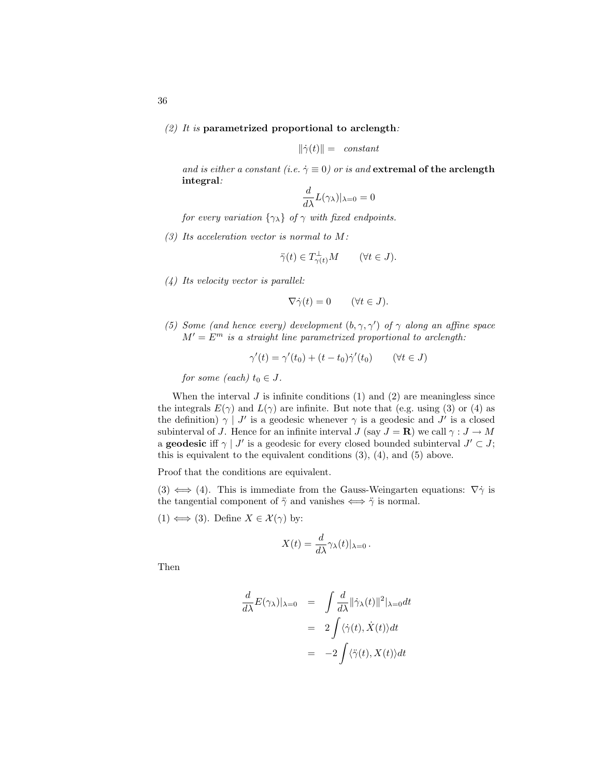$$
\|\dot{\gamma}(t)\| = \text{ constant}
$$

and is either a constant (i.e.  $\dot{\gamma} \equiv 0$ ) or is and extremal of the arclength integral:

$$
\frac{d}{d\lambda}L(\gamma_{\lambda})|_{\lambda=0}=0
$$

for every variation  $\{\gamma_{\lambda}\}\$  of  $\gamma$  with fixed endpoints.

 $(3)$  Its acceleration vector is normal to M:

$$
\ddot{\gamma}(t) \in T_{\gamma(t)}^{\perp} M \qquad (\forall t \in J).
$$

(4) Its velocity vector is parallel:

$$
\nabla \dot{\gamma}(t) = 0 \qquad (\forall t \in J).
$$

(5) Some (and hence every) development  $(b, \gamma, \gamma')$  of  $\gamma$  along an affine space  $M' = E^m$  is a straight line parametrized proportional to arclength:

$$
\gamma'(t) = \gamma'(t_0) + (t - t_0)\dot{\gamma}'(t_0) \qquad (\forall t \in J)
$$

for some (each)  $t_0 \in J$ .

When the interval  $J$  is infinite conditions (1) and (2) are meaningless since the integrals  $E(\gamma)$  and  $L(\gamma)$  are infinite. But note that (e.g. using (3) or (4) as the definition)  $\gamma$  | J' is a geodesic whenever  $\gamma$  is a geodesic and J' is a closed subinterval of J. Hence for an infinite interval J (say  $J = \mathbf{R}$ ) we call  $\gamma : J \to M$ a **geodesic** if  $\gamma \mid J'$  is a geodesic for every closed bounded subinterval  $J' \subset J$ ; this is equivalent to the equivalent conditions  $(3)$ ,  $(4)$ , and  $(5)$  above.

Proof that the conditions are equivalent.

(3)  $\iff$  (4). This is immediate from the Gauss-Weingarten equations:  $\nabla \dot{\gamma}$  is the tangential component of  $\ddot{\gamma}$  and vanishes  $\iff \ddot{\gamma}$  is normal.

 $(1) \Longleftrightarrow (3)$ . Define  $X \in \mathcal{X}(\gamma)$  by:

$$
X(t) = \frac{d}{d\lambda} \gamma_{\lambda}(t)|_{\lambda=0}.
$$

Then

$$
\frac{d}{d\lambda}E(\gamma_{\lambda})|_{\lambda=0} = \int \frac{d}{d\lambda} ||\dot{\gamma}_{\lambda}(t)||^2|_{\lambda=0} dt
$$

$$
= 2 \int \langle \dot{\gamma}(t), \dot{X}(t) \rangle dt
$$

$$
= -2 \int \langle \ddot{\gamma}(t), X(t) \rangle dt
$$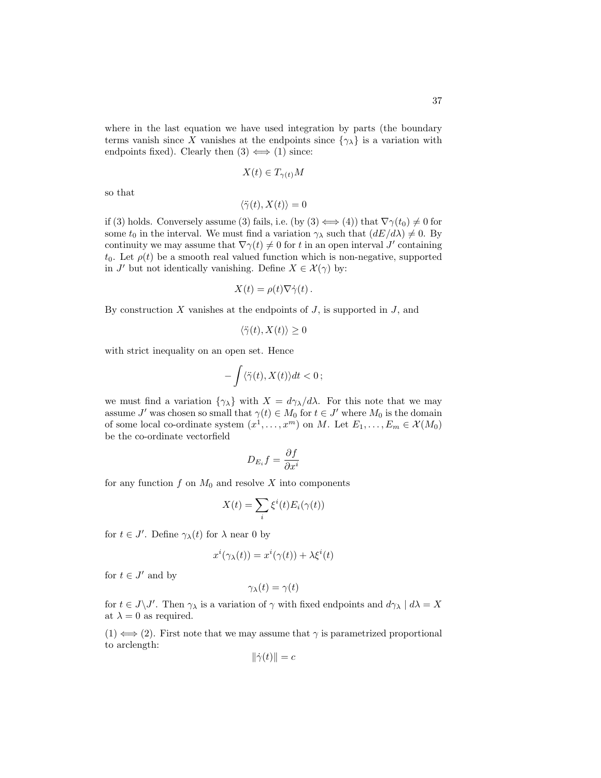where in the last equation we have used integration by parts (the boundary terms vanish since X vanishes at the endpoints since  $\{\gamma_{\lambda}\}\$ is a variation with endpoints fixed). Clearly then  $(3) \iff (1)$  since:

$$
X(t) \in T_{\gamma(t)}M
$$

so that

$$
\langle \ddot{\gamma}(t), X(t) \rangle = 0
$$

if (3) holds. Conversely assume (3) fails, i.e. (by  $(3) \iff (4)$ ) that  $\nabla \gamma(t_0) \neq 0$  for some  $t_0$  in the interval. We must find a variation  $\gamma_\lambda$  such that  $(dE/d\lambda) \neq 0$ . By continuity we may assume that  $\nabla \gamma(t) \neq 0$  for t in an open interval J' containing  $t_0$ . Let  $\rho(t)$  be a smooth real valued function which is non-negative, supported in J' but not identically vanishing. Define  $X \in \mathcal{X}(\gamma)$  by:

$$
X(t) = \rho(t)\nabla \dot{\gamma}(t).
$$

By construction  $X$  vanishes at the endpoints of  $J$ , is supported in  $J$ , and

$$
\langle \ddot{\gamma}(t), X(t) \rangle \ge 0
$$

with strict inequality on an open set. Hence

$$
-\int \langle \ddot{\gamma}(t), X(t) \rangle dt < 0 \,;
$$

we must find a variation  $\{\gamma_{\lambda}\}\$  with  $X = d\gamma_{\lambda}/d\lambda$ . For this note that we may assume  $J'$  was chosen so small that  $\gamma(t) \in M_0$  for  $t \in J'$  where  $M_0$  is the domain of some local co-ordinate system  $(x^1, \ldots, x^m)$  on M. Let  $E_1, \ldots, E_m \in \mathcal{X}(M_0)$ be the co-ordinate vectorfield

$$
D_{E_i}f = \frac{\partial f}{\partial x^i}
$$

for any function  $f$  on  $M_0$  and resolve  $X$  into components

$$
X(t) = \sum_{i} \xi^{i}(t) E_{i}(\gamma(t))
$$

for  $t \in J'$ . Define  $\gamma_{\lambda}(t)$  for  $\lambda$  near 0 by

$$
x^{i}(\gamma_{\lambda}(t)) = x^{i}(\gamma(t)) + \lambda \xi^{i}(t)
$$

for  $t \in J'$  and by

$$
\gamma_{\lambda}(t) = \gamma(t)
$$

for  $t \in J \backslash J'$ . Then  $\gamma_{\lambda}$  is a variation of  $\gamma$  with fixed endpoints and  $d\gamma_{\lambda} \mid d\lambda = X$ at  $\lambda = 0$  as required.

 $(1) \Leftrightarrow (2)$ . First note that we may assume that  $\gamma$  is parametrized proportional to arclength:

$$
\|\dot{\gamma}(t)\| = c
$$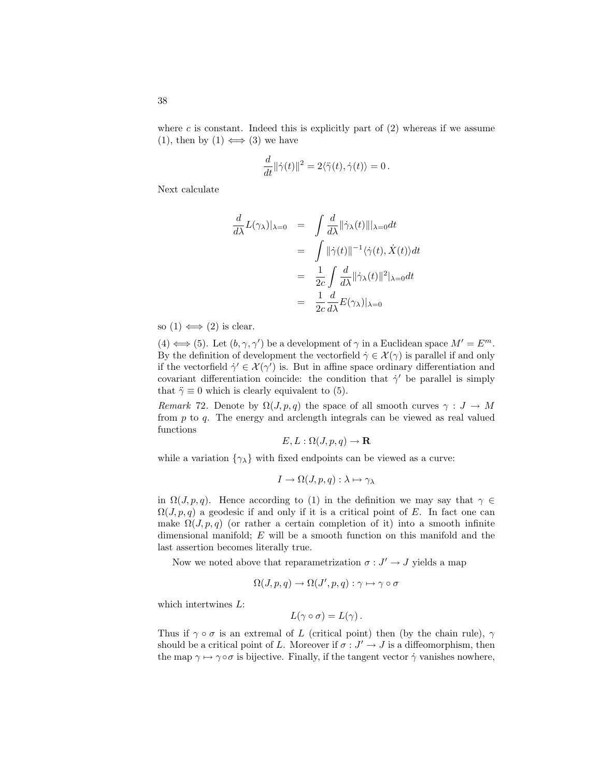where c is constant. Indeed this is explicitly part of  $(2)$  whereas if we assume (1), then by (1)  $\Longleftrightarrow$  (3) we have

$$
\frac{d}{dt}\|\dot\gamma(t)\|^2=2\langle\ddot\gamma(t),\dot\gamma(t)\rangle=0\,.
$$

Next calculate

$$
\frac{d}{d\lambda}L(\gamma_{\lambda})|_{\lambda=0} = \int \frac{d}{d\lambda} ||\dot{\gamma}_{\lambda}(t)|||_{\lambda=0} dt
$$
  
\n
$$
= \int ||\dot{\gamma}(t)||^{-1} \langle \dot{\gamma}(t), \dot{X}(t) \rangle dt
$$
  
\n
$$
= \frac{1}{2c} \int \frac{d}{d\lambda} ||\dot{\gamma}_{\lambda}(t)||^{2}|_{\lambda=0} dt
$$
  
\n
$$
= \frac{1}{2c} \frac{d}{d\lambda} E(\gamma_{\lambda})|_{\lambda=0}
$$

so  $(1) \iff (2)$  is clear.

 $(4) \Longleftrightarrow (5)$ . Let  $(b, \gamma, \gamma')$  be a development of  $\gamma$  in a Euclidean space  $M' = E^m$ . By the definition of development the vectorfield  $\dot{\gamma} \in \mathcal{X}(\gamma)$  is parallel if and only if the vectorfield  $\dot{\gamma}' \in \mathcal{X}(\gamma')$  is. But in affine space ordinary differentiation and covariant differentiation coincide: the condition that  $\dot{\gamma}$  be parallel is simply that  $\ddot{\gamma} \equiv 0$  which is clearly equivalent to (5).

Remark 72. Denote by  $\Omega(J, p, q)$  the space of all smooth curves  $\gamma : J \to M$ from  $p$  to  $q$ . The energy and arclength integrals can be viewed as real valued functions

$$
E, L: \Omega(J, p, q) \to \mathbf{R}
$$

while a variation  $\{\gamma_{\lambda}\}\$  with fixed endpoints can be viewed as a curve:

$$
I \to \Omega(J, p, q) : \lambda \mapsto \gamma_{\lambda}
$$

in  $\Omega(J, p, q)$ . Hence according to (1) in the definition we may say that  $\gamma \in$  $\Omega(J, p, q)$  a geodesic if and only if it is a critical point of E. In fact one can make  $\Omega(J, p, q)$  (or rather a certain completion of it) into a smooth infinite dimensional manifold; E will be a smooth function on this manifold and the last assertion becomes literally true.

Now we noted above that reparametrization  $\sigma: J' \to J$  yields a map

$$
\Omega(J,p,q) \to \Omega(J',p,q) : \gamma \mapsto \gamma \circ \sigma
$$

which intertwines L:

$$
L(\gamma \circ \sigma) = L(\gamma).
$$

Thus if  $\gamma \circ \sigma$  is an extremal of L (critical point) then (by the chain rule),  $\gamma$ should be a critical point of L. Moreover if  $\sigma: J' \to J$  is a diffeomorphism, then the map  $\gamma \mapsto \gamma \circ \sigma$  is bijective. Finally, if the tangent vector  $\dot{\gamma}$  vanishes nowhere,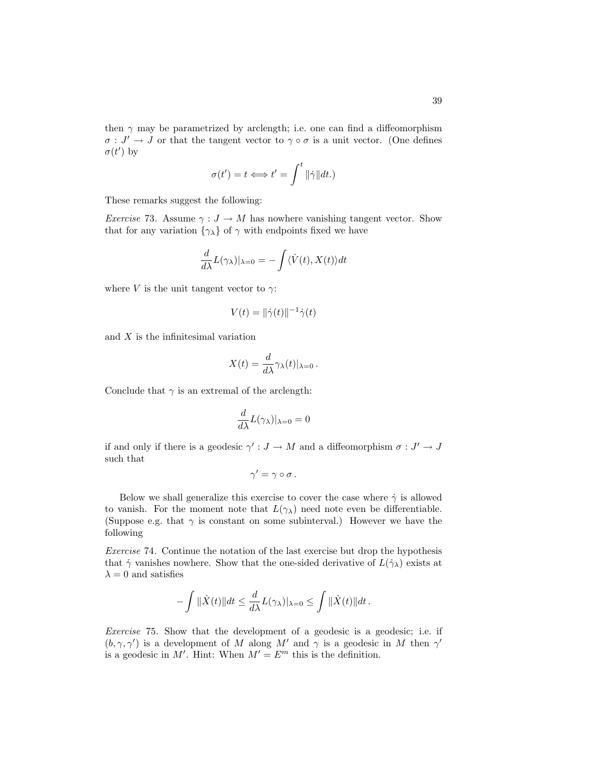then  $\gamma$  may be parametrized by arclength; i.e. one can find a diffeomorphism  $\sigma: J' \to J$  or that the tangent vector to  $\gamma \circ \sigma$  is a unit vector. (One defines  $\sigma(t')$  by

$$
\sigma(t') = t \Longleftrightarrow t' = \int^t \|\dot{\gamma}\| dt.
$$

These remarks suggest the following:

*Exercise* 73. Assume  $\gamma : J \to M$  has nowhere vanishing tangent vector. Show that for any variation  $\{\gamma_{\lambda}\}$  of  $\gamma$  with endpoints fixed we have

$$
\frac{d}{d\lambda}L(\gamma_{\lambda})|_{\lambda=0} = -\int \langle \dot{V}(t), X(t) \rangle dt
$$

where V is the unit tangent vector to  $\gamma$ :

$$
V(t) = \|\dot{\gamma}(t)\|^{-1}\dot{\gamma}(t)
$$

and X is the infinitesimal variation

$$
X(t) = \frac{d}{d\lambda} \gamma_{\lambda}(t)|_{\lambda=0}.
$$

Conclude that  $\gamma$  is an extremal of the arclength:

$$
\frac{d}{d\lambda}L(\gamma_{\lambda})|_{\lambda=0}=0
$$

if and only if there is a geodesic  $\gamma': J \to M$  and a diffeomorphism  $\sigma: J' \to J$ such that

$$
\gamma' = \gamma \circ \sigma.
$$

Below we shall generalize this exercise to cover the case where  $\dot{\gamma}$  is allowed to vanish. For the moment note that  $L(\gamma_{\lambda})$  need note even be differentiable. (Suppose e.g. that  $\gamma$  is constant on some subinterval.) However we have the following

Exercise 74. Continue the notation of the last exercise but drop the hypothesis that  $\dot{\gamma}$  vanishes nowhere. Show that the one-sided derivative of  $L(\dot{\gamma}_{\lambda})$  exists at  $\lambda = 0$  and satisfies

$$
-\int \|\dot{X}(t)\|dt \leq \frac{d}{d\lambda}L(\gamma_{\lambda})|_{\lambda=0} \leq \int \|\dot{X}(t)\|dt.
$$

Exercise 75. Show that the development of a geodesic is a geodesic; i.e. if  $(b, \gamma, \gamma')$  is a development of M along M' and  $\gamma$  is a geodesic in M then  $\gamma'$ is a geodesic in M'. Hint: When  $M' = E^m$  this is the definition.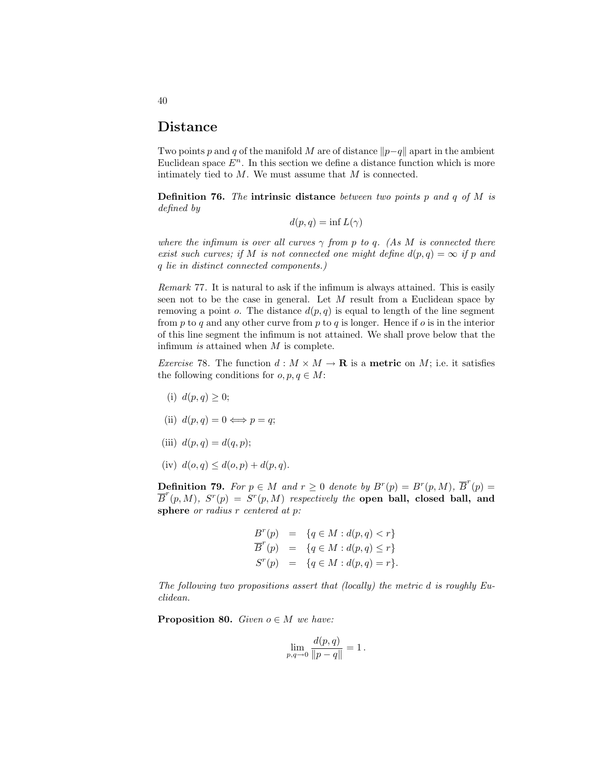### Distance

Two points p and q of the manifold M are of distance  $||p-q||$  apart in the ambient Euclidean space  $E<sup>n</sup>$ . In this section we define a distance function which is more intimately tied to M. We must assume that M is connected.

**Definition 76.** The intrinsic distance between two points p and q of M is defined by

$$
d(p,q) = \inf L(\gamma)
$$

where the infimum is over all curves  $\gamma$  from p to q. (As M is connected there exist such curves; if M is not connected one might define  $d(p, q) = \infty$  if p and q lie in distinct connected components.)

Remark 77. It is natural to ask if the infimum is always attained. This is easily seen not to be the case in general. Let M result from a Euclidean space by removing a point o. The distance  $d(p, q)$  is equal to length of the line segment from p to q and any other curve from p to q is longer. Hence if  $o$  is in the interior of this line segment the infimum is not attained. We shall prove below that the infimum is attained when M is complete.

*Exercise* 78. The function  $d : M \times M \to \mathbf{R}$  is a **metric** on M; i.e. it satisfies the following conditions for  $o, p, q \in M$ :

- (i)  $d(p, q) > 0$ ;
- (ii)  $d(p, q) = 0 \Longleftrightarrow p = q;$
- (iii)  $d(p, q) = d(q, p);$
- (iv)  $d(o,q) \leq d(o,p) + d(p,q)$ .

**Definition 79.** For  $p \in M$  and  $r \ge 0$  denote by  $B^r(p) = B^r(p, M)$ ,  $\overline{B}^r(p) =$  $\overline{B}^r(p,M)$ ,  $S^r(p) = S^r(p,M)$  respectively the open ball, closed ball, and sphere *or radius* r centered at p:

$$
B^{r}(p) = \{q \in M : d(p,q) < r\}
$$
  

$$
\overline{B}^{r}(p) = \{q \in M : d(p,q) \leq r\}
$$
  

$$
S^{r}(p) = \{q \in M : d(p,q) = r\}.
$$

The following two propositions assert that (locally) the metric d is roughly Euclidean.

**Proposition 80.** Given  $o \in M$  we have:

$$
\lim_{p,q \to 0} \frac{d(p,q)}{\|p-q\|} = 1.
$$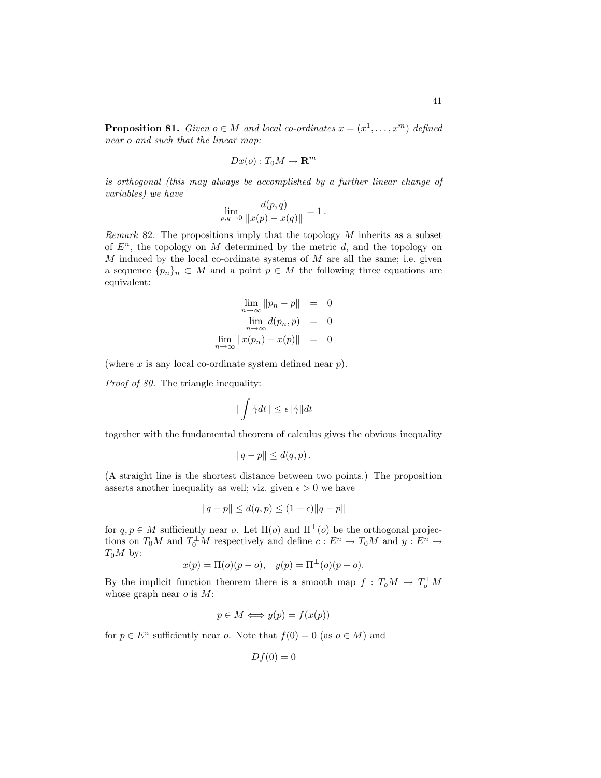**Proposition 81.** Given  $o \in M$  and local co-ordinates  $x = (x^1, \ldots, x^m)$  defined near o and such that the linear map:

$$
Dx(o):T_0M\to\mathbf{R}^m
$$

is orthogonal (this may always be accomplished by a further linear change of variables) we have

$$
\lim_{p,q \to 0} \frac{d(p,q)}{\|x(p) - x(q)\|} = 1.
$$

*Remark* 82. The propositions imply that the topology  $M$  inherits as a subset of  $E<sup>n</sup>$ , the topology on M determined by the metric d, and the topology on  $M$  induced by the local co-ordinate systems of  $M$  are all the same; i.e. given a sequence  $\{p_n\}_n \subset M$  and a point  $p \in M$  the following three equations are equivalent:

$$
\lim_{n \to \infty} \|p_n - p\| = 0
$$
  

$$
\lim_{n \to \infty} d(p_n, p) = 0
$$
  

$$
\lim_{n \to \infty} \|x(p_n) - x(p)\| = 0
$$

(where  $x$  is any local co-ordinate system defined near  $p$ ).

Proof of 80. The triangle inequality:

$$
\|\int \dot{\gamma} dt\| \leq \epsilon \|\dot{\gamma}\| dt
$$

together with the fundamental theorem of calculus gives the obvious inequality

$$
||q-p|| \leq d(q,p).
$$

(A straight line is the shortest distance between two points.) The proposition asserts another inequality as well; viz. given  $\epsilon > 0$  we have

$$
||q - p|| \le d(q, p) \le (1 + \epsilon) ||q - p||
$$

for  $q, p \in M$  sufficiently near o. Let  $\Pi(o)$  and  $\Pi^{\perp}(o)$  be the orthogonal projections on  $T_0M$  and  $T_0^{\perp}M$  respectively and define  $c: E^n \to T_0M$  and  $y: E^n \to$  $T_0M$  by:

$$
x(p) = \Pi(o)(p - o), \quad y(p) = \Pi^{\perp}(o)(p - o).
$$

By the implicit function theorem there is a smooth map  $f: T_oM \to T_o^{\perp}M$ whose graph near  $o$  is  $M$ :

$$
p \in M \Longleftrightarrow y(p) = f(x(p))
$$

for  $p \in E^n$  sufficiently near o. Note that  $f(0) = 0$  (as  $o \in M$ ) and

$$
Df(0) = 0
$$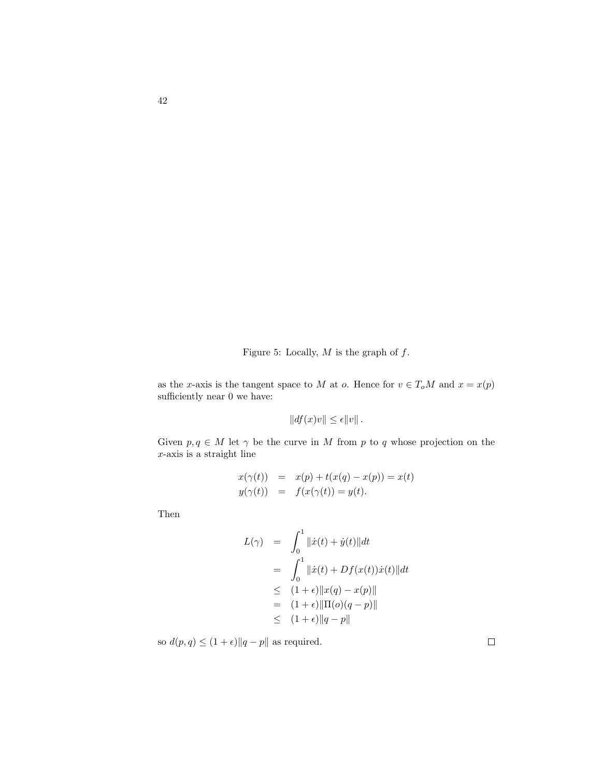Figure 5: Locally,  $M$  is the graph of  $f$ .

as the x-axis is the tangent space to M at o. Hence for  $v \in T_oM$  and  $x = x(p)$ sufficiently near 0 we have:

$$
||df(x)v|| \le \epsilon ||v||.
$$

Given  $p, q \in M$  let  $\gamma$  be the curve in M from p to q whose projection on the  $x$ -axis is a straight line

$$
x(\gamma(t)) = x(p) + t(x(q) - x(p)) = x(t)
$$
  

$$
y(\gamma(t)) = f(x(\gamma(t)) = y(t).
$$

Then

$$
L(\gamma) = \int_0^1 ||\dot{x}(t) + \dot{y}(t)||dt
$$
  
= 
$$
\int_0^1 ||\dot{x}(t) + Df(x(t))\dot{x}(t)||dt
$$
  

$$
\leq (1 + \epsilon) ||x(q) - x(p)||
$$
  
= 
$$
(1 + \epsilon) ||\Pi(o)(q - p)||
$$
  

$$
\leq (1 + \epsilon) ||q - p||
$$

so  $d(p, q) \leq (1 + \epsilon) \|q - p\|$  as required.

 $\Box$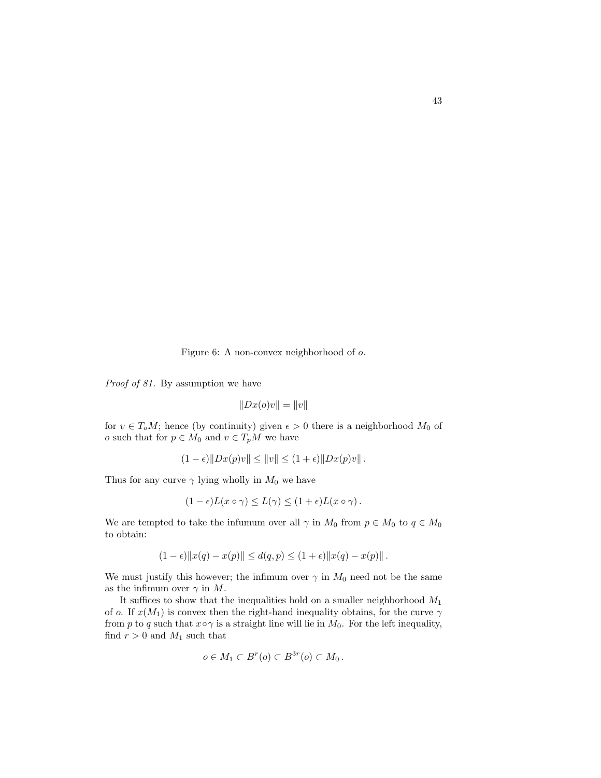Figure 6: A non-convex neighborhood of o.

Proof of 81. By assumption we have

$$
||Dx(o)v|| = ||v||
$$

for  $v \in T_oM$ ; hence (by continuity) given  $\epsilon > 0$  there is a neighborhood  $M_0$  of o such that for  $p \in M_0$  and  $v \in T_pM$  we have

$$
(1 - \epsilon) \|Dx(p)v\| \le \|v\| \le (1 + \epsilon) \|Dx(p)v\|.
$$

Thus for any curve  $\gamma$  lying wholly in  $M_0$  we have

$$
(1 - \epsilon)L(x \circ \gamma) \le L(\gamma) \le (1 + \epsilon)L(x \circ \gamma).
$$

We are tempted to take the infumum over all  $\gamma$  in  $M_0$  from  $p \in M_0$  to  $q \in M_0$ to obtain:

$$
(1 - \epsilon) \|x(q) - x(p)\| \le d(q, p) \le (1 + \epsilon) \|x(q) - x(p)\|.
$$

We must justify this however; the infimum over  $\gamma$  in  $M_0$  need not be the same as the infimum over  $\gamma$  in M.

It suffices to show that the inequalities hold on a smaller neighborhood  $M_1$ of o. If  $x(M_1)$  is convex then the right-hand inequality obtains, for the curve  $\gamma$ from p to q such that  $x \circ \gamma$  is a straight line will lie in  $M_0$ . For the left inequality, find  $r > 0$  and  $M_1$  such that

$$
o \in M_1 \subset B^r(o) \subset B^{3r}(o) \subset M_0.
$$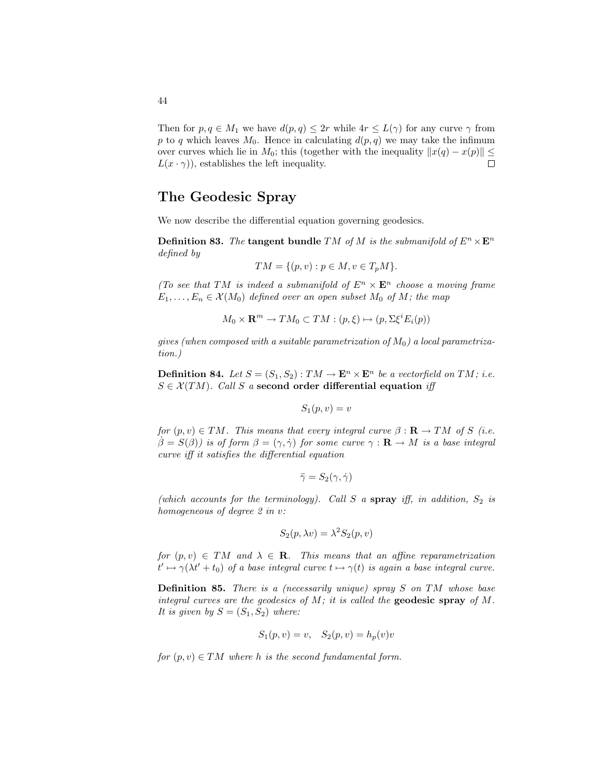Then for  $p, q \in M_1$  we have  $d(p, q) \leq 2r$  while  $4r \leq L(\gamma)$  for any curve  $\gamma$  from p to q which leaves  $M_0$ . Hence in calculating  $d(p, q)$  we may take the infimum over curves which lie in  $M_0$ ; this (together with the inequality  $||x(q) - x(p)|| \le$  $L(x \cdot \gamma)$ , establishes the left inequality.  $\Box$ 

# The Geodesic Spray

We now describe the differential equation governing geodesics.

**Definition 83.** The tangent bundle TM of M is the submanifold of  $E^n \times E^n$ defined by

$$
TM = \{(p, v) : p \in M, v \in T_pM\}.
$$

(To see that TM is indeed a submanifold of  $E<sup>n</sup> \times E<sup>n</sup>$  choose a moving frame  $E_1, \ldots, E_n \in \mathcal{X}(M_0)$  defined over an open subset  $M_0$  of  $M$ ; the map

$$
M_0 \times \mathbf{R}^m \to TM_0 \subset TM : (p, \xi) \mapsto (p, \Sigma \xi^i E_i(p))
$$

gives (when composed with a suitable parametrization of  $M_0$ ) a local parametrization.)

**Definition 84.** Let  $S = (S_1, S_2) : TM \to \mathbf{E}^n \times \mathbf{E}^n$  be a vectorfield on TM; i.e.  $S \in \mathcal{X}(TM)$ . Call S a second order differential equation iff

$$
S_1(p, v) = v
$$

for  $(p, v) \in TM$ . This means that every integral curve  $\beta : \mathbf{R} \to TM$  of S (i.e.  $\beta = S(\beta)$ ) is of form  $\beta = (\gamma, \dot{\gamma})$  for some curve  $\gamma : \mathbf{R} \to M$  is a base integral curve iff it satisfies the differential equation

$$
\ddot{\gamma} = S_2(\gamma, \dot{\gamma})
$$

(which accounts for the terminology). Call S a spray iff, in addition,  $S_2$  is homogeneous of degree 2 in v:

$$
S_2(p, \lambda v) = \lambda^2 S_2(p, v)
$$

for  $(p, v) \in TM$  and  $\lambda \in \mathbb{R}$ . This means that an affine reparametrization  $t' \mapsto \gamma(\lambda t' + t_0)$  of a base integral curve  $t \mapsto \gamma(t)$  is again a base integral curve.

**Definition 85.** There is a (necessarily unique) spray  $S$  on  $TM$  whose base integral curves are the geodesics of  $M$ ; it is called the geodesic spray of  $M$ . It is given by  $S = (S_1, S_2)$  where:

$$
S_1(p, v) = v
$$
,  $S_2(p, v) = h_p(v)v$ 

for  $(p, v) \in TM$  where h is the second fundamental form.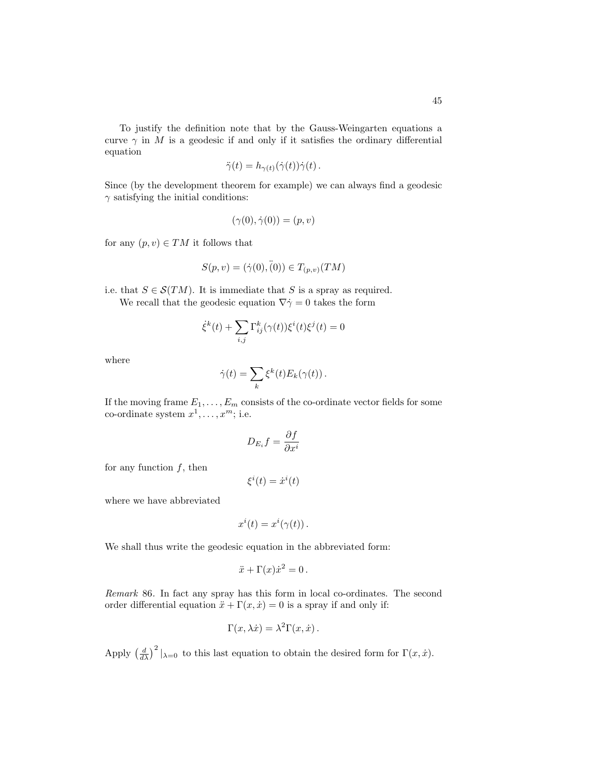To justify the definition note that by the Gauss-Weingarten equations a curve  $\gamma$  in M is a geodesic if and only if it satisfies the ordinary differential equation

$$
\ddot{\gamma}(t) = h_{\gamma(t)}(\dot{\gamma}(t))\dot{\gamma}(t).
$$

Since (by the development theorem for example) we can always find a geodesic  $\gamma$  satisfying the initial conditions:

$$
(\gamma(0), \dot{\gamma}(0)) = (p, v)
$$

for any  $(p, v) \in TM$  it follows that

$$
S(p, v) = (\dot{\gamma}(0), \ddot{(0)}) \in T_{(p, v)}(TM)
$$

i.e. that  $S \in \mathcal{S}(TM)$ . It is immediate that S is a spray as required. We recall that the geodesic equation  $\nabla \dot{\gamma} = 0$  takes the form

$$
\dot{\xi}^k(t)+\sum_{i,j}\Gamma^k_{ij}(\gamma(t))\xi^i(t)\xi^j(t)=0
$$

where

$$
\dot{\gamma}(t) = \sum_{k} \xi^{k}(t) E_{k}(\gamma(t)).
$$

If the moving frame  $E_1, \ldots, E_m$  consists of the co-ordinate vector fields for some co-ordinate system  $x^1, \ldots, x^m$ ; i.e.

$$
D_{E_i}f = \frac{\partial f}{\partial x^i}
$$

for any function  $f$ , then

$$
\xi^i(t) = \dot{x}^i(t)
$$

where we have abbreviated

$$
x^{i}(t) = x^{i}(\gamma(t)).
$$

We shall thus write the geodesic equation in the abbreviated form:

$$
\ddot{x} + \Gamma(x)\dot{x}^2 = 0.
$$

Remark 86. In fact any spray has this form in local co-ordinates. The second order differential equation  $\ddot{x} + \Gamma(x, \dot{x}) = 0$  is a spray if and only if:

$$
\Gamma(x,\lambda \dot{x}) = \lambda^2 \Gamma(x,\dot{x}) \, .
$$

Apply  $\left(\frac{d}{d\lambda}\right)^2|_{\lambda=0}$  to this last equation to obtain the desired form for  $\Gamma(x, \dot{x})$ .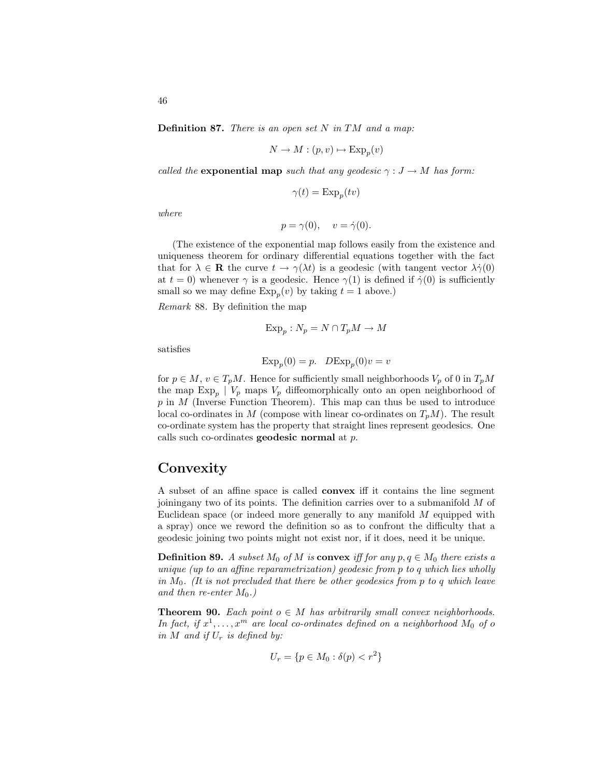**Definition 87.** There is an open set  $N$  in  $TM$  and a map:

$$
N \to M : (p, v) \mapsto \operatorname{Exp}_p(v)
$$

called the **exponential map** such that any geodesic  $\gamma : J \to M$  has form:

$$
\gamma(t) = \operatorname{Exp}_p(tv)
$$

where

$$
p = \gamma(0), \quad v = \dot{\gamma}(0).
$$

(The existence of the exponential map follows easily from the existence and uniqueness theorem for ordinary differential equations together with the fact that for  $\lambda \in \mathbf{R}$  the curve  $t \to \gamma(\lambda t)$  is a geodesic (with tangent vector  $\lambda \dot{\gamma}(0)$ at  $t = 0$ ) whenever  $\gamma$  is a geodesic. Hence  $\gamma(1)$  is defined if  $\dot{\gamma}(0)$  is sufficiently small so we may define  $\exp_p(v)$  by taking  $t = 1$  above.)

Remark 88. By definition the map

$$
\operatorname{Exp}_p : N_p = N \cap T_p M \to M
$$

satisfies

$$
Exp_p(0) = p. \quad DExp_p(0)v = v
$$

for  $p \in M$ ,  $v \in T_pM$ . Hence for sufficiently small neighborhoods  $V_p$  of 0 in  $T_pM$ the map  $\text{Exp}_p$  |  $V_p$  maps  $V_p$  diffeomorphically onto an open neighborhood of  $p$  in  $M$  (Inverse Function Theorem). This map can thus be used to introduce local co-ordinates in M (compose with linear co-ordinates on  $T_pM$ ). The result co-ordinate system has the property that straight lines represent geodesics. One calls such co-ordinates **geodesic normal** at  $p$ .

# **Convexity**

A subset of an affine space is called convex iff it contains the line segment joiningany two of its points. The definition carries over to a submanifold M of Euclidean space (or indeed more generally to any manifold M equipped with a spray) once we reword the definition so as to confront the difficulty that a geodesic joining two points might not exist nor, if it does, need it be unique.

**Definition 89.** A subset  $M_0$  of M is **convex** iff for any  $p, q \in M_0$  there exists a unique (up to an affine reparametrization) geodesic from p to q which lies wholly in  $M_0$ . (It is not precluded that there be other geodesics from p to q which leave and then re-enter  $M_0$ .)

**Theorem 90.** Each point  $o \in M$  has arbitrarily small convex neighborhoods. In fact, if  $x^1, \ldots, x^m$  are local co-ordinates defined on a neighborhood  $M_0$  of o in M and if  $U_r$  is defined by:

$$
U_r = \{ p \in M_0 : \delta(p) < r^2 \}
$$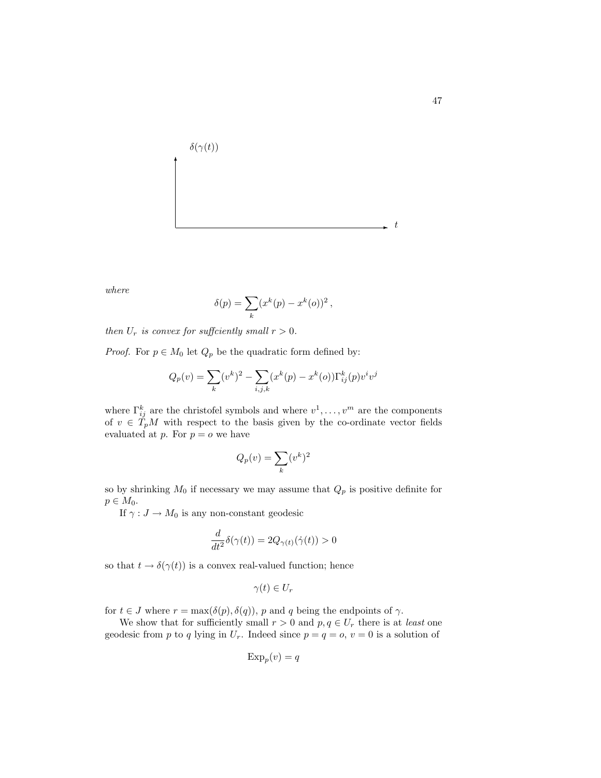

where

$$
\delta(p) = \sum_k (x^k(p) - x^k(o))^2,
$$

then  $U_r$  is convex for sufficiently small  $r > 0$ .

*Proof.* For  $p \in M_0$  let  $Q_p$  be the quadratic form defined by:

$$
Q_p(v) = \sum_{k} (v^k)^2 - \sum_{i,j,k} (x^k(p) - x^k(o)) \Gamma_{ij}^k(p) v^i v^j
$$

where  $\Gamma_{ij}^k$  are the christofel symbols and where  $v^1, \ldots, v^m$  are the components of  $v \in T_pM$  with respect to the basis given by the co-ordinate vector fields evaluated at p. For  $p = o$  we have

$$
Q_p(v) = \sum_k (v^k)^2
$$

so by shrinking  $M_0$  if necessary we may assume that  $Q_p$  is positive definite for  $p \in M_0$ .

If  $\gamma: J \to M_0$  is any non-constant geodesic

$$
\frac{d}{dt^2}\delta(\gamma(t)) = 2Q_{\gamma(t)}(\dot{\gamma}(t)) > 0
$$

so that  $t \to \delta(\gamma(t))$  is a convex real-valued function; hence

$$
\gamma(t)\in U_r
$$

for  $t \in J$  where  $r = \max(\delta(p), \delta(q))$ , p and q being the endpoints of  $\gamma$ .

We show that for sufficiently small  $r > 0$  and  $p, q \in U_r$  there is at *least* one geodesic from p to q lying in  $U_r$ . Indeed since  $p = q = 0$ ,  $v = 0$  is a solution of

$$
\mathrm{Exp}_p(v) = q
$$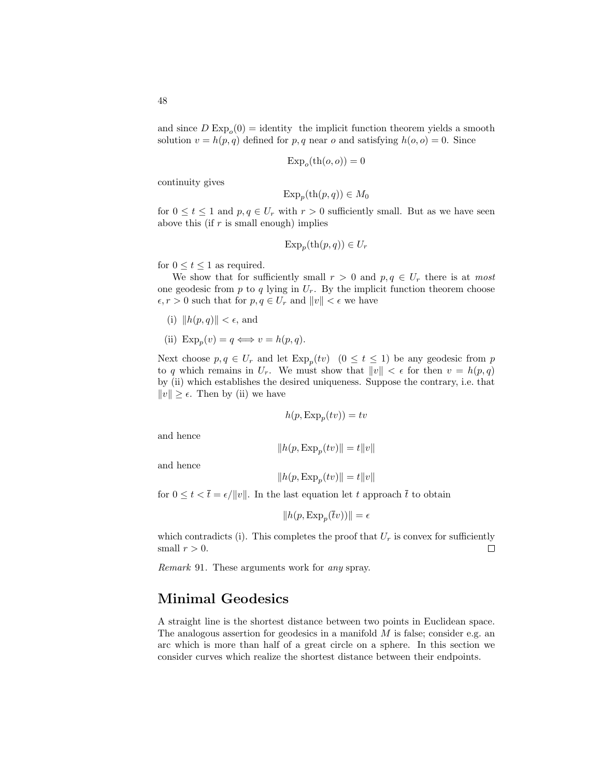and since  $D \, \text{Exp}_o(0) = \text{identity}$  the implicit function theorem yields a smooth solution  $v = h(p, q)$  defined for p, q near o and satisfying  $h(o, o) = 0$ . Since

$$
\mathrm{Exp}_o(\mathrm{th}(o,o))=0
$$

continuity gives

$$
\mathrm{Exp}_p(\mathrm{th}(p,q)) \in M_0
$$

for  $0 \le t \le 1$  and  $p, q \in U_r$  with  $r > 0$  sufficiently small. But as we have seen above this (if  $r$  is small enough) implies

$$
\mathrm{Exp}_p(\mathrm{th}(p,q)) \in U_r
$$

for  $0 \le t \le 1$  as required.

We show that for sufficiently small  $r > 0$  and  $p, q \in U_r$  there is at most one geodesic from  $p$  to  $q$  lying in  $U_r$ . By the implicit function theorem choose  $\epsilon, r > 0$  such that for  $p, q \in U_r$  and  $||v|| < \epsilon$  we have

- (i)  $\|h(p, q)\| < \epsilon$ , and
- (ii)  $\text{Exp}_p(v) = q \Longleftrightarrow v = h(p, q).$

Next choose  $p, q \in U_r$  and let  $\text{Exp}_p(tv)$   $(0 \le t \le 1)$  be any geodesic from p to q which remains in  $U_r$ . We must show that  $||v|| < \epsilon$  for then  $v = h(p,q)$ by (ii) which establishes the desired uniqueness. Suppose the contrary, i.e. that  $||v|| \geq \epsilon$ . Then by (ii) we have

$$
h(p, \operatorname{Exp}_p(tv)) = tv
$$

and hence

$$
||h(p, \operatorname{Exp}_p(tv)|| = t||v||
$$

and hence

$$
||h(p, \text{Exp}_p(tv)|| = t||v||
$$

for  $0 \le t < \overline{t} = \epsilon / ||v||$ . In the last equation let t approach  $\overline{t}$  to obtain

$$
||h(p, \text{Exp}_p(\overline{t}v))|| = \epsilon
$$

which contradicts (i). This completes the proof that  $U_r$  is convex for sufficiently small  $r > 0$ . П

Remark 91. These arguments work for any spray.

## Minimal Geodesics

A straight line is the shortest distance between two points in Euclidean space. The analogous assertion for geodesics in a manifold  $M$  is false; consider e.g. an arc which is more than half of a great circle on a sphere. In this section we consider curves which realize the shortest distance between their endpoints.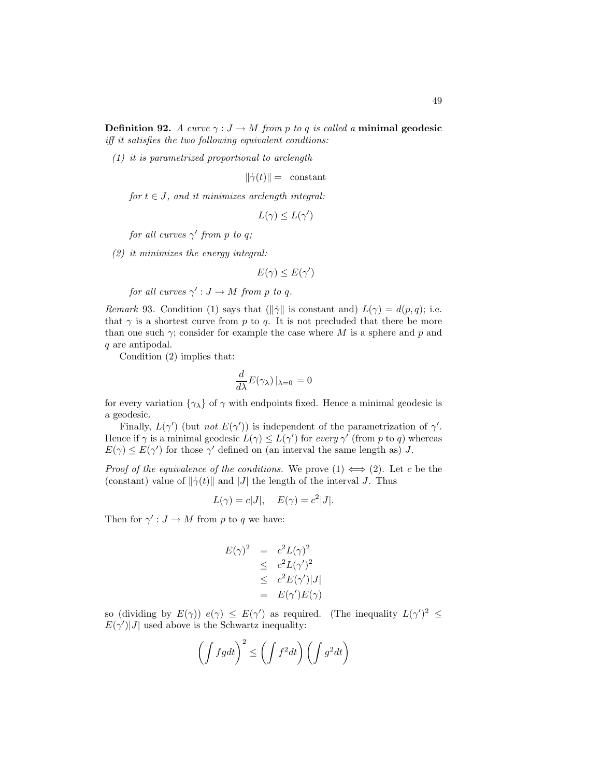(1) it is parametrized proportional to arclength

 $\|\dot{\gamma}(t)\| =$  constant

for  $t \in J$ , and it minimizes arclength integral:

$$
L(\gamma) \le L(\gamma')
$$

for all curves  $\gamma'$  from p to q;

(2) it minimizes the energy integral:

$$
E(\gamma) \leq E(\gamma')
$$

for all curves  $\gamma': J \to M$  from p to q.

Remark 93. Condition (1) says that ( $\|\dot{\gamma}\|$  is constant and)  $L(\gamma) = d(p, q)$ ; i.e. that  $\gamma$  is a shortest curve from p to q. It is not precluded that there be more than one such  $\gamma$ ; consider for example the case where M is a sphere and p and q are antipodal.

Condition (2) implies that:

$$
\frac{d}{d\lambda}E(\gamma_{\lambda})\left|_{\lambda=0}\right.=0
$$

for every variation  $\{\gamma_{\lambda}\}\$  of  $\gamma$  with endpoints fixed. Hence a minimal geodesic is a geodesic.

Finally,  $L(\gamma')$  (but not  $E(\gamma')$ ) is independent of the parametrization of  $\gamma'$ . Hence if  $\gamma$  is a minimal geodesic  $L(\gamma) \leq L(\gamma')$  for every  $\gamma'$  (from p to q) whereas  $E(\gamma) \leq E(\gamma')$  for those  $\gamma'$  defined on (an interval the same length as) J.

*Proof of the equivalence of the conditions.* We prove  $(1) \iff (2)$ . Let c be the (constant) value of  $\|\dot{\gamma}(t)\|$  and  $|J|$  the length of the interval J. Thus

$$
L(\gamma) = c|J|, \quad E(\gamma) = c^2|J|.
$$

Then for  $\gamma' : J \to M$  from p to q we have:

$$
E(\gamma)^2 = c^2 L(\gamma)^2
$$
  
\n
$$
\leq c^2 L(\gamma')^2
$$
  
\n
$$
\leq c^2 E(\gamma')|J|
$$
  
\n
$$
= E(\gamma')E(\gamma)
$$

so (dividing by  $E(\gamma)$ )  $e(\gamma) \leq E(\gamma')$  as required. (The inequality  $L(\gamma')^2 \leq$  $E(\gamma')|J|$  used above is the Schwartz inequality:

$$
\left(\int fgdt\right)^2 \le \left(\int f^2dt\right)\left(\int g^2dt\right)
$$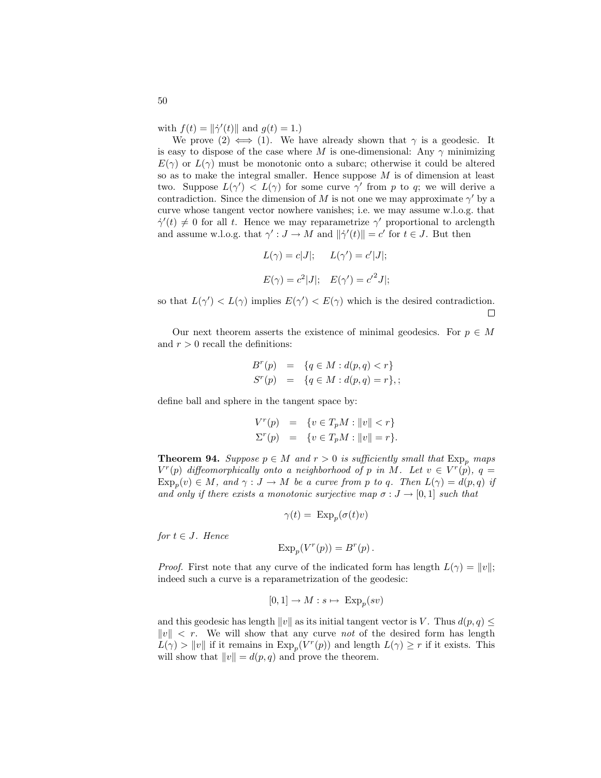with  $f(t) = ||\dot{\gamma}'(t)||$  and  $g(t) = 1$ .)

We prove  $(2) \iff (1)$ . We have already shown that  $\gamma$  is a geodesic. It is easy to dispose of the case where M is one-dimensional: Any  $\gamma$  minimizing  $E(\gamma)$  or  $L(\gamma)$  must be monotonic onto a subarc; otherwise it could be altered so as to make the integral smaller. Hence suppose  $M$  is of dimension at least two. Suppose  $L(\gamma') < L(\gamma)$  for some curve  $\gamma'$  from p to q; we will derive a contradiction. Since the dimension of M is not one we may approximate  $\gamma'$  by a curve whose tangent vector nowhere vanishes; i.e. we may assume w.l.o.g. that  $\dot{\gamma}'(t) \neq 0$  for all t. Hence we may reparametrize  $\gamma'$  proportional to arclength and assume w.l.o.g. that  $\gamma' : J \to M$  and  $\|\dot{\gamma}'(t)\| = c'$  for  $t \in J$ . But then

$$
L(\gamma) = c|J|; \quad L(\gamma') = c'|J|;
$$
  

$$
E(\gamma) = c^2|J|; \quad E(\gamma') = c'^2J|;
$$

so that  $L(\gamma') < L(\gamma)$  implies  $E(\gamma') < E(\gamma)$  which is the desired contradiction.  $\Box$ 

Our next theorem asserts the existence of minimal geodesics. For  $p \in M$ and  $r > 0$  recall the definitions:

$$
B^{r}(p) = \{q \in M : d(p,q) < r\}
$$
  

$$
S^{r}(p) = \{q \in M : d(p,q) = r\},
$$

define ball and sphere in the tangent space by:

$$
V^{r}(p) = \{ v \in T_{p}M : ||v|| < r \}
$$
  

$$
\Sigma^{r}(p) = \{ v \in T_{p}M : ||v|| = r \}.
$$

**Theorem 94.** Suppose  $p \in M$  and  $r > 0$  is sufficiently small that  $Exp_p$  maps  $V^r(p)$  diffeomorphically onto a neighborhood of p in M. Let  $v \in V^r(p)$ ,  $q =$  $\text{Exp}_p(v) \in M$ , and  $\gamma: J \to M$  be a curve from p to q. Then  $L(\gamma) = d(p, q)$  if and only if there exists a monotonic surjective map  $\sigma: J \to [0, 1]$  such that

$$
\gamma(t) = \ \mathrm{Exp}_p(\sigma(t)v)
$$

for  $t \in J$ . Hence

$$
Exp_p(V^r(p)) = B^r(p).
$$

*Proof.* First note that any curve of the indicated form has length  $L(\gamma) = ||v||$ ; indeed such a curve is a reparametrization of the geodesic:

$$
[0,1] \to M : s \mapsto \operatorname{Exp}_p(sv)
$$

and this geodesic has length  $||v||$  as its initial tangent vector is V. Thus  $d(p, q) \leq$  $||v|| < r$ . We will show that any curve not of the desired form has length  $L(\gamma) > ||v||$  if it remains in  $\exp_p(V^r(p))$  and length  $L(\gamma) \geq r$  if it exists. This will show that  $||v|| = d(p, q)$  and prove the theorem.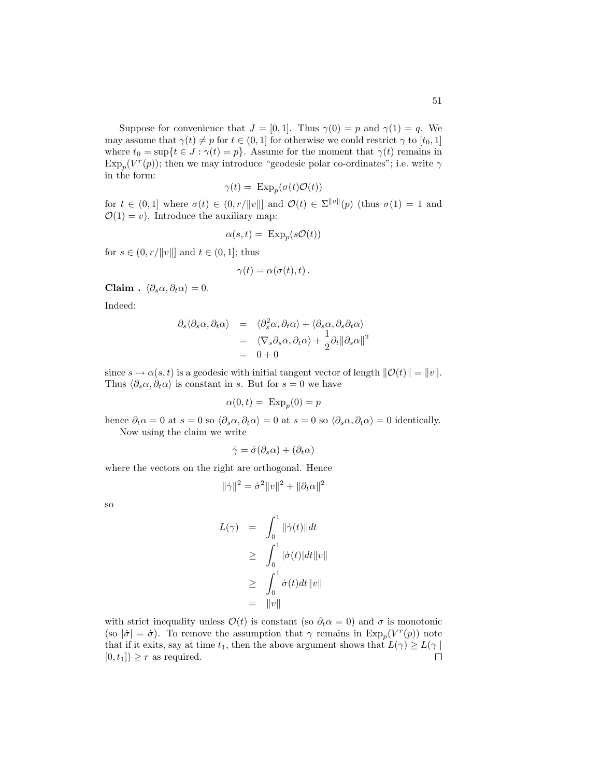Suppose for convenience that  $J = [0, 1]$ . Thus  $\gamma(0) = p$  and  $\gamma(1) = q$ . We may assume that  $\gamma(t) \neq p$  for  $t \in (0, 1]$  for otherwise we could restrict  $\gamma$  to  $[t_0, 1]$ where  $t_0 = \sup\{t \in J : \gamma(t) = p\}$ . Assume for the moment that  $\gamma(t)$  remains in  $\text{Exp}_p(V^r(p))$ ; then we may introduce "geodesic polar co-ordinates"; i.e. write  $\gamma$ in the form:

$$
\gamma(t) = \operatorname{Exp}_p(\sigma(t)\mathcal{O}(t))
$$

for  $t \in (0,1]$  where  $\sigma(t) \in (0,r/||v||]$  and  $\mathcal{O}(t) \in \Sigma^{||v||}(p)$  (thus  $\sigma(1) = 1$  and  $\mathcal{O}(1) = v$ ). Introduce the auxiliary map:

$$
\alpha(s,t) = \text{Exp}_p(s\mathcal{O}(t))
$$

for  $s \in (0, r/||v||]$  and  $t \in (0, 1]$ ; thus

$$
\gamma(t) = \alpha(\sigma(t), t) \, .
$$

Claim .  $\langle \partial_s \alpha, \partial_t \alpha \rangle = 0$ .

Indeed:

$$
\partial_s \langle \partial_s \alpha, \partial_t \alpha \rangle = \langle \partial_s^2 \alpha, \partial_t \alpha \rangle + \langle \partial_s \alpha, \partial_s \partial_t \alpha \rangle
$$
  
=  $\langle \nabla_s \partial_s \alpha, \partial_t \alpha \rangle + \frac{1}{2} \partial_t ||\partial_s \alpha||^2$   
= 0 + 0

since  $s \mapsto \alpha(s, t)$  is a geodesic with initial tangent vector of length  $\|\mathcal{O}(t)\| = \|v\|$ . Thus  $\langle \partial_s \alpha, \partial_t \alpha \rangle$  is constant in s. But for  $s = 0$  we have

$$
\alpha(0, t) = \text{Exp}_p(0) = p
$$

hence  $\partial_t \alpha = 0$  at  $s = 0$  so  $\langle \partial_s \alpha, \partial_t \alpha \rangle = 0$  at  $s = 0$  so  $\langle \partial_s \alpha, \partial_t \alpha \rangle = 0$  identically. Now using the claim we write

$$
\dot{\gamma} = \dot{\sigma}(\partial_s \alpha) + (\partial_t \alpha)
$$

where the vectors on the right are orthogonal. Hence

$$
\|\dot{\gamma}\|^2 = \dot{\sigma}^2 \|v\|^2 + \|\partial_t \alpha\|^2
$$

so

$$
L(\gamma) = \int_0^1 \|\dot{\gamma}(t)\| dt
$$
  
\n
$$
\geq \int_0^1 |\dot{\sigma}(t)| dt \|v\|
$$
  
\n
$$
\geq \int_0^1 \dot{\sigma}(t) dt \|v\|
$$
  
\n
$$
= \|v\|
$$

with strict inequality unless  $\mathcal{O}(t)$  is constant (so  $\partial_t \alpha = 0$ ) and  $\sigma$  is monotonic (so  $|\dot{\sigma}| = \dot{\sigma}$ ). To remove the assumption that  $\gamma$  remains in  $\exp_p(V^r(p))$  note that if it exits, say at time  $t_1$ , then the above argument shows that  $L(\gamma) \geq L(\gamma)$  $\Box$  $[0, t_1]$ )  $\geq r$  as required.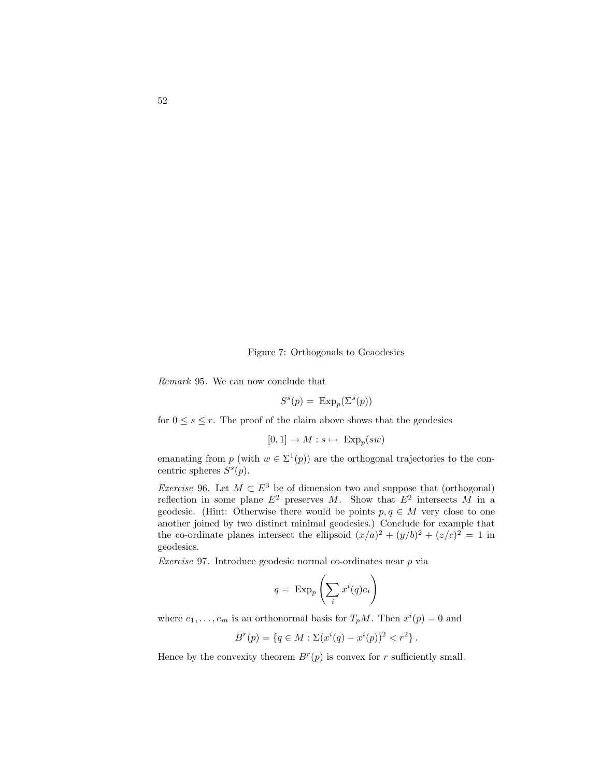Figure 7: Orthogonals to Geaodesics

Remark 95. We can now conclude that

 $S^s(p) = \text{Exp}_p(\Sigma^s(p))$ 

for  $0 \leq s \leq r$ . The proof of the claim above shows that the geodesics

 $[0,1] \to M : s \mapsto \text{Exp}_p(sw)$ 

emanating from p (with  $w \in \Sigma^1(p)$ ) are the orthogonal trajectories to the concentric spheres  $S^s(p)$ .

Exercise 96. Let  $M \subset E^3$  be of dimension two and suppose that (orthogonal) reflection in some plane  $E^2$  preserves M. Show that  $E^2$  intersects M in a geodesic. (Hint: Otherwise there would be points  $p, q \in M$  very close to one another joined by two distinct minimal geodesics.) Conclude for example that the co-ordinate planes intersect the ellipsoid  $(x/a)^2 + (y/b)^2 + (z/c)^2 = 1$  in geodesics.

Exercise 97. Introduce geodesic normal co-ordinates near  $p$  via

$$
q = \operatorname{Exp}_p\left(\sum_i x^i(q)e_i\right)
$$

where  $e_1, \ldots, e_m$  is an orthonormal basis for  $T_pM$ . Then  $x^i(p) = 0$  and

$$
B^{r}(p) = \{q \in M : \Sigma(x^{i}(q) - x^{i}(p))^{2} < r^{2}\}.
$$

Hence by the convexity theorem  $B<sup>r</sup>(p)$  is convex for r sufficiently small.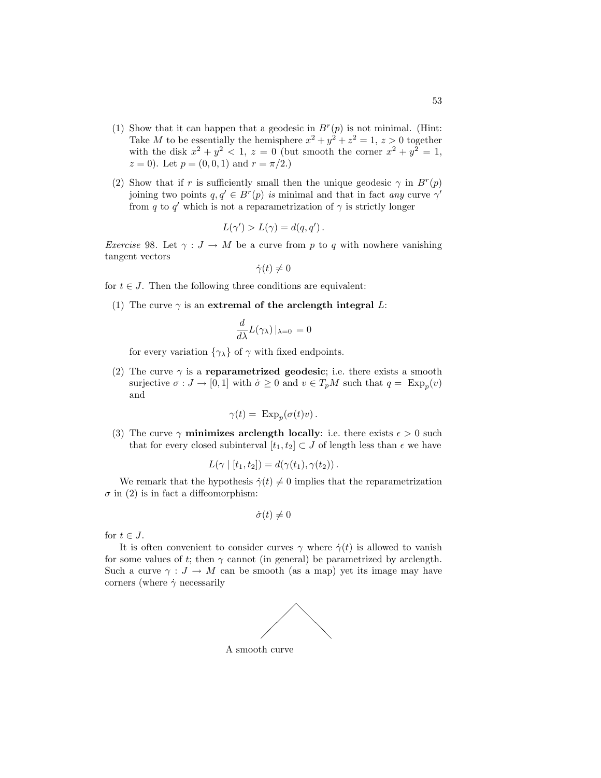- (1) Show that it can happen that a geodesic in  $B<sup>r</sup>(p)$  is not minimal. (Hint: Take M to be essentially the hemisphere  $x^2 + y^2 + z^2 = 1$ ,  $z > 0$  together with the disk  $x^2 + y^2 < 1$ ,  $z = 0$  (but smooth the corner  $x^2 + y^2 = 1$ ,  $z = 0$ . Let  $p = (0, 0, 1)$  and  $r = \pi/2$ .
- (2) Show that if r is sufficiently small then the unique geodesic  $\gamma$  in  $B^r(p)$ joining two points  $q, q' \in B^r(p)$  is minimal and that in fact any curve  $\gamma'$ from q to q' which is not a reparametrization of  $\gamma$  is strictly longer

$$
L(\gamma') > L(\gamma) = d(q, q').
$$

*Exercise* 98. Let  $\gamma: J \to M$  be a curve from p to q with nowhere vanishing tangent vectors

$$
\dot{\gamma}(t)\neq 0
$$

for  $t \in J$ . Then the following three conditions are equivalent:

(1) The curve  $\gamma$  is an extremal of the arclength integral L:

$$
\frac{d}{d\lambda}L(\gamma_{\lambda})\left|_{\lambda=0}\right.=0
$$

for every variation  $\{\gamma_{\lambda}\}\$  of  $\gamma$  with fixed endpoints.

(2) The curve  $\gamma$  is a reparametrized geodesic; i.e. there exists a smooth surjective  $\sigma: J \to [0, 1]$  with  $\dot{\sigma} \geq 0$  and  $v \in T_pM$  such that  $q = \text{Exp}_p(v)$ and

$$
\gamma(t) = \ \mathrm{Exp}_p(\sigma(t)v) \, .
$$

(3) The curve  $\gamma$  minimizes arclength locally: i.e. there exists  $\epsilon > 0$  such that for every closed subinterval  $[t_1, t_2] \subset J$  of length less than  $\epsilon$  we have

$$
L(\gamma | [t_1, t_2]) = d(\gamma(t_1), \gamma(t_2)).
$$

We remark that the hypothesis  $\dot{\gamma}(t) \neq 0$  implies that the reparametrization  $\sigma$  in (2) is in fact a diffeomorphism:

$$
\dot{\sigma}(t) \neq 0
$$

for  $t \in J$ .

It is often convenient to consider curves  $\gamma$  where  $\dot{\gamma}(t)$  is allowed to vanish for some values of t; then  $\gamma$  cannot (in general) be parametrized by arclength. Such a curve  $\gamma : J \to M$  can be smooth (as a map) yet its image may have corners (where  $\dot{\gamma}$  necessarily

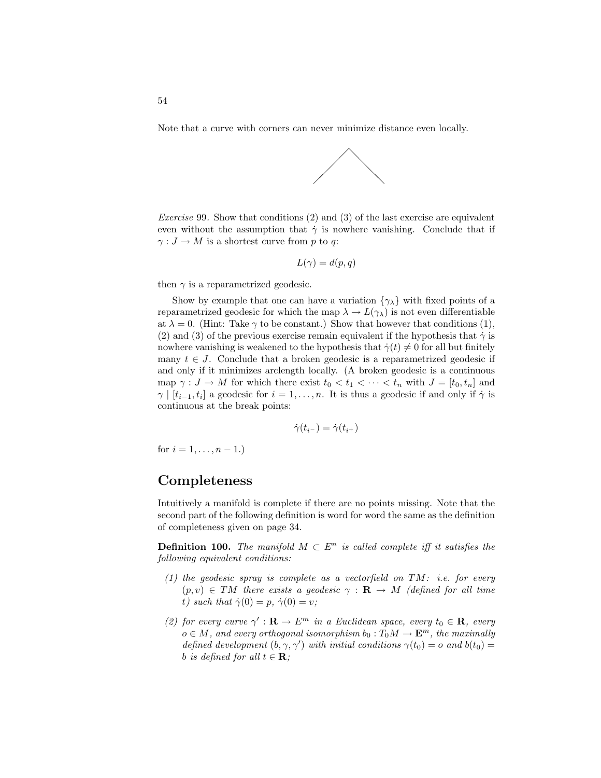Note that a curve with corners can never minimize distance even locally.



Exercise 99. Show that conditions (2) and (3) of the last exercise are equivalent even without the assumption that  $\dot{\gamma}$  is nowhere vanishing. Conclude that if  $\gamma: J \to M$  is a shortest curve from p to q:

$$
L(\gamma) = d(p, q)
$$

then  $\gamma$  is a reparametrized geodesic.

Show by example that one can have a variation  $\{\gamma_{\lambda}\}\$  with fixed points of a reparametrized geodesic for which the map  $\lambda \to L(\gamma_{\lambda})$  is not even differentiable at  $\lambda = 0$ . (Hint: Take  $\gamma$  to be constant.) Show that however that conditions (1), (2) and (3) of the previous exercise remain equivalent if the hypothesis that  $\dot{\gamma}$  is nowhere vanishing is weakened to the hypothesis that  $\dot{\gamma}(t) \neq 0$  for all but finitely many  $t \in J$ . Conclude that a broken geodesic is a reparametrized geodesic if and only if it minimizes arclength locally. (A broken geodesic is a continuous map  $\gamma: J \to M$  for which there exist  $t_0 < t_1 < \cdots < t_n$  with  $J = [t_0, t_n]$  and  $\gamma \mid [t_{i-1}, t_i]$  a geodesic for  $i = 1, \ldots, n$ . It is thus a geodesic if and only if  $\dot{\gamma}$  is continuous at the break points:

$$
\dot{\gamma}(t_{i^-}) = \dot{\gamma}(t_{i^+})
$$

for  $i = 1, \ldots, n - 1$ .)

#### Completeness

Intuitively a manifold is complete if there are no points missing. Note that the second part of the following definition is word for word the same as the definition of completeness given on page 34.

**Definition 100.** The manifold  $M \subset E^n$  is called complete iff it satisfies the following equivalent conditions:

- (1) the geodesic spray is complete as a vectorfield on  $TM$ : i.e. for every  $(p, v) \in TM$  there exists a geodesic  $\gamma : \mathbf{R} \to M$  (defined for all time t) such that  $\dot{\gamma}(0) = p$ ,  $\dot{\gamma}(0) = v$ ;
- (2) for every curve  $\gamma': \mathbf{R} \to E^m$  in a Euclidean space, every  $t_0 \in \mathbf{R}$ , every  $o \in M$ , and every orthogonal isomorphism  $b_0: T_0M \to \mathbf{E}^m$ , the maximally defined development  $(b, \gamma, \gamma')$  with initial conditions  $\gamma(t_0) = o$  and  $b(t_0) = o$ b is defined for all  $t \in \mathbf{R}$ ;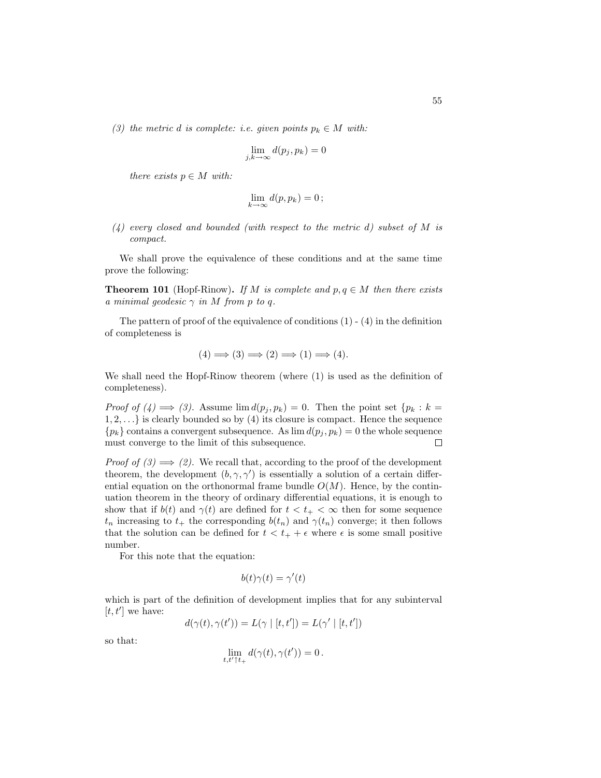(3) the metric d is complete: i.e. given points  $p_k \in M$  with:

$$
\lim_{j,k \to \infty} d(p_j, p_k) = 0
$$

there exists  $p \in M$  with:

$$
\lim_{k\to\infty} d(p,p_k)=0\,;
$$

 $(4)$  every closed and bounded (with respect to the metric d) subset of M is compact.

We shall prove the equivalence of these conditions and at the same time prove the following:

**Theorem 101** (Hopf-Rinow). If M is complete and  $p, q \in M$  then there exists a minimal geodesic  $\gamma$  in M from p to q.

The pattern of proof of the equivalence of conditions  $(1) - (4)$  in the definition of completeness is

$$
(4) \Longrightarrow (3) \Longrightarrow (2) \Longrightarrow (1) \Longrightarrow (4).
$$

We shall need the Hopf-Rinow theorem (where (1) is used as the definition of completeness).

*Proof of*  $(4) \implies (3)$ . Assume  $\lim d(p_i, p_k) = 0$ . Then the point set  $\{p_k : k = 1\}$  $1, 2, \ldots$  is clearly bounded so by (4) its closure is compact. Hence the sequence  ${p_k}$  contains a convergent subsequence. As  $\lim d(p_i, p_k) = 0$  the whole sequence must converge to the limit of this subsequence.  $\Box$ 

*Proof of*  $(3) \implies (2)$ . We recall that, according to the proof of the development theorem, the development  $(b, \gamma, \gamma')$  is essentially a solution of a certain differential equation on the orthonormal frame bundle  $O(M)$ . Hence, by the continuation theorem in the theory of ordinary differential equations, it is enough to show that if  $b(t)$  and  $\gamma(t)$  are defined for  $t < t_{+} < \infty$  then for some sequence  $t_n$  increasing to  $t_+$  the corresponding  $b(t_n)$  and  $\gamma(t_n)$  converge; it then follows that the solution can be defined for  $t < t_{+} + \epsilon$  where  $\epsilon$  is some small positive number.

For this note that the equation:

$$
b(t)\gamma(t) = \gamma'(t)
$$

which is part of the definition of development implies that for any subinterval  $[t, t']$  we have:

$$
d(\gamma(t),\gamma(t')) = L(\gamma \mid [t,t']) = L(\gamma' \mid [t,t'])
$$

so that:

$$
\lim_{t,t'\uparrow t_+} d(\gamma(t),\gamma(t'))=0\,.
$$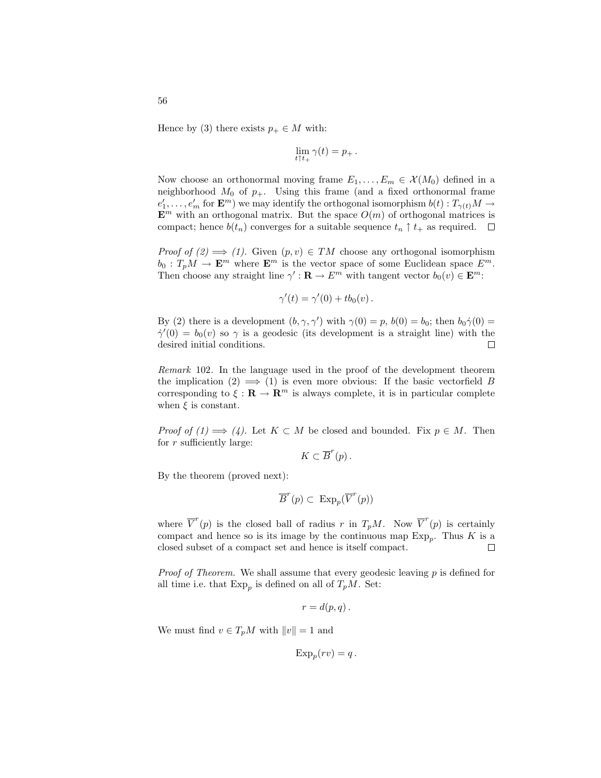Hence by (3) there exists  $p_+ \in M$  with:

$$
\lim_{t\uparrow t_+}\gamma(t)=p_+\,.
$$

Now choose an orthonormal moving frame  $E_1, \ldots, E_m \in \mathcal{X}(M_0)$  defined in a neighborhood  $M_0$  of  $p_+$ . Using this frame (and a fixed orthonormal frame  $e'_1, \ldots, e'_m$  for  $\mathbf{E}^m$ ) we may identify the orthogonal isomorphism  $b(t): T_{\gamma(t)}M \to$  $\mathbf{E}^m$  with an orthogonal matrix. But the space  $O(m)$  of orthogonal matrices is compact; hence  $b(t_n)$  converges for a suitable sequence  $t_n \uparrow t_+$  as required.  $\Box$ 

*Proof of (2)*  $\implies$  (1). Given  $(p, v) \in TM$  choose any orthogonal isomorphism  $b_0 : T_pM \to \mathbf{E}^m$  where  $\mathbf{E}^m$  is the vector space of some Euclidean space  $E^m$ . Then choose any straight line  $\gamma': \mathbf{R} \to E^m$  with tangent vector  $b_0(v) \in \mathbf{E}^m$ :

$$
\gamma'(t) = \gamma'(0) + tb_0(v).
$$

By (2) there is a development  $(b, \gamma, \gamma')$  with  $\gamma(0) = p$ ,  $b(0) = b_0$ ; then  $b_0 \dot{\gamma}(0) =$  $\dot{\gamma}'(0) = b_0(v)$  so  $\gamma$  is a geodesic (its development is a straight line) with the desired initial conditions. Г

Remark 102. In the language used in the proof of the development theorem the implication  $(2) \implies (1)$  is even more obvious: If the basic vectorfield B corresponding to  $\xi : \mathbf{R} \to \mathbf{R}^m$  is always complete, it is in particular complete when  $\xi$  is constant.

*Proof of (1)*  $\implies$  (4). Let  $K \subset M$  be closed and bounded. Fix  $p \in M$ . Then for  $r$  sufficiently large:

$$
K\subset\overline{B}^r(p)\,.
$$

By the theorem (proved next):

$$
\overline{B}^r(p) \subset \ \mathrm{Exp}_p(\overline{V}^r(p))
$$

where  $\overline{V}^r(p)$  is the closed ball of radius r in  $T_pM$ . Now  $\overline{V}^r(p)$  is certainly compact and hence so is its image by the continuous map  $\text{Exp}_p$ . Thus K is a closed subset of a compact set and hence is itself compact.  $\Box$ 

*Proof of Theorem.* We shall assume that every geodesic leaving  $p$  is defined for all time i.e. that  $\mathrm{Exp}_p$  is defined on all of  $T_pM$ . Set:

$$
r=d(p,q)\,.
$$

We must find  $v \in T_pM$  with  $||v|| = 1$  and

$$
Exp_p(rv) = q.
$$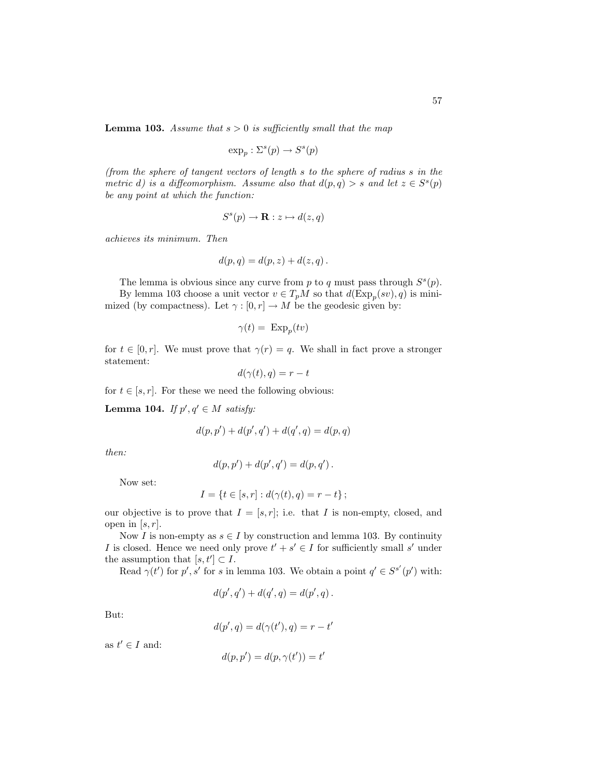**Lemma 103.** Assume that  $s > 0$  is sufficiently small that the map

$$
\exp_p: \Sigma^s(p) \to S^s(p)
$$

(from the sphere of tangent vectors of length s to the sphere of radius s in the metric d) is a diffeomorphism. Assume also that  $d(p,q) > s$  and let  $z \in S<sup>s</sup>(p)$ be any point at which the function:

$$
S^s(p) \to \mathbf{R} : z \mapsto d(z, q)
$$

achieves its minimum. Then

$$
d(p,q) = d(p,z) + d(z,q).
$$

The lemma is obvious since any curve from p to q must pass through  $S<sup>s</sup>(p)$ . By lemma 103 choose a unit vector  $v \in T_pM$  so that  $d(\text{Exp}_p(sv), q)$  is minimized (by compactness). Let  $\gamma : [0, r] \to M$  be the geodesic given by:

$$
\gamma(t) = \ \mathrm{Exp}_p(tv)
$$

for  $t \in [0, r]$ . We must prove that  $\gamma(r) = q$ . We shall in fact prove a stronger statement:

$$
d(\gamma(t),q)=r-t
$$

for  $t \in [s, r]$ . For these we need the following obvious:

Lemma 104. If  $p', q' \in M$  satisfy:

$$
d(p, p') + d(p', q') + d(q', q) = d(p, q)
$$

then:

$$
d(p, p') + d(p', q') = d(p, q').
$$

Now set:

$$
I = \{ t \in [s, r] : d(\gamma(t), q) = r - t \};
$$

our objective is to prove that  $I = [s, r]$ ; i.e. that I is non-empty, closed, and open in  $[s, r]$ .

Now I is non-empty as  $s \in I$  by construction and lemma 103. By continuity I is closed. Hence we need only prove  $t' + s' \in I$  for sufficiently small s' under the assumption that  $[s, t'] \subset I$ .

Read  $\gamma(t')$  for p', s' for s in lemma 103. We obtain a point  $q' \in S^{s'}(p')$  with:

$$
d(p', q') + d(q', q) = d(p', q) .
$$

But:

$$
d(p',q) = d(\gamma(t'),q) = r - t'
$$

as  $t' \in I$  and:

$$
d(p, p') = d(p, \gamma(t')) = t'
$$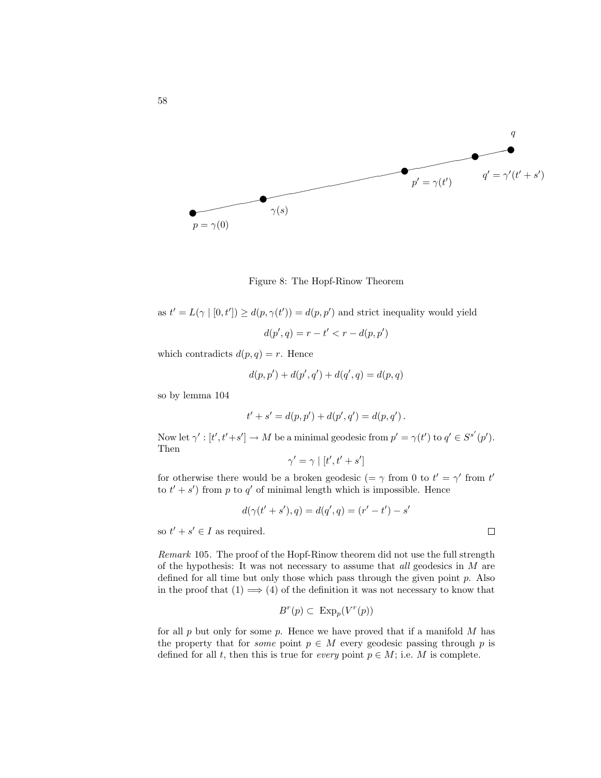

Figure 8: The Hopf-Rinow Theorem

as  $t' = L(\gamma | [0, t']) \ge d(p, \gamma(t')) = d(p, p')$  and strict inequality would yield  $d(p', q) = r - t' < r - d(p, p')$ 

which contradicts  $d(p, q) = r$ . Hence

$$
d(p, p') + d(p', q') + d(q', q) = d(p, q)
$$

so by lemma 104

$$
t' + s' = d(p, p') + d(p', q') = d(p, q').
$$

Now let  $\gamma' : [t', t'+s'] \to M$  be a minimal geodesic from  $p' = \gamma(t')$  to  $q' \in S^{s'}(p')$ . Then

$$
\gamma'=\gamma \mid [t',t'+s']
$$

for otherwise there would be a broken geodesic (=  $\gamma$  from 0 to  $t' = \gamma'$  from t' to  $t' + s'$  from p to q' of minimal length which is impossible. Hence

$$
d(\gamma(t' + s'), q) = d(q', q) = (r' - t') - s'
$$

so  $t' + s' \in I$  as required.

Remark 105. The proof of the Hopf-Rinow theorem did not use the full strength of the hypothesis: It was not necessary to assume that  $all$  geodesics in  $M$  are defined for all time but only those which pass through the given point  $p$ . Also in the proof that  $(1) \implies (4)$  of the definition it was not necessary to know that

$$
B^r(p) \subset \operatorname{Exp}_p(V^r(p))
$$

for all  $p$  but only for some  $p$ . Hence we have proved that if a manifold  $M$  has the property that for *some* point  $p \in M$  every geodesic passing through p is defined for all t, then this is true for every point  $p \in M$ ; i.e. M is complete.

$$
\qquad \qquad \Box
$$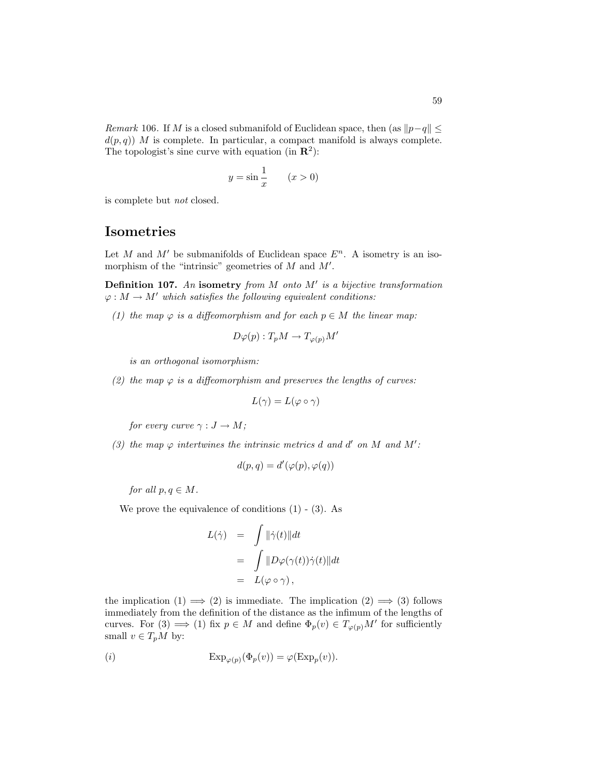Remark 106. If M is a closed submanifold of Euclidean space, then (as  $||p-q|| \le$  $d(p,q)$ ) M is complete. In particular, a compact manifold is always complete. The topologist's sine curve with equation (in  $\mathbb{R}^2$ ):

$$
y = \sin \frac{1}{x} \qquad (x > 0)
$$

is complete but not closed.

### Isometries

Let M and M' be submanifolds of Euclidean space  $E<sup>n</sup>$ . A isometry is an isomorphism of the "intrinsic" geometries of  $M$  and  $M'$ .

Definition 107. An isometry from  $M$  onto  $M'$  is a bijective transformation  $\varphi: M \to M'$  which satisfies the following equivalent conditions:

(1) the map  $\varphi$  is a diffeomorphism and for each  $p \in M$  the linear map:

$$
D\varphi(p): T_pM \to T_{\varphi(p)}M'
$$

is an orthogonal isomorphism:

(2) the map  $\varphi$  is a diffeomorphism and preserves the lengths of curves:

$$
L(\gamma) = L(\varphi \circ \gamma)
$$

for every curve  $\gamma : J \to M$ ;

(3) the map  $\varphi$  intertwines the intrinsic metrics d and d' on M and M':

$$
d(p,q) = d'(\varphi(p), \varphi(q))
$$

for all  $p, q \in M$ .

We prove the equivalence of conditions  $(1)$  -  $(3)$ . As

$$
L(\dot{\gamma}) = \int \|\dot{\gamma}(t)\| dt
$$
  
= 
$$
\int \|D\varphi(\gamma(t))\dot{\gamma}(t)\| dt
$$
  
= 
$$
L(\varphi \circ \gamma),
$$

the implication  $(1) \implies (2)$  is immediate. The implication  $(2) \implies (3)$  follows immediately from the definition of the distance as the infimum of the lengths of curves. For (3)  $\implies$  (1) fix  $p \in M$  and define  $\Phi_p(v) \in T_{\varphi(p)}M'$  for sufficiently small  $v \in T_pM$  by:

$$
(i) \t\t\t Exp_{\varphi(p)}(\Phi_p(v)) = \varphi(\text{Exp}_p(v)).
$$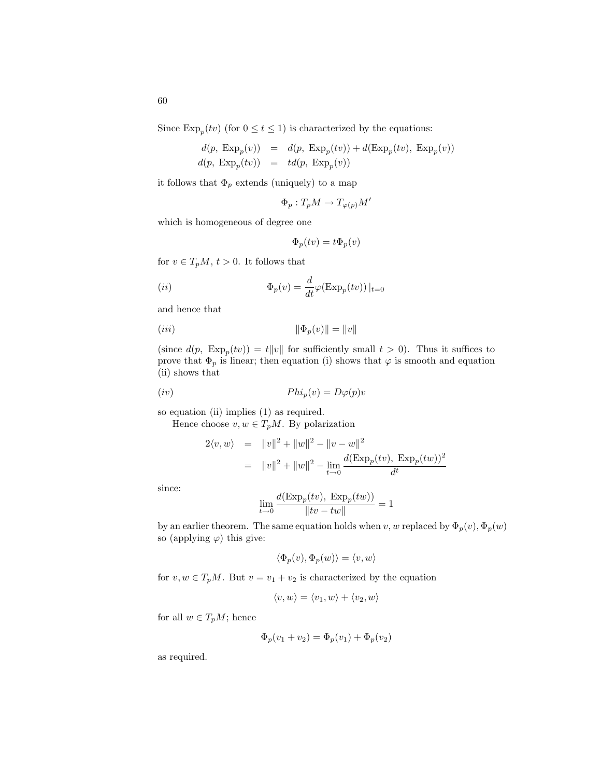Since  $\text{Exp}_p(tv)$  (for  $0 \le t \le 1$ ) is characterized by the equations:

$$
d(p, \text{ Exp}_p(v)) = d(p, \text{ Exp}_p(tv)) + d(\text{Exp}_p(tv), \text{ Exp}_p(v))
$$
  

$$
d(p, \text{ Exp}_p(tv)) = td(p, \text{ Exp}_p(v))
$$

it follows that  $\Phi_p$  extends (uniquely) to a map

$$
\Phi_p: T_p M \to T_{\varphi(p)} M'
$$

which is homogeneous of degree one

$$
\Phi_p(tv) = t\Phi_p(v)
$$

for  $v \in T_pM$ ,  $t > 0$ . It follows that

(ii) Φp(v) = <sup>d</sup> dtϕ(Exp<sup>p</sup> (tv))|t=0

and hence that

$$
(iii) \t\t\t\t \|\Phi_p(v)\| = \|v\|
$$

(since  $d(p, \text{Exp}_p(tv)) = t||v||$  for sufficiently small  $t > 0$ ). Thus it suffices to prove that  $\Phi_p$  is linear; then equation (i) shows that  $\varphi$  is smooth and equation (ii) shows that

$$
(iv) \t\t\t\t\tPhi_1(v) = D\varphi(p)v
$$

so equation (ii) implies (1) as required.

Hence choose  $v, w \in T_pM$ . By polarization

$$
2\langle v, w \rangle = \|v\|^2 + \|w\|^2 - \|v - w\|^2
$$
  
= 
$$
\|v\|^2 + \|w\|^2 - \lim_{t \to 0} \frac{d(\text{Exp}_p(tv), \text{Exp}_p(tw))^2}{d^t}
$$

since:

$$
\lim_{t \to 0} \frac{d(\text{Exp}_p(tv), \text{ Exp}_p(tw))}{\|tv - tw\|} = 1
$$

by an earlier theorem. The same equation holds when v, w replaced by  $\Phi_p(v), \Phi_p(w)$ so (applying  $\varphi$ ) this give:

$$
\langle \Phi_p(v), \Phi_p(w) \rangle = \langle v, w \rangle
$$

for  $v, w \in T_pM$ . But  $v = v_1 + v_2$  is characterized by the equation

$$
\langle v, w \rangle = \langle v_1, w \rangle + \langle v_2, w \rangle
$$

for all  $w \in T_pM$ ; hence

$$
\Phi_p(v_1 + v_2) = \Phi_p(v_1) + \Phi_p(v_2)
$$

as required.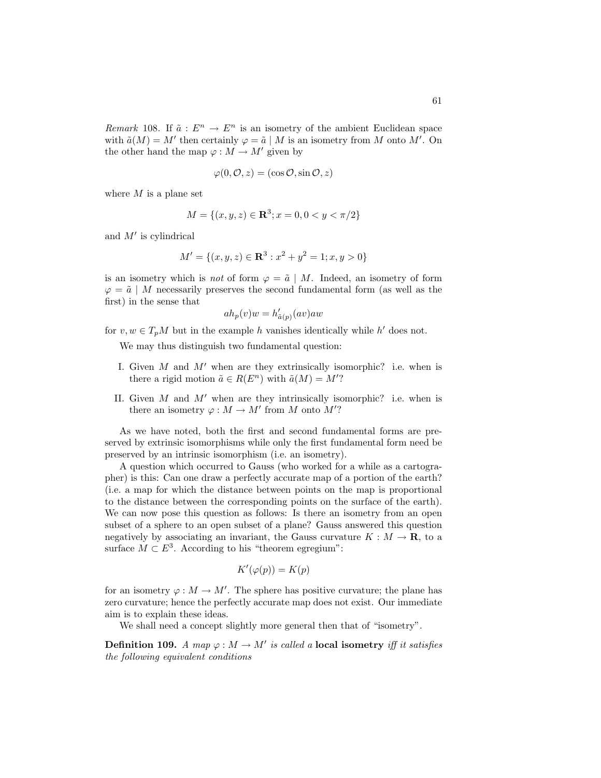Remark 108. If  $\tilde{a}: E^n \to E^n$  is an isometry of the ambient Euclidean space with  $\tilde{a}(M) = M'$  then certainly  $\varphi = \tilde{a} | M$  is an isometry from M onto M'. On the other hand the map  $\varphi : M \to M'$  given by

$$
\varphi(0, \mathcal{O}, z) = (\cos \mathcal{O}, \sin \mathcal{O}, z)
$$

where  $M$  is a plane set

$$
M = \{(x, y, z) \in \mathbf{R}^3; x = 0, 0 < y < \pi/2\}
$$

and  $M'$  is cylindrical

$$
M' = \{(x, y, z) \in \mathbf{R}^3 : x^2 + y^2 = 1; x, y > 0\}
$$

is an isometry which is *not* of form  $\varphi = \tilde{a} \mid M$ . Indeed, an isometry of form  $\varphi = \tilde{a} \mid M$  necessarily preserves the second fundamental form (as well as the first) in the sense that

$$
ah_p(v)w = h'_{\tilde{a}(p)}(av)aw
$$

for  $v, w \in T_pM$  but in the example h vanishes identically while h' does not.

We may thus distinguish two fundamental question:

- I. Given  $M$  and  $M'$  when are they extrinsically isomorphic? i.e. when is there a rigid motion  $\tilde{a} \in R(E^n)$  with  $\tilde{a}(M) = M'$ ?
- II. Given  $M$  and  $M'$  when are they intrinsically isomorphic? i.e. when is there an isometry  $\varphi : M \to M'$  from M onto M'?

As we have noted, both the first and second fundamental forms are preserved by extrinsic isomorphisms while only the first fundamental form need be preserved by an intrinsic isomorphism (i.e. an isometry).

A question which occurred to Gauss (who worked for a while as a cartographer) is this: Can one draw a perfectly accurate map of a portion of the earth? (i.e. a map for which the distance between points on the map is proportional to the distance between the corresponding points on the surface of the earth). We can now pose this question as follows: Is there an isometry from an open subset of a sphere to an open subset of a plane? Gauss answered this question negatively by associating an invariant, the Gauss curvature  $K : M \to \mathbf{R}$ , to a surface  $M \subset E^3$ . According to his "theorem egregium":

$$
K'(\varphi(p)) = K(p)
$$

for an isometry  $\varphi : M \to M'$ . The sphere has positive curvature; the plane has zero curvature; hence the perfectly accurate map does not exist. Our immediate aim is to explain these ideas.

We shall need a concept slightly more general then that of "isometry".

**Definition 109.** A map  $\varphi : M \to M'$  is called a local isometry iff it satisfies the following equivalent conditions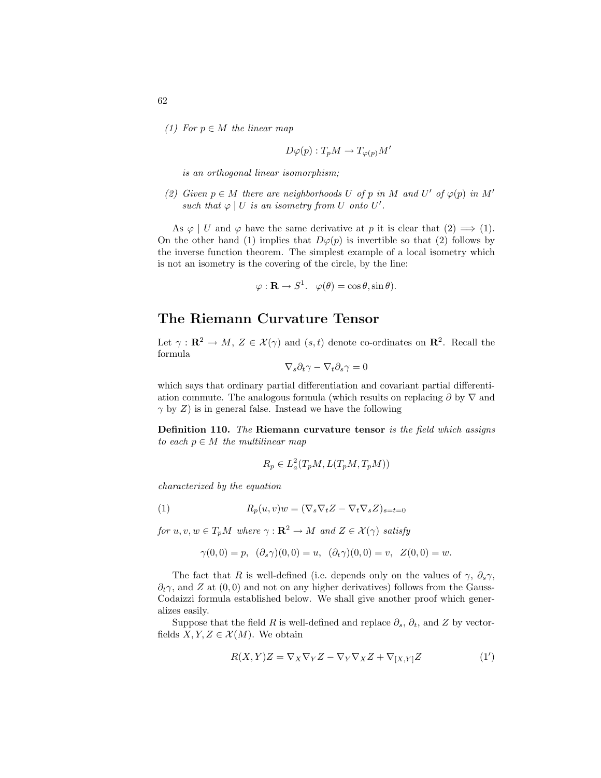(1) For  $p \in M$  the linear map

$$
D\varphi(p): T_pM \to T_{\varphi(p)}M'
$$

is an orthogonal linear isomorphism;

(2) Given  $p \in M$  there are neighborhoods U of p in M and U' of  $\varphi(p)$  in M' such that  $\varphi \mid U$  is an isometry from U onto U'.

As  $\varphi \mid U$  and  $\varphi$  have the same derivative at p it is clear that  $(2) \implies (1)$ . On the other hand (1) implies that  $D\varphi(p)$  is invertible so that (2) follows by the inverse function theorem. The simplest example of a local isometry which is not an isometry is the covering of the circle, by the line:

$$
\varphi : \mathbf{R} \to S^1. \quad \varphi(\theta) = \cos \theta, \sin \theta).
$$

### The Riemann Curvature Tensor

Let  $\gamma: \mathbf{R}^2 \to M$ ,  $Z \in \mathcal{X}(\gamma)$  and  $(s, t)$  denote co-ordinates on  $\mathbf{R}^2$ . Recall the formula

$$
\nabla_s \partial_t \gamma - \nabla_t \partial_s \gamma = 0
$$

which says that ordinary partial differentiation and covariant partial differentiation commute. The analogous formula (which results on replacing  $\partial$  by  $\nabla$  and  $\gamma$  by Z) is in general false. Instead we have the following

Definition 110. The Riemann curvature tensor is the field which assigns to each  $p \in M$  the multilinear map

$$
R_p \in L^2_a(T_pM, L(T_pM, T_pM))
$$

characterized by the equation

(1) 
$$
R_p(u, v)w = (\nabla_s \nabla_t Z - \nabla_t \nabla_s Z)_{s=t=0}
$$

for  $u, v, w \in T_pM$  where  $\gamma : \mathbf{R}^2 \to M$  and  $Z \in \mathcal{X}(\gamma)$  satisfy

$$
\gamma(0,0) = p, \quad (\partial_s \gamma)(0,0) = u, \quad (\partial_t \gamma)(0,0) = v, \quad Z(0,0) = w.
$$

The fact that R is well-defined (i.e. depends only on the values of  $\gamma$ ,  $\partial_s \gamma$ ,  $\partial_t \gamma$ , and Z at  $(0,0)$  and not on any higher derivatives) follows from the Gauss-Codaizzi formula established below. We shall give another proof which generalizes easily.

Suppose that the field R is well-defined and replace  $\partial_s$ ,  $\partial_t$ , and Z by vectorfields  $X, Y, Z \in \mathcal{X}(M)$ . We obtain

$$
R(X,Y)Z = \nabla_X \nabla_Y Z - \nabla_Y \nabla_X Z + \nabla_{[X,Y]} Z \tag{1'}
$$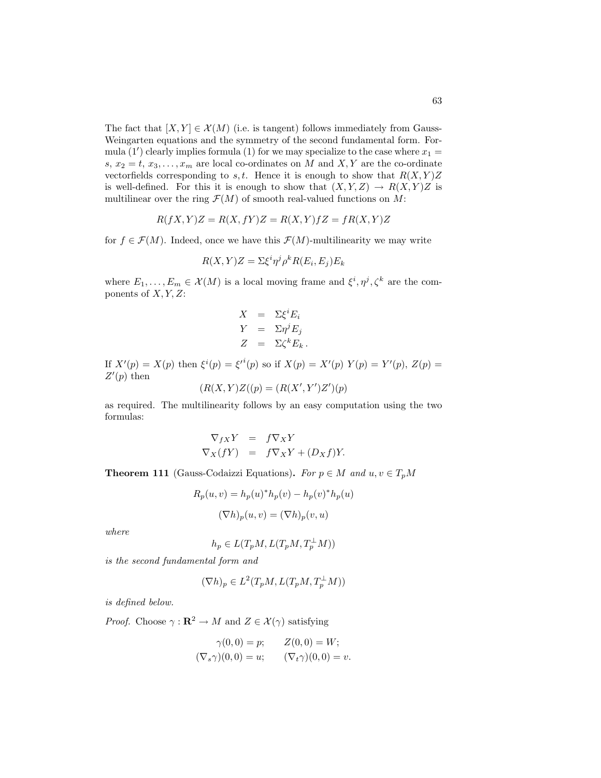The fact that  $[X, Y] \in \mathcal{X}(M)$  (i.e. is tangent) follows immediately from Gauss-Weingarten equations and the symmetry of the second fundamental form. Formula (1') clearly implies formula (1) for we may specialize to the case where  $x_1 =$ s,  $x_2 = t, x_3, \ldots, x_m$  are local co-ordinates on M and X, Y are the co-ordinate vectorfields corresponding to s, t. Hence it is enough to show that  $R(X, Y)Z$ is well-defined. For this it is enough to show that  $(X, Y, Z) \to R(X, Y)Z$  is multilinear over the ring  $\mathcal{F}(M)$  of smooth real-valued functions on M:

$$
R(fX,Y)Z = R(X,fY)Z = R(X,Y)fZ = fR(X,Y)Z
$$

for  $f \in \mathcal{F}(M)$ . Indeed, once we have this  $\mathcal{F}(M)$ -multilinearity we may write

$$
R(X,Y)Z = \Sigma \xi^i \eta^j \rho^k R(E_i, E_j) E_k
$$

where  $E_1, \ldots, E_m \in \mathcal{X}(M)$  is a local moving frame and  $\xi^i, \eta^j, \zeta^k$  are the components of  $X, Y, Z$ :

$$
X = \Sigma \xi^i E_i
$$
  
\n
$$
Y = \Sigma \eta^j E_j
$$
  
\n
$$
Z = \Sigma \zeta^k E_k.
$$

If  $X'(p) = X(p)$  then  $\xi^{i}(p) = {\xi'}^{i}(p)$  so if  $X(p) = X'(p) Y(p) = Y'(p)$ ,  $Z(p) =$  $Z'(p)$  then

$$
(R(X,Y)Z((p) = (R(X',Y')Z')(p)
$$

as required. The multilinearity follows by an easy computation using the two formulas:

$$
\nabla_{fX} Y = f \nabla_X Y \nabla_X (fY) = f \nabla_X Y + (D_X f) Y.
$$

**Theorem 111** (Gauss-Codaizzi Equations). For  $p \in M$  and  $u, v \in T_pM$ 

$$
R_p(u, v) = h_p(u)^* h_p(v) - h_p(v)^* h_p(u)
$$

$$
(\nabla h)_p(u, v) = (\nabla h)_p(v, u)
$$

where

$$
h_p \in L(T_pM, L(T_pM, T_p^{\perp}M))
$$

is the second fundamental form and

$$
(\nabla h)_p \in L^2(T_p M, L(T_p M, T_p^{\perp} M))
$$

is defined below.

*Proof.* Choose  $\gamma : \mathbb{R}^2 \to M$  and  $Z \in \mathcal{X}(\gamma)$  satisfying

$$
\gamma(0,0) = p;
$$
  $Z(0,0) = W;$   
\n $(\nabla_s \gamma)(0,0) = u;$   $(\nabla_t \gamma)(0,0) = v$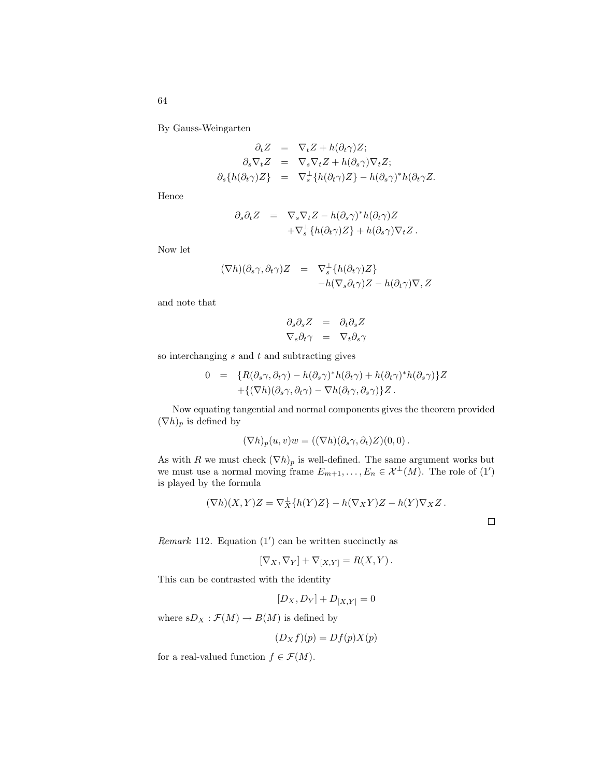By Gauss-Weingarten

$$
\partial_t Z = \nabla_t Z + h(\partial_t \gamma) Z;
$$
  
\n
$$
\partial_s \nabla_t Z = \nabla_s \nabla_t Z + h(\partial_s \gamma) \nabla_t Z;
$$
  
\n
$$
\partial_s \{h(\partial_t \gamma) Z\} = \nabla_s^{\perp} \{h(\partial_t \gamma) Z\} - h(\partial_s \gamma)^* h(\partial_t \gamma Z).
$$

Hence

$$
\partial_s \partial_t Z = \nabla_s \nabla_t Z - h(\partial_s \gamma)^* h(\partial_t \gamma) Z \n+ \nabla_s^{\perp} \{ h(\partial_t \gamma) Z \} + h(\partial_s \gamma) \nabla_t Z.
$$

Now let

$$
(\nabla h)(\partial_s \gamma, \partial_t \gamma)Z = \nabla_s^{\perp} \{ h(\partial_t \gamma)Z \}
$$
  
-h(\nabla\_s \partial\_t \gamma)Z - h(\partial\_t \gamma) \nabla, Z

and note that

$$
\partial_s \partial_s Z = \partial_t \partial_s Z
$$
  

$$
\nabla_s \partial_t \gamma = \nabla_t \partial_s \gamma
$$

so interchanging  $s$  and  $t$  and subtracting gives

$$
0 = \{ R(\partial_s \gamma, \partial_t \gamma) - h(\partial_s \gamma)^* h(\partial_t \gamma) + h(\partial_t \gamma)^* h(\partial_s \gamma) \} Z + \{ (\nabla h)(\partial_s \gamma, \partial_t \gamma) - \nabla h(\partial_t \gamma, \partial_s \gamma) \} Z.
$$

Now equating tangential and normal components gives the theorem provided  $(\nabla h)_p$  is defined by

$$
(\nabla h)_p(u,v)w = ((\nabla h)(\partial_s \gamma, \partial_t)Z)(0,0).
$$

As with R we must check  $(\nabla h)_p$  is well-defined. The same argument works but we must use a normal moving frame  $E_{m+1}, \ldots, E_n \in \mathcal{X}^{\perp}(M)$ . The role of  $(1')$ is played by the formula

$$
(\nabla h)(X,Y)Z = \nabla_X^{\perp} \{h(Y)Z\} - h(\nabla_X Y)Z - h(Y)\nabla_X Z.
$$

 $\Box$ 

Remark 112. Equation  $(1')$  can be written succinctly as

$$
[\nabla_X,\nabla_Y]+\nabla_{[X,Y]}=R(X,Y)\,.
$$

This can be contrasted with the identity

 $[D_X, D_Y] + D_{[X,Y]} = 0$ 

where  $sD_X : \mathcal{F}(M) \to B(M)$  is defined by

$$
(D_X f)(p) = Df(p)X(p)
$$

for a real-valued function  $f \in \mathcal{F}(M)$ .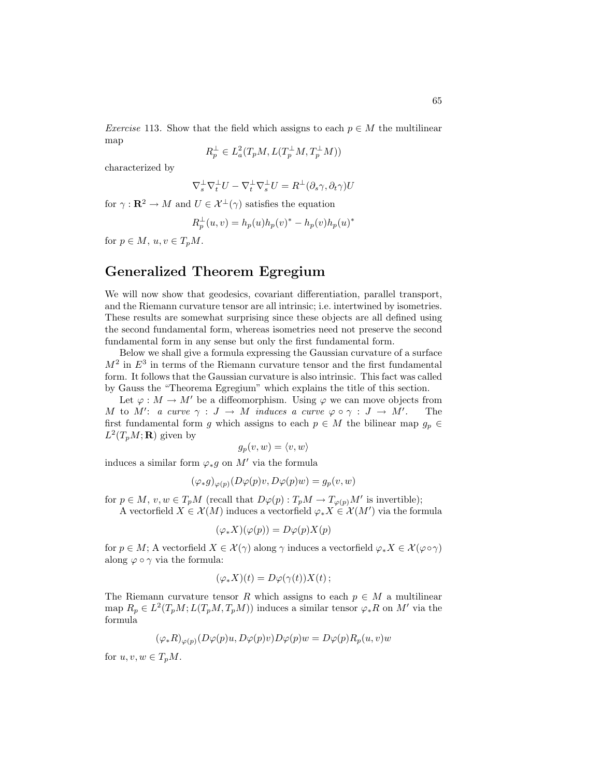Exercise 113. Show that the field which assigns to each  $p \in M$  the multilinear map

$$
R_p^{\perp} \in L^2_a(T_pM, L(T_p^{\perp}M, T_p^{\perp}M))
$$

characterized by

$$
\nabla_s^\perp \nabla_t^\perp U - \nabla_t^\perp \nabla_s^\perp U = R^\perp (\partial_s \gamma, \partial_t \gamma) U
$$

for  $\gamma : \mathbf{R}^2 \to M$  and  $U \in \mathcal{X}^{\perp}(\gamma)$  satisfies the equation

$$
R_p^{\perp}(u, v) = h_p(u)h_p(v)^{*} - h_p(v)h_p(u)^{*}
$$

for  $p \in M$ ,  $u, v \in T_pM$ .

# Generalized Theorem Egregium

We will now show that geodesics, covariant differentiation, parallel transport, and the Riemann curvature tensor are all intrinsic; i.e. intertwined by isometries. These results are somewhat surprising since these objects are all defined using the second fundamental form, whereas isometries need not preserve the second fundamental form in any sense but only the first fundamental form.

Below we shall give a formula expressing the Gaussian curvature of a surface  $M<sup>2</sup>$  in  $E<sup>3</sup>$  in terms of the Riemann curvature tensor and the first fundamental form. It follows that the Gaussian curvature is also intrinsic. This fact was called by Gauss the "Theorema Egregium" which explains the title of this section.

Let  $\varphi : M \to M'$  be a diffeomorphism. Using  $\varphi$  we can move objects from M to M': a curve  $\gamma : J \to M$  induces a curve  $\varphi \circ \gamma : J \to M'$ . The first fundamental form g which assigns to each  $p \in M$  the bilinear map  $g_p \in$  $L^2(T_pM; \mathbf{R})$  given by

$$
g_p(v, w) = \langle v, w \rangle
$$

induces a similar form  $\varphi_* g$  on M' via the formula

$$
(\varphi_*g)_{\varphi(p)}(D\varphi(p)v, D\varphi(p)w) = g_p(v, w)
$$

for  $p \in M$ ,  $v, w \in T_pM$  (recall that  $D\varphi(p) : T_pM \to T_{\varphi(p)}M'$  is invertible);

A vectorfield  $X \in \mathcal{X}(M)$  induces a vectorfield  $\varphi_* X \in \mathcal{X}(M')$  via the formula

$$
(\varphi_* X)(\varphi(p)) = D\varphi(p)X(p)
$$

for  $p \in M$ ; A vectorfield  $X \in \mathcal{X}(\gamma)$  along  $\gamma$  induces a vectorfield  $\varphi_* X \in \mathcal{X}(\varphi \circ \gamma)$ along  $\varphi \circ \gamma$  via the formula:

$$
(\varphi_* X)(t) = D\varphi(\gamma(t))X(t) \, ;
$$

The Riemann curvature tensor R which assigns to each  $p \in M$  a multilinear map  $R_p \in L^2(T_pM; L(T_pM, T_pM))$  induces a similar tensor  $\varphi_* R$  on M' via the formula

$$
(\varphi_*R)_{\varphi(p)}(D\varphi(p)u, D\varphi(p)v)D\varphi(p)w = D\varphi(p)R_p(u, v)w
$$

for  $u, v, w \in T_pM$ .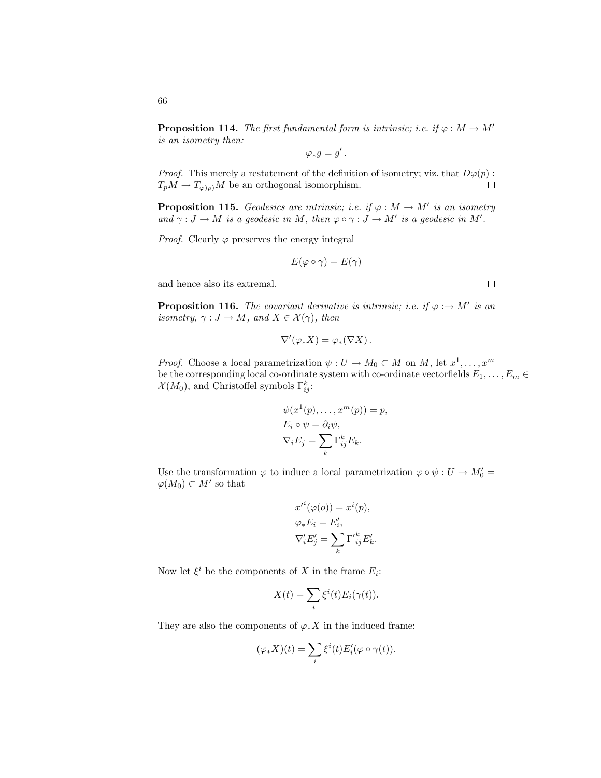**Proposition 114.** The first fundamental form is intrinsic; i.e. if  $\varphi : M \to M'$ is an isometry then:

$$
\varphi_*g=g'\,.
$$

*Proof.* This merely a restatement of the definition of isometry; viz. that  $D\varphi(p)$ :  $T_pM \to T_{\varphi/p}M$  be an orthogonal isomorphism.  $\Box$ 

**Proposition 115.** Geodesics are intrinsic; i.e. if  $\varphi : M \to M'$  is an isometry and  $\gamma: J \to M$  is a geodesic in M, then  $\varphi \circ \gamma: J \to M'$  is a geodesic in M'.

*Proof.* Clearly  $\varphi$  preserves the energy integral

$$
E(\varphi\circ\gamma)=E(\gamma)
$$

and hence also its extremal.

**Proposition 116.** The covariant derivative is intrinsic; i.e. if  $\varphi : \to M'$  is an isometry,  $\gamma : J \to M$ , and  $X \in \mathcal{X}(\gamma)$ , then

$$
\nabla'(\varphi_* X) = \varphi_*(\nabla X).
$$

*Proof.* Choose a local parametrization  $\psi: U \to M_0 \subset M$  on M, let  $x^1, \ldots, x^m$ be the corresponding local co-ordinate system with co-ordinate vectorfields  $E_1, \ldots, E_m \in$  $\mathcal{X}(M_0)$ , and Christoffel symbols  $\Gamma_{ij}^k$ :

$$
\psi(x^1(p), \dots, x^m(p)) = p,
$$
  
\n
$$
E_i \circ \psi = \partial_i \psi,
$$
  
\n
$$
\nabla_i E_j = \sum_k \Gamma_{ij}^k E_k.
$$

Use the transformation  $\varphi$  to induce a local parametrization  $\varphi \circ \psi : U \to M'_0 =$  $\varphi(M_0) \subset M'$  so that

$$
x'^{i}(\varphi(o)) = x^{i}(p),
$$
  
\n
$$
\varphi_{*}E_{i} = E'_{i},
$$
  
\n
$$
\nabla'_{i}E'_{j} = \sum_{k} \Gamma'_{ij}^{k} E'_{k}.
$$

Now let  $\xi^i$  be the components of X in the frame  $E_i$ :

$$
X(t) = \sum_{i} \xi^{i}(t) E_{i}(\gamma(t)).
$$

They are also the components of  $\varphi_* X$  in the induced frame:

$$
(\varphi_*X)(t)=\sum_i\xi^i(t)E_i'(\varphi\circ\gamma(t)).
$$

 $\Box$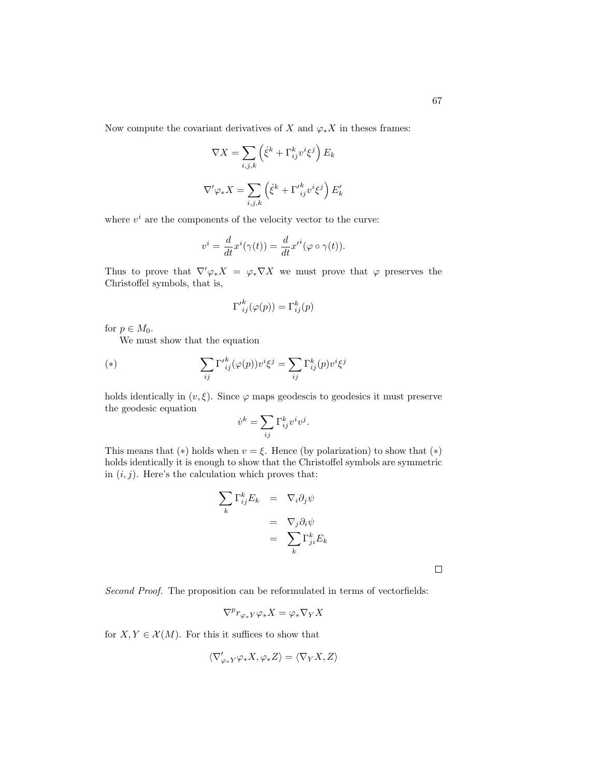Now compute the covariant derivatives of X and  $\varphi_* X$  in theses frames:

$$
\nabla X = \sum_{i,j,k} \left( \dot{\xi}^k + \Gamma^k_{ij} v^i \xi^j \right) E_k
$$
  

$$
\nabla' \varphi_* X = \sum_{i,j,k} \left( \dot{\xi}^k + \Gamma'^k_{ij} v^i \xi^j \right) E'_k
$$

where  $v^i$  are the components of the velocity vector to the curve:

$$
v^{i} = \frac{d}{dt}x^{i}(\gamma(t)) = \frac{d}{dt}x^{\prime i}(\varphi \circ \gamma(t)).
$$

Thus to prove that  $\nabla' \varphi_* X = \varphi_* \nabla X$  we must prove that  $\varphi$  preserves the Christoffel symbols, that is,

$$
\Gamma'^k_{ij}(\varphi(p)) = \Gamma^k_{ij}(p)
$$

for  $p \in M_0$ .

We must show that the equation

(\*) 
$$
\sum_{ij} \Gamma'^{k}_{ij}(\varphi(p)) v^{i} \xi^{j} = \sum_{ij} \Gamma^{k}_{ij}(p) v^{i} \xi^{j}
$$

holds identically in  $(v, \xi)$ . Since  $\varphi$  maps geodescis to geodesics it must preserve the geodesic equation

$$
\dot{v}^k = \sum_{ij} \Gamma^k_{ij} v^i v^j.
$$

This means that (\*) holds when  $v = \xi$ . Hence (by polarization) to show that (\*) holds identically it is enough to show that the Christoffel symbols are symmetric in  $(i, j)$ . Here's the calculation which proves that:

$$
\sum_{k} \Gamma_{ij}^{k} E_{k} = \nabla_{i} \partial_{j} \psi
$$

$$
= \nabla_{j} \partial_{i} \psi
$$

$$
= \sum_{k} \Gamma_{ji}^{k} E_{k}
$$

 $\Box$ 

Second Proof. The proposition can be reformulated in terms of vectorfields:

$$
\nabla^p r_{\varphi_*Y} \varphi_* X = \varphi_* \nabla_Y X
$$

for  $X, Y \in \mathcal{X}(M)$ . For this it suffices to show that

$$
\langle\nabla'_{\varphi_*Y}\varphi_*X,\varphi_*Z\rangle=\langle\nabla_YX,Z\rangle
$$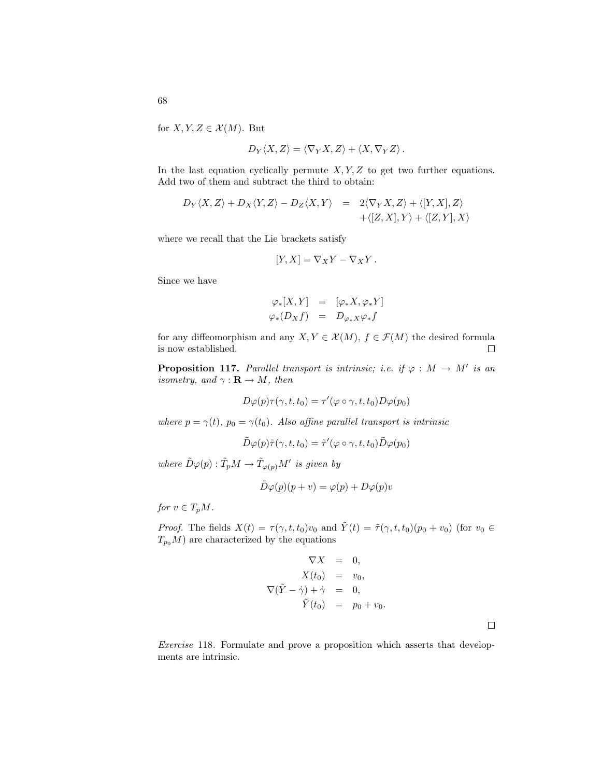for  $X, Y, Z \in \mathcal{X}(M)$ . But

$$
D_Y \langle X, Z \rangle = \langle \nabla_Y X, Z \rangle + \langle X, \nabla_Y Z \rangle.
$$

In the last equation cyclically permute  $X, Y, Z$  to get two further equations. Add two of them and subtract the third to obtain:

$$
D_Y \langle X, Z \rangle + D_X \langle Y, Z \rangle - D_Z \langle X, Y \rangle = 2 \langle \nabla_Y X, Z \rangle + \langle [Y, X], Z \rangle + \langle [Z, X], Y \rangle + \langle [Z, Y], X \rangle
$$

where we recall that the Lie brackets satisfy

$$
[Y, X] = \nabla_X Y - \nabla_X Y.
$$

Since we have

$$
\begin{array}{rcl}\n\varphi_*[X,Y] & = & [\varphi_*X,\varphi_*Y] \\
\varphi_*(D_Xf) & = & D_{\varphi_*X}\varphi_*f\n\end{array}
$$

for any diffeomorphism and any  $X, Y \in \mathcal{X}(M)$ ,  $f \in \mathcal{F}(M)$  the desired formula is now established.  $\Box$ 

**Proposition 117.** Parallel transport is intrinsic; i.e. if  $\varphi : M \to M'$  is an isometry, and  $\gamma : \mathbf{R} \to M$ , then

$$
D\varphi(p)\tau(\gamma, t, t_0) = \tau'(\varphi \circ \gamma, t, t_0)D\varphi(p_0)
$$

where  $p = \gamma(t)$ ,  $p_0 = \gamma(t_0)$ . Also affine parallel transport is intrinsic

$$
\tilde{D}\varphi(p)\tilde{\tau}(\gamma,t,t_0)=\tilde{\tau}'(\varphi\circ\gamma,t,t_0)\tilde{D}\varphi(p_0)
$$

where  $\tilde{D}\varphi(p): \tilde{T}_pM \to \tilde{T}_{\varphi(p)}M'$  is given by

$$
D\varphi(p)(p+v) = \varphi(p) + D\varphi(p)v
$$

for  $v \in T_pM$ .

*Proof.* The fields  $X(t) = \tau(\gamma, t, t_0)v_0$  and  $\tilde{Y}(t) = \tilde{\tau}(\gamma, t, t_0)(p_0 + v_0)$  (for  $v_0 \in$  $T_{p_0}M$ ) are characterized by the equations

$$
\nabla X = 0,
$$
  
\n
$$
X(t_0) = v_0,
$$
  
\n
$$
\nabla(\tilde{Y} - \dot{\gamma}) + \dot{\gamma} = 0,
$$
  
\n
$$
\tilde{Y}(t_0) = p_0 + v_0.
$$

Exercise 118. Formulate and prove a proposition which asserts that developments are intrinsic.

 $\Box$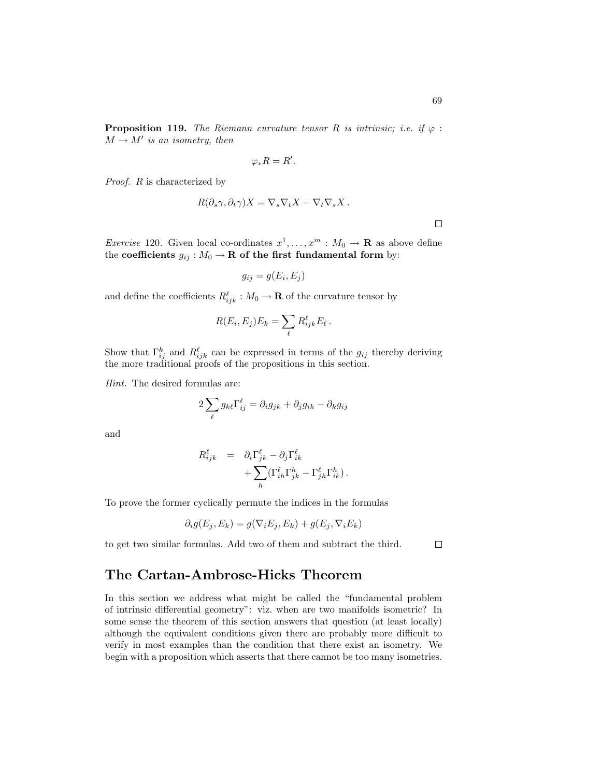**Proposition 119.** The Riemann curvature tensor R is intrinsic; i.e. if  $\varphi$ :  $M \to M'$  is an isometry, then

$$
\varphi_* R = R'.
$$

Proof. R is characterized by

$$
R(\partial_s \gamma, \partial_t \gamma)X = \nabla_s \nabla_t X - \nabla_t \nabla_s X.
$$

 $\Box$ 

*Exercise* 120. Given local co-ordinates  $x^1, \ldots, x^m : M_0 \to \mathbf{R}$  as above define the coefficients  $g_{ij}: M_0 \to \mathbf{R}$  of the first fundamental form by:

$$
g_{ij} = g(E_i, E_j)
$$

and define the coefficients  $R^{\ell}_{ijk} : M_0 \to \mathbf{R}$  of the curvature tensor by

$$
R(E_i, E_j)E_k = \sum_{\ell} R_{ijk}^{\ell} E_{\ell}.
$$

Show that  $\Gamma_{ij}^k$  and  $R_{ijk}^{\ell}$  can be expressed in terms of the  $g_{ij}$  thereby deriving the more traditional proofs of the propositions in this section.

Hint. The desired formulas are:

$$
2\sum_{\ell} g_{k\ell} \Gamma_{ij}^{\ell} = \partial_i g_{jk} + \partial_j g_{ik} - \partial_k g_{ij}
$$

and

$$
R^{\ell}_{ijk} = \partial_i \Gamma^{\ell}_{jk} - \partial_j \Gamma^{\ell}_{ik} + \sum_{h} (\Gamma^{\ell}_{ih} \Gamma^h_{jk} - \Gamma^{\ell}_{jh} \Gamma^h_{ik}).
$$

To prove the former cyclically permute the indices in the formulas

$$
\partial_i g(E_j, E_k) = g(\nabla_i E_j, E_k) + g(E_j, \nabla_i E_k)
$$

to get two similar formulas. Add two of them and subtract the third.

 $\Box$ 

### The Cartan-Ambrose-Hicks Theorem

In this section we address what might be called the "fundamental problem of intrinsic differential geometry": viz. when are two manifolds isometric? In some sense the theorem of this section answers that question (at least locally) although the equivalent conditions given there are probably more difficult to verify in most examples than the condition that there exist an isometry. We begin with a proposition which asserts that there cannot be too many isometries.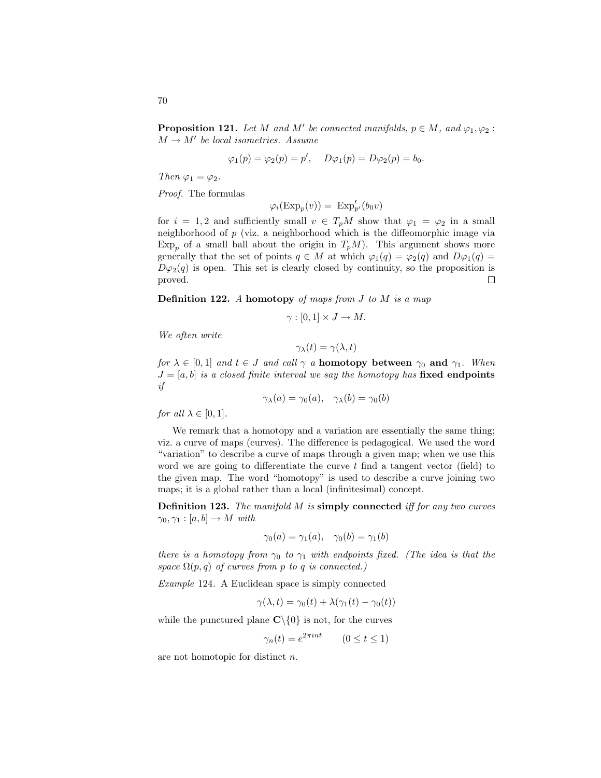**Proposition 121.** Let M and M' be connected manifolds,  $p \in M$ , and  $\varphi_1, \varphi_2$ :  $M \rightarrow M'$  be local isometries. Assume

$$
\varphi_1(p) = \varphi_2(p) = p', \quad D\varphi_1(p) = D\varphi_2(p) = b_0.
$$

Then  $\varphi_1 = \varphi_2$ .

Proof. The formulas

$$
\varphi_i(\mathrm{Exp}_p(v)) = \mathrm{Exp}'_{p'}(b_0v)
$$

for  $i = 1, 2$  and sufficiently small  $v \in T_pM$  show that  $\varphi_1 = \varphi_2$  in a small neighborhood of p (viz. a neighborhood which is the diffeomorphic image via  $Exp<sub>p</sub>$  of a small ball about the origin in  $T<sub>p</sub>M$ ). This argument shows more generally that the set of points  $q \in M$  at which  $\varphi_1(q) = \varphi_2(q)$  and  $D\varphi_1(q) =$  $D\varphi_2(q)$  is open. This set is clearly closed by continuity, so the proposition is proved.  $\Box$ 

**Definition 122.** A homotopy of maps from  $J$  to  $M$  is a map

$$
\gamma : [0,1] \times J \to M.
$$

We often write

$$
\gamma_{\lambda}(t) = \gamma(\lambda, t)
$$

for  $\lambda \in [0,1]$  and  $t \in J$  and call  $\gamma$  a **homotopy between**  $\gamma_0$  and  $\gamma_1$ . When  $J = [a, b]$  is a closed finite interval we say the homotopy has fixed endpoints if

$$
\gamma_{\lambda}(a) = \gamma_0(a), \quad \gamma_{\lambda}(b) = \gamma_0(b)
$$

for all  $\lambda \in [0,1]$ .

We remark that a homotopy and a variation are essentially the same thing; viz. a curve of maps (curves). The difference is pedagogical. We used the word "variation" to describe a curve of maps through a given map; when we use this word we are going to differentiate the curve t find a tangent vector (field) to the given map. The word "homotopy" is used to describe a curve joining two maps; it is a global rather than a local (infinitesimal) concept.

Definition 123. The manifold M is simply connected iff for any two curves  $\gamma_0, \gamma_1 : [a, b] \to M$  with

$$
\gamma_0(a) = \gamma_1(a), \quad \gamma_0(b) = \gamma_1(b)
$$

there is a homotopy from  $\gamma_0$  to  $\gamma_1$  with endpoints fixed. (The idea is that the space  $\Omega(p,q)$  of curves from p to q is connected.)

Example 124. A Euclidean space is simply connected

$$
\gamma(\lambda, t) = \gamma_0(t) + \lambda(\gamma_1(t) - \gamma_0(t))
$$

while the punctured plane  $\mathbb{C}\backslash\{0\}$  is not, for the curves

$$
\gamma_n(t) = e^{2\pi i nt} \qquad (0 \le t \le 1)
$$

are not homotopic for distinct n.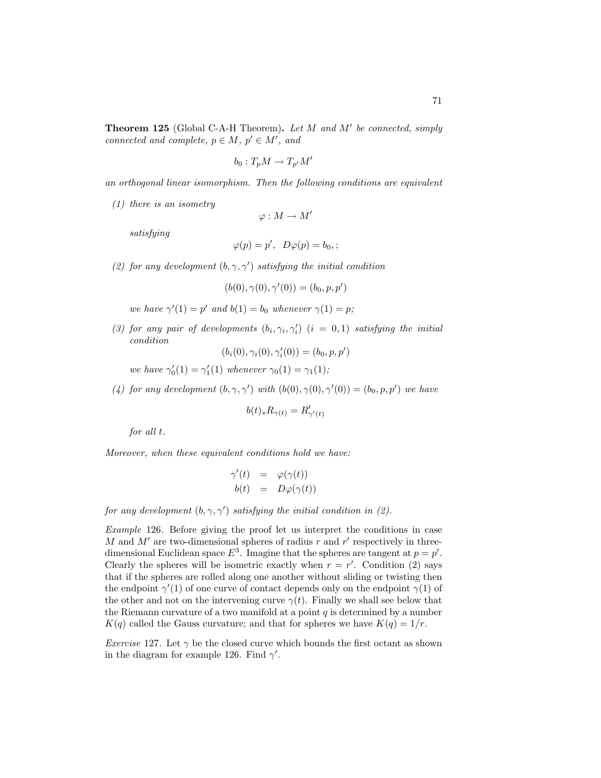$$
b_0: T_pM \to T_{p'}M
$$

an orthogonal linear isomorphism. Then the following conditions are equivalent

(1) there is an isometry

 $\varphi : M \to M'$ 

satisfying

$$
\varphi(p) = p', \ D\varphi(p) = b_0;
$$

(2) for any development  $(b, \gamma, \gamma')$  satisfying the initial condition

 $(b(0), \gamma(0), \gamma'(0)) = (b_0, p, p')$ 

we have  $\gamma'(1) = p'$  and  $b(1) = b_0$  whenever  $\gamma(1) = p$ ;

(3) for any pair of developments  $(b_i, \gamma_i, \gamma'_i)$   $(i = 0, 1)$  satisfying the initial condition

 $(b_i(0), \gamma_i(0), \gamma'_i(0)) = (b_0, p, p')$ 

we have  $\gamma_0'(1) = \gamma_1'(1)$  whenever  $\gamma_0(1) = \gamma_1(1);$ 

(4) for any development  $(b, \gamma, \gamma')$  with  $(b(0), \gamma(0), \gamma'(0)) = (b_0, p, p')$  we have

$$
b(t)_*R_{\gamma(t)}=R'_{\gamma'(t)}
$$

for all t.

Moreover, when these equivalent conditions hold we have:

$$
\gamma'(t) = \varphi(\gamma(t)) \n b(t) = D\varphi(\gamma(t))
$$

for any development  $(b, \gamma, \gamma')$  satisfying the initial condition in (2).

Example 126. Before giving the proof let us interpret the conditions in case M and  $M'$  are two-dimensional spheres of radius r and r' respectively in threedimensional Euclidean space  $E^3$ . Imagine that the spheres are tangent at  $p = p'$ . Clearly the spheres will be isometric exactly when  $r = r'$ . Condition (2) says that if the spheres are rolled along one another without sliding or twisting then the endpoint  $\gamma'(1)$  of one curve of contact depends only on the endpoint  $\gamma(1)$  of the other and not on the intervening curve  $\gamma(t)$ . Finally we shall see below that the Riemann curvature of a two manifold at a point  $q$  is determined by a number  $K(q)$  called the Gauss curvature; and that for spheres we have  $K(q) = 1/r$ .

*Exercise* 127. Let  $\gamma$  be the closed curve which bounds the first octant as shown in the diagram for example 126. Find  $\gamma'$ .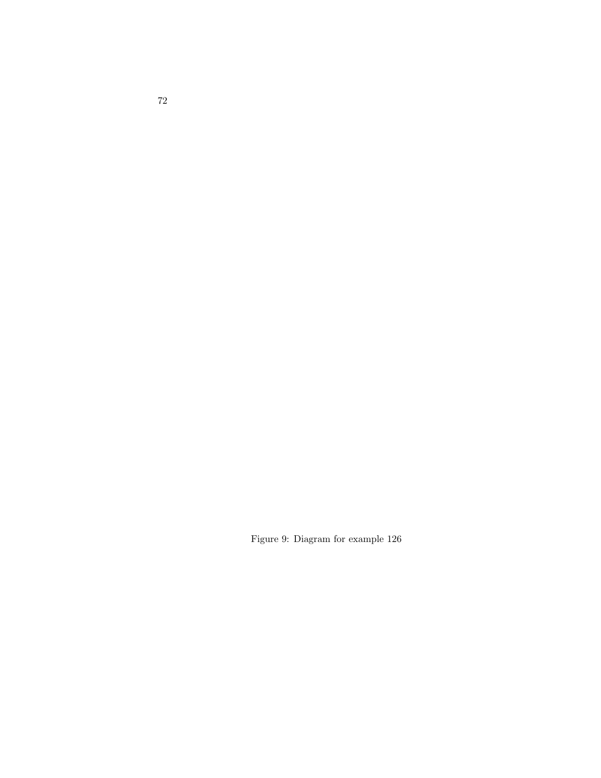Figure 9: Diagram for example 126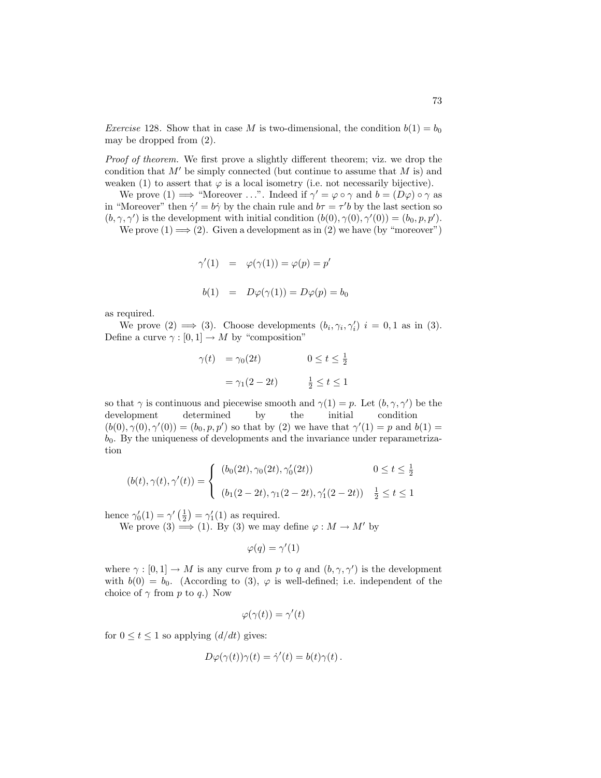*Exercise* 128. Show that in case M is two-dimensional, the condition  $b(1) = b_0$ may be dropped from (2).

Proof of theorem. We first prove a slightly different theorem; viz. we drop the condition that  $M'$  be simply connected (but continue to assume that  $M$  is) and weaken (1) to assert that  $\varphi$  is a local isometry (i.e. not necessarily bijective).

We prove  $(1) \Longrightarrow$  "Moreover ...". Indeed if  $\gamma' = \varphi \circ \gamma$  and  $b = (D\varphi) \circ \gamma$  as in "Moreover" then  $\dot{\gamma}' = b\dot{\gamma}$  by the chain rule and  $b\tau = \tau'b$  by the last section so  $(b, \gamma, \gamma')$  is the development with initial condition  $(b(0), \gamma(0), \gamma'(0)) = (b_0, p, p')$ .

We prove  $(1) \Longrightarrow (2)$ . Given a development as in  $(2)$  we have (by "moreover")

$$
\gamma'(1) = \varphi(\gamma(1)) = \varphi(p) = p'
$$
  

$$
b(1) = D\varphi(\gamma(1)) = D\varphi(p) = b_0
$$

as required.

We prove (2)  $\implies$  (3). Choose developments  $(b_i, \gamma_i, \gamma'_i)$   $i = 0, 1$  as in (3). Define a curve  $\gamma : [0, 1] \to M$  by "composition"

$$
\begin{aligned}\n\gamma(t) &= \gamma_0(2t) & 0 \le t \le \frac{1}{2} \\
&= \gamma_1(2 - 2t) & \frac{1}{2} \le t \le 1\n\end{aligned}
$$

so that  $\gamma$  is continuous and piecewise smooth and  $\gamma(1) = p$ . Let  $(b, \gamma, \gamma')$  be the development determined by the initial condition  $(b(0), \gamma(0), \gamma'(0)) = (b_0, p, p')$  so that by (2) we have that  $\gamma'(1) = p$  and  $b(1) =$  $b<sub>0</sub>$ . By the uniqueness of developments and the invariance under reparametrization

$$
(b(t), \gamma(t), \gamma'(t)) = \begin{cases} (b_0(2t), \gamma_0(2t), \gamma'_0(2t)) & 0 \le t \le \frac{1}{2} \\ (b_1(2-2t), \gamma_1(2-2t), \gamma'_1(2-2t)) & \frac{1}{2} \le t \le 1 \end{cases}
$$

hence  $\gamma_0'(1) = \gamma'(\frac{1}{2}) = \gamma_1'(1)$  as required.

We prove (3)  $\implies$  (1). By (3) we may define  $\varphi : M \to M'$  by

$$
\varphi(q) = \gamma'(1)
$$

where  $\gamma : [0,1] \to M$  is any curve from p to q and  $(b, \gamma, \gamma')$  is the development with  $b(0) = b_0$ . (According to (3),  $\varphi$  is well-defined; i.e. independent of the choice of  $\gamma$  from p to q.) Now

$$
\varphi(\gamma(t)) = \gamma'(t)
$$

for  $0 \le t \le 1$  so applying  $(d/dt)$  gives:

$$
D\varphi(\gamma(t))\gamma(t) = \dot{\gamma}'(t) = b(t)\gamma(t).
$$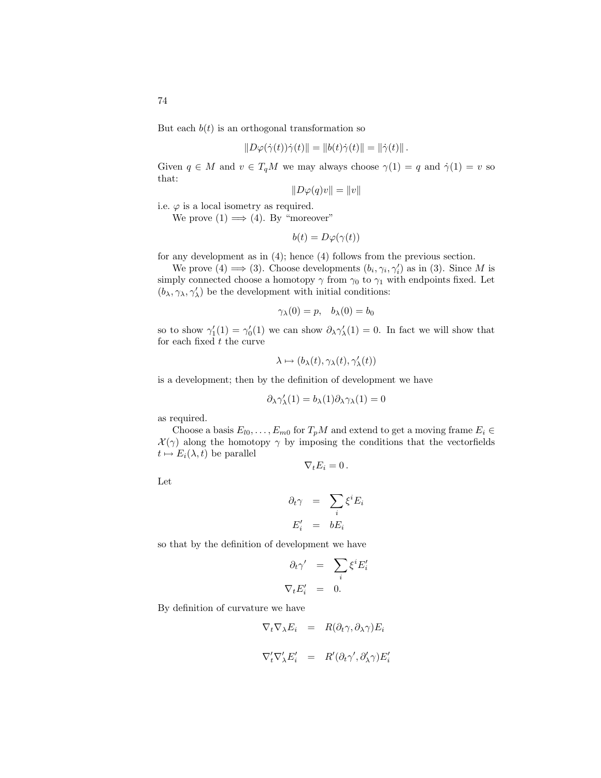But each  $b(t)$  is an orthogonal transformation so

$$
||D\varphi(\dot{\gamma}(t))\dot{\gamma}(t)|| = ||b(t)\dot{\gamma}(t)|| = ||\dot{\gamma}(t)||.
$$

Given  $q \in M$  and  $v \in T_qM$  we may always choose  $\gamma(1) = q$  and  $\dot{\gamma}(1) = v$  so that:

$$
||D\varphi(q)v|| = ||v||
$$

i.e.  $\varphi$  is a local isometry as required.

We prove  $(1) \Longrightarrow (4)$ . By "moreover"

$$
b(t) = D\varphi(\gamma(t))
$$

for any development as in (4); hence (4) follows from the previous section.

We prove (4)  $\Longrightarrow$  (3). Choose developments  $(b_i, \gamma_i, \gamma'_i)$  as in (3). Since M is simply connected choose a homotopy  $\gamma$  from  $\gamma_0$  to  $\gamma_1$  with endpoints fixed. Let  $(b_\lambda, \gamma_\lambda, \gamma'_\lambda)$  be the development with initial conditions:

$$
\gamma_{\lambda}(0) = p, \quad b_{\lambda}(0) = b_0
$$

so to show  $\gamma_1'(1) = \gamma_0'(1)$  we can show  $\partial_\lambda \gamma_\lambda'(1) = 0$ . In fact we will show that for each fixed  $t$  the curve

$$
\lambda \mapsto (b_\lambda(t), \gamma_\lambda(t), \gamma_\lambda'(t))
$$

is a development; then by the definition of development we have

$$
\partial_\lambda \gamma_\lambda'(1)=b_\lambda(1)\partial_\lambda \gamma_\lambda(1)=0
$$

as required.

Choose a basis  $E_{l0}, \ldots, E_{m0}$  for  $T_pM$  and extend to get a moving frame  $E_i \in$  $\mathcal{X}(\gamma)$  along the homotopy  $\gamma$  by imposing the conditions that the vectorfields  $t \mapsto E_i(\lambda, t)$  be parallel

$$
\nabla_t E_i = 0 \, .
$$

Let

$$
\partial_t \gamma = \sum_i \xi^i E_i
$$

$$
E'_i = bE_i
$$

so that by the definition of development we have

$$
\partial_t \gamma' = \sum_i \xi^i E'_i
$$
  

$$
\nabla_t E'_i = 0.
$$

By definition of curvature we have

$$
\nabla_t \nabla_\lambda E_i = R(\partial_t \gamma, \partial_\lambda \gamma) E_i
$$
  

$$
\nabla'_t \nabla'_\lambda E'_i = R'(\partial_t \gamma', \partial'_\lambda \gamma) E'_i
$$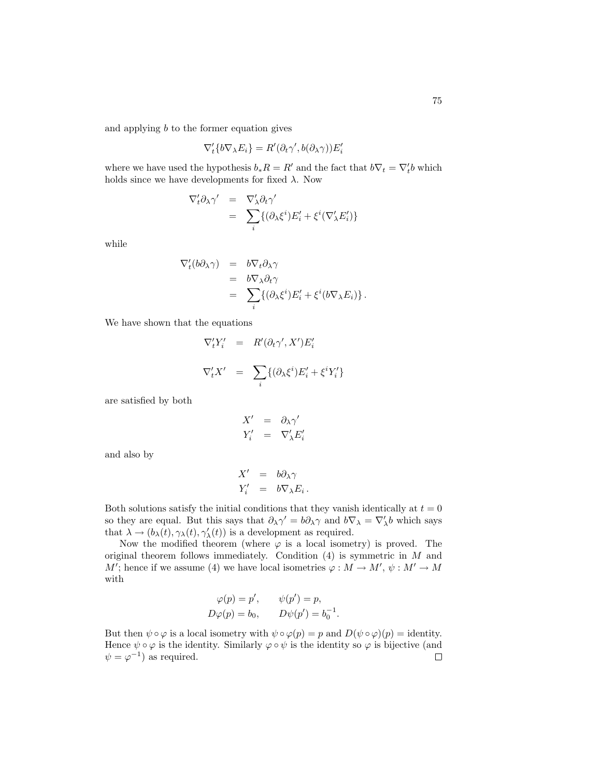and applying  $b$  to the former equation gives

$$
\nabla'_t \{b \nabla_\lambda E_i\} = R'(\partial_t \gamma', b(\partial_\lambda \gamma)) E'_i
$$

where we have used the hypothesis  $b_*R = R'$  and the fact that  $b\nabla_t = \nabla'_t b$  which holds since we have developments for fixed  $\lambda$ . Now

$$
\nabla'_{t} \partial_{\lambda} \gamma' = \nabla'_{\lambda} \partial_{t} \gamma' \n= \sum_{i} \{ (\partial_{\lambda} \xi^{i}) E'_{i} + \xi^{i} (\nabla'_{\lambda} E'_{i}) \}
$$

while

$$
\nabla'_t(b\partial_\lambda\gamma) = b\nabla_t\partial_\lambda\gamma
$$
  
= 
$$
b\nabla_\lambda\partial_t\gamma
$$
  
= 
$$
\sum_i \{(\partial_\lambda\xi^i)E'_i + \xi^i(b\nabla_\lambda E_i)\}.
$$

We have shown that the equations

$$
\nabla'_t Y'_i = R'(\partial_t \gamma', X') E'_i
$$
  

$$
\nabla'_t X' = \sum_i \{(\partial_\lambda \xi^i) E'_i + \xi^i Y'_i\}
$$

are satisfied by both

$$
X' = \partial_{\lambda} \gamma'
$$
  

$$
Y'_{i} = \nabla'_{\lambda} E'_{i}
$$

and also by

$$
X' = b\partial_{\lambda}\gamma
$$
  

$$
Y'_{i} = b\nabla_{\lambda}E_{i}.
$$

Both solutions satisfy the initial conditions that they vanish identically at  $t = 0$ so they are equal. But this says that  $\partial_\lambda \gamma' = b \partial_\lambda \gamma$  and  $b \nabla_\lambda = \nabla'_\lambda b$  which says that  $\lambda \to (b_\lambda(t), \gamma_\lambda(t), \gamma'_\lambda(t))$  is a development as required.

Now the modified theorem (where  $\varphi$  is a local isometry) is proved. The original theorem follows immediately. Condition  $(4)$  is symmetric in M and M'; hence if we assume (4) we have local isometries  $\varphi : M \to M', \psi : M' \to M$ with

$$
\varphi(p) = p', \qquad \psi(p') = p,
$$
  
\n
$$
D\varphi(p) = b_0, \qquad D\psi(p') = b_0^{-1}.
$$

But then  $\psi \circ \varphi$  is a local isometry with  $\psi \circ \varphi(p) = p$  and  $D(\psi \circ \varphi)(p) =$  identity. Hence  $\psi \circ \varphi$  is the identity. Similarly  $\varphi \circ \psi$  is the identity so  $\varphi$  is bijective (and  $\psi = \varphi^{-1}$  as required.  $\Box$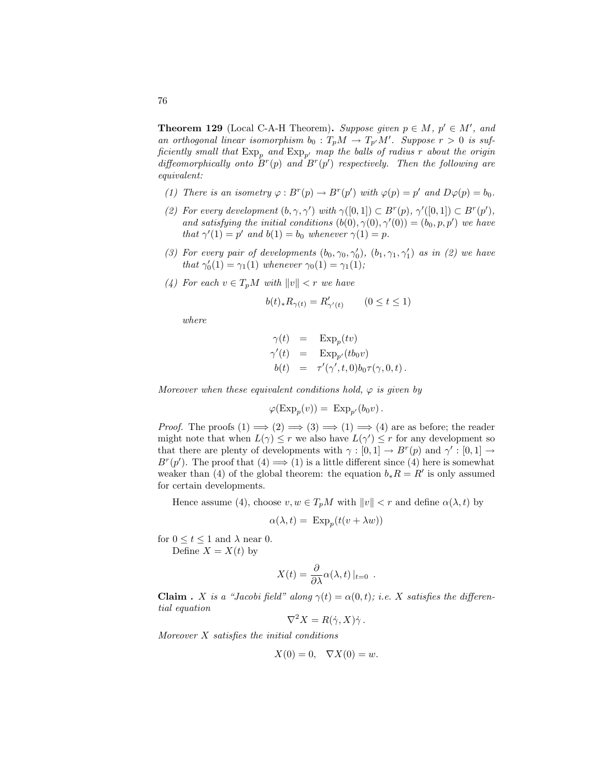**Theorem 129** (Local C-A-H Theorem). Suppose given  $p \in M$ ,  $p' \in M'$ , and an orthogonal linear isomorphism  $b_0: T_pM \to T_{p'}M'$ . Suppose  $r > 0$  is sufficiently small that  $\exp_p$  and  $\exp_{p'}$  map the balls of radius r about the origin diffeomorphically onto  $B^r(p)$  and  $B^r(p')$  respectively. Then the following are equivalent:

- (1) There is an isometry  $\varphi : B^r(p) \to B^r(p')$  with  $\varphi(p) = p'$  and  $D\varphi(p) = b_0$ .
- (2) For every development  $(b, \gamma, \gamma')$  with  $\gamma([0, 1]) \subset B^r(p), \gamma'([0, 1]) \subset B^r(p'),$ and satisfying the initial conditions  $(b(0), \gamma(0), \gamma'(0)) = (b_0, p, p')$  we have that  $\gamma'(1) = p'$  and  $b(1) = b_0$  whenever  $\gamma(1) = p$ .
- (3) For every pair of developments  $(b_0, \gamma_0, \gamma'_0)$ ,  $(b_1, \gamma_1, \gamma'_1)$  as in (2) we have that  $\gamma'_0(1) = \gamma_1(1)$  whenever  $\gamma_0(1) = \gamma_1(1)$ ;
- (4) For each  $v \in T_pM$  with  $||v|| < r$  we have

$$
b(t)_*R_{\gamma(t)}=R'_{\gamma'(t)}\qquad (0\le t\le 1)
$$

where

$$
\gamma(t) = \operatorname{Exp}_p(tv)
$$
  
\n
$$
\gamma'(t) = \operatorname{Exp}_{p'}(tb_0v)
$$
  
\n
$$
b(t) = \tau'(\gamma', t, 0)b_0\tau(\gamma, 0, t).
$$

Moreover when these equivalent conditions hold,  $\varphi$  is given by

$$
\varphi(\mathrm{Exp}_p(v)) = \mathrm{Exp}_{p'}(b_0v).
$$

*Proof.* The proofs  $(1) \implies (2) \implies (3) \implies (1) \implies (4)$  are as before; the reader might note that when  $L(\gamma) \leq r$  we also have  $L(\gamma') \leq r$  for any development so that there are plenty of developments with  $\gamma : [0,1] \to B^r(p)$  and  $\gamma' : [0,1] \to$  $B^{r}(p')$ . The proof that  $(4) \Longrightarrow (1)$  is a little different since  $(4)$  here is somewhat weaker than (4) of the global theorem: the equation  $b_* R = R'$  is only assumed for certain developments.

Hence assume (4), choose  $v, w \in T_pM$  with  $||v|| < r$  and define  $\alpha(\lambda, t)$  by

$$
\alpha(\lambda, t) = \operatorname{Exp}_p(t(v + \lambda w))
$$

for  $0 \le t \le 1$  and  $\lambda$  near 0. Define  $X = X(t)$  by

$$
X(t) = \frac{\partial}{\partial \lambda} \alpha(\lambda, t) |_{t=0} .
$$

**Claim** . X is a "Jacobi field" along  $\gamma(t) = \alpha(0, t)$ ; i.e. X satisfies the differential equation

$$
\nabla^2 X = R(\dot{\gamma}, X)\dot{\gamma}.
$$

Moreover X satisfies the initial conditions

$$
X(0) = 0, \quad \nabla X(0) = w.
$$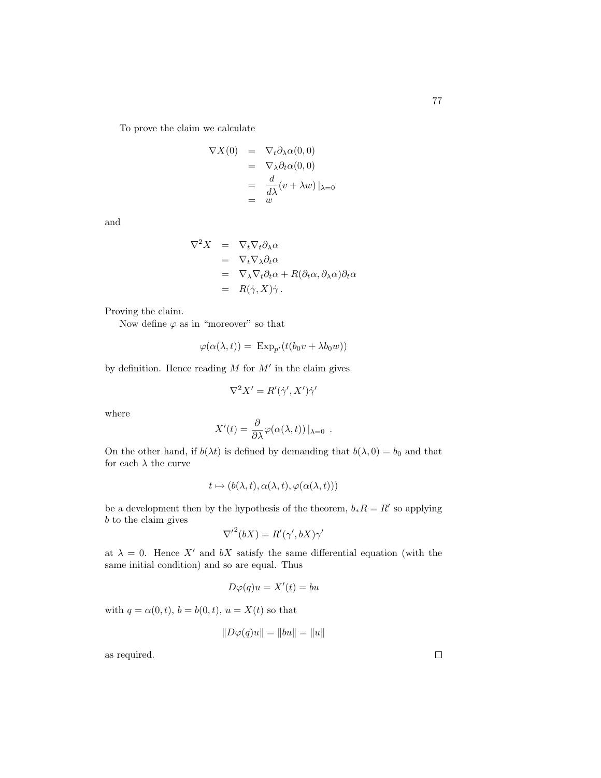To prove the claim we calculate

$$
\nabla X(0) = \nabla_t \partial_\lambda \alpha(0,0)
$$
  
=  $\nabla_\lambda \partial_t \alpha(0,0)$   
=  $\frac{d}{d\lambda} (v + \lambda w) |_{\lambda=0}$   
=  $w$ 

and

$$
\nabla^2 X = \nabla_t \nabla_t \partial_\lambda \alpha \n= \nabla_t \nabla_\lambda \partial_t \alpha \n= \nabla_\lambda \nabla_t \partial_t \alpha + R(\partial_t \alpha, \partial_\lambda \alpha) \partial_t \alpha \n= R(\dot{\gamma}, X) \dot{\gamma}.
$$

Proving the claim.

Now define  $\varphi$  as in "moreover" so that

$$
\varphi(\alpha(\lambda, t)) = \operatorname{Exp}_{p'}(t(b_0v + \lambda b_0w))
$$

by definition. Hence reading  $M$  for  $M'$  in the claim gives

$$
\nabla^2 X' = R'(\dot{\gamma}', X')\dot{\gamma}'
$$

where

$$
X'(t) = \frac{\partial}{\partial \lambda} \varphi(\alpha(\lambda, t)) |_{\lambda = 0} .
$$

On the other hand, if  $b(\lambda t)$  is defined by demanding that  $b(\lambda, 0) = b_0$  and that for each  $\lambda$  the curve

$$
t \mapsto (b(\lambda, t), \alpha(\lambda, t), \varphi(\alpha(\lambda, t)))
$$

be a development then by the hypothesis of the theorem,  $b_* R = R'$  so applying b to the claim gives

$$
{\nabla'}^2(bX) = R'(\gamma', bX)\gamma'
$$

at  $\lambda = 0$ . Hence X' and bX satisfy the same differential equation (with the same initial condition) and so are equal. Thus

$$
D\varphi(q)u = X'(t) = bu
$$

with  $q = \alpha(0, t)$ ,  $b = b(0, t)$ ,  $u = X(t)$  so that

$$
||D\varphi(q)u|| = ||bu|| = ||u||
$$

as required.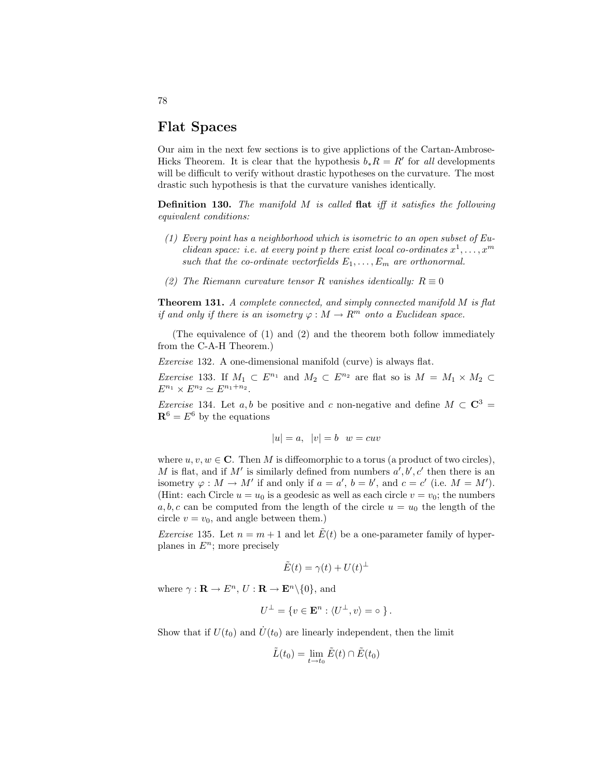# Flat Spaces

Our aim in the next few sections is to give applictions of the Cartan-Ambrose-Hicks Theorem. It is clear that the hypothesis  $b_* R = R'$  for all developments will be difficult to verify without drastic hypotheses on the curvature. The most drastic such hypothesis is that the curvature vanishes identically.

**Definition 130.** The manifold  $M$  is called flat iff it satisfies the following equivalent conditions:

- (1) Every point has a neighborhood which is isometric to an open subset of Euclidean space: i.e. at every point p there exist local co-ordinates  $x^1, \ldots, x^m$ such that the co-ordinate vectorfields  $E_1, \ldots, E_m$  are orthonormal.
- (2) The Riemann curvature tensor R vanishes identically:  $R \equiv 0$

Theorem 131. A complete connected, and simply connected manifold M is flat if and only if there is an isometry  $\varphi : M \to \mathbb{R}^m$  onto a Euclidean space.

(The equivalence of (1) and (2) and the theorem both follow immediately from the C-A-H Theorem.)

Exercise 132. A one-dimensional manifold (curve) is always flat.

*Exercise* 133. If  $M_1 \subset E^{n_1}$  and  $M_2 \subset E^{n_2}$  are flat so is  $M = M_1 \times M_2 \subset$  $E^{n_1} \times E^{n_2} \simeq E^{n_1+n_2}.$ 

*Exercise* 134. Let a, b be positive and c non-negative and define  $M \subset \mathbb{C}^3$  =  $\mathbf{R}^6 = E^6$  by the equations

$$
|u| = a, \quad |v| = b \quad w = cuv
$$

where  $u, v, w \in \mathbb{C}$ . Then M is diffeomorphic to a torus (a product of two circles), M is flat, and if M' is similarly defined from numbers  $a', b', c'$  then there is an isometry  $\varphi : M \to M'$  if and only if  $a = a'$ ,  $b = b'$ , and  $c = c'$  (i.e.  $M = M'$ ). (Hint: each Circle  $u = u_0$  is a geodesic as well as each circle  $v = v_0$ ; the numbers a, b, c can be computed from the length of the circle  $u = u_0$  the length of the circle  $v = v_0$ , and angle between them.)

*Exercise* 135. Let  $n = m + 1$  and let  $\tilde{E}(t)$  be a one-parameter family of hyperplanes in  $E^n$ ; more precisely

$$
\tilde{E}(t) = \gamma(t) + U(t)^{\perp}
$$

where  $\gamma : \mathbf{R} \to E^n$ ,  $U : \mathbf{R} \to \mathbf{E}^n \setminus \{0\}$ , and

$$
U^{\perp} = \{ v \in \mathbf{E}^n : \langle U^{\perp}, v \rangle = \circ \}.
$$

Show that if  $U(t_0)$  and  $\dot{U}(t_0)$  are linearly independent, then the limit

$$
\tilde{L}(t_0) = \lim_{t \to t_0} \tilde{E}(t) \cap \tilde{E}(t_0)
$$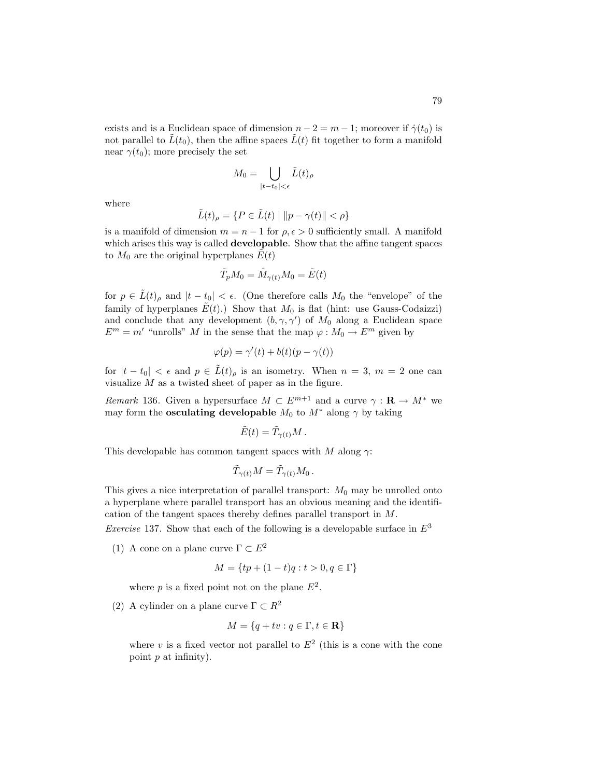exists and is a Euclidean space of dimension  $n-2 = m-1$ ; moreover if  $\dot{\gamma}(t_0)$  is not parallel to  $\tilde{L}(t_0)$ , then the affine spaces  $\tilde{L}(t)$  fit together to form a manifold near  $\gamma(t_0)$ ; more precisely the set

$$
M_0 = \bigcup_{|t - t_0| < \epsilon} \tilde{L}(t)_{\rho}
$$

where

$$
\tilde{L}(t)_{\rho} = \{ P \in \tilde{L}(t) \mid ||p - \gamma(t)|| < \rho \}
$$

is a manifold of dimension  $m = n - 1$  for  $\rho, \epsilon > 0$  sufficiently small. A manifold which arises this way is called **developable**. Show that the affine tangent spaces to  $M_0$  are the original hyperplanes  $E(t)$ 

$$
\tilde{T}_p M_0 = \tilde{M}_{\gamma(t)} M_0 = \tilde{E}(t)
$$

for  $p \in L(t)$ <sub>ρ</sub> and  $|t - t_0| < \epsilon$ . (One therefore calls  $M_0$  the "envelope" of the family of hyperplanes  $E(t)$ .) Show that  $M_0$  is flat (hint: use Gauss-Codaizzi) and conclude that any development  $(b, \gamma, \gamma')$  of  $M_0$  along a Euclidean space  $E^m = m'$  "unrolls" M in the sense that the map  $\varphi : M_0 \to E^m$  given by

$$
\varphi(p) = \gamma'(t) + b(t)(p - \gamma(t))
$$

for  $|t - t_0| < \epsilon$  and  $p \in L(t)$  is an isometry. When  $n = 3, m = 2$  one can visualize M as a twisted sheet of paper as in the figure.

Remark 136. Given a hypersurface  $M \subset E^{m+1}$  and a curve  $\gamma : \mathbf{R} \to M^*$  we may form the **osculating developable**  $M_0$  to  $M^*$  along  $\gamma$  by taking

$$
\tilde{E}(t) = \tilde{T}_{\gamma(t)}M.
$$

This developable has common tangent spaces with M along  $\gamma$ :

$$
\tilde{T}_{\gamma(t)}M = \tilde{T}_{\gamma(t)}M_0.
$$

This gives a nice interpretation of parallel transport:  $M_0$  may be unrolled onto a hyperplane where parallel transport has an obvious meaning and the identification of the tangent spaces thereby defines parallel transport in M.

*Exercise* 137. Show that each of the following is a developable surface in  $E^3$ 

(1) A cone on a plane curve  $\Gamma \subset E^2$ 

$$
M = \{ tp + (1-t)q : t > 0, q \in \Gamma \}
$$

where p is a fixed point not on the plane  $E^2$ .

(2) A cylinder on a plane curve  $\Gamma \subset R^2$ 

$$
M = \{q + tv : q \in \Gamma, t \in \mathbf{R}\}\
$$

where v is a fixed vector not parallel to  $E^2$  (this is a cone with the cone point  $p$  at infinity).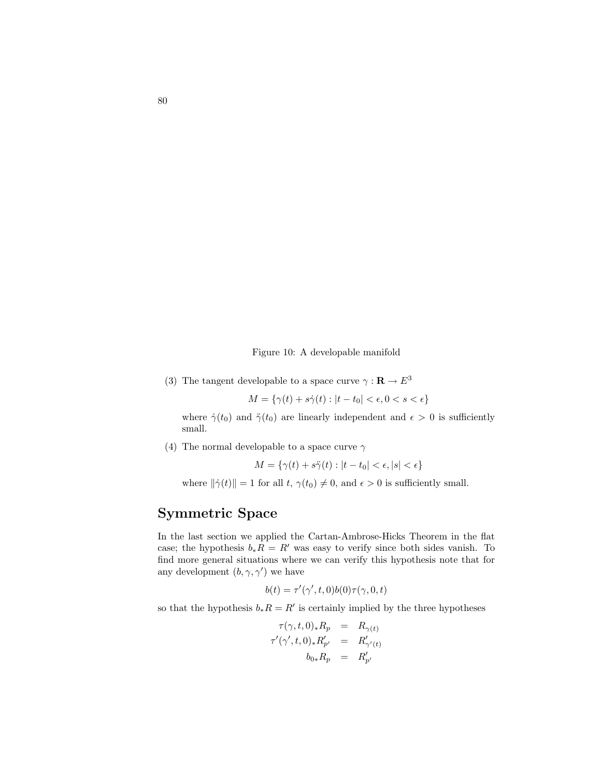Figure 10: A developable manifold

(3) The tangent developable to a space curve  $\gamma : \mathbf{R} \to E^3$ 

$$
M = \{ \gamma(t) + s\dot{\gamma}(t) : |t - t_0| < \epsilon, 0 < s < \epsilon \}
$$

where  $\dot{\gamma}(t_0)$  and  $\ddot{\gamma}(t_0)$  are linearly independent and  $\epsilon > 0$  is sufficiently small.

(4) The normal developable to a space curve  $\gamma$ 

 $M = \{ \gamma(t) + s\ddot{\gamma}(t) : |t - t_0| < \epsilon, |s| < \epsilon \}$ 

where  $\|\dot{\gamma}(t)\| = 1$  for all  $t, \gamma(t_0) \neq 0$ , and  $\epsilon > 0$  is sufficiently small.

## Symmetric Space

In the last section we applied the Cartan-Ambrose-Hicks Theorem in the flat case; the hypothesis  $b_*R = R'$  was easy to verify since both sides vanish. To find more general situations where we can verify this hypothesis note that for any development  $(b, \gamma, \gamma')$  we have

$$
b(t) = \tau'(\gamma', t, 0)b(0)\tau(\gamma, 0, t)
$$

so that the hypothesis  $b_* R = R'$  is certainly implied by the three hypotheses

$$
\tau(\gamma, t, 0)_* R_p = R_{\gamma(t)}
$$
  

$$
\tau'(\gamma', t, 0)_* R'_{p'} = R'_{\gamma'(t)}
$$
  

$$
b_{0*} R_p = R'_{p'}
$$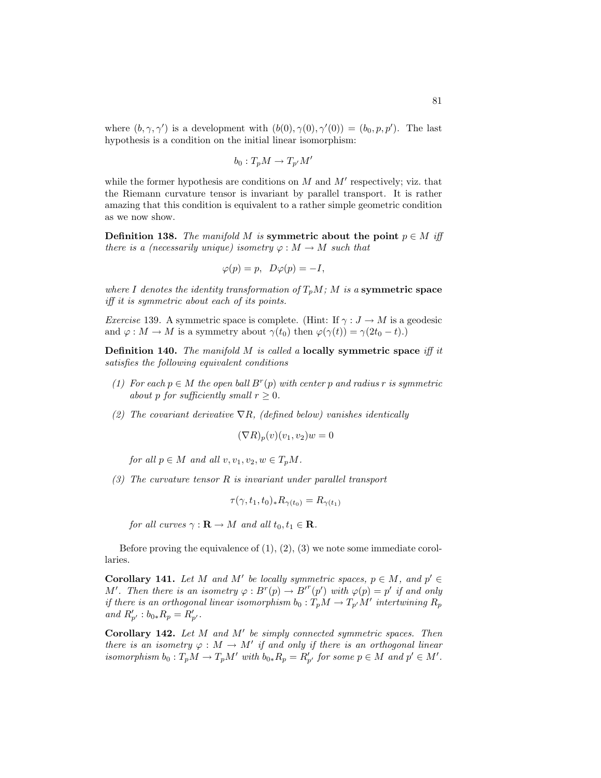where  $(b, \gamma, \gamma')$  is a development with  $(b(0), \gamma(0), \gamma'(0)) = (b_0, p, p')$ . The last hypothesis is a condition on the initial linear isomorphism:

$$
b_0: T_pM \to T_{p'}M'
$$

while the former hypothesis are conditions on  $M$  and  $M'$  respectively; viz. that the Riemann curvature tensor is invariant by parallel transport. It is rather amazing that this condition is equivalent to a rather simple geometric condition as we now show.

**Definition 138.** The manifold M is symmetric about the point  $p \in M$  iff there is a (necessarily unique) isometry  $\varphi : M \to M$  such that

$$
\varphi(p) = p, \ D\varphi(p) = -I,
$$

where I denotes the identity transformation of  $T_pM$ ; M is a symmetric space iff it is symmetric about each of its points.

*Exercise* 139. A symmetric space is complete. (Hint: If  $\gamma : J \to M$  is a geodesic and  $\varphi : M \to M$  is a symmetry about  $\gamma(t_0)$  then  $\varphi(\gamma(t)) = \gamma(2t_0 - t)$ .)

**Definition 140.** The manifold  $M$  is called a locally symmetric space iff it satisfies the following equivalent conditions

- (1) For each  $p \in M$  the open ball  $B^r(p)$  with center p and radius r is symmetric about p for sufficiently small  $r \geq 0$ .
- (2) The covariant derivative  $\nabla R$ , (defined below) vanishes identically

$$
(\nabla R)_p(v)(v_1, v_2)w = 0
$$

for all  $p \in M$  and all  $v, v_1, v_2, w \in T_pM$ .

(3) The curvature tensor  $R$  is invariant under parallel transport

$$
\tau(\gamma, t_1, t_0)_* R_{\gamma(t_0)} = R_{\gamma(t_1)}
$$

for all curves  $\gamma : \mathbf{R} \to M$  and all  $t_0, t_1 \in \mathbf{R}$ .

Before proving the equivalence of  $(1)$ ,  $(2)$ ,  $(3)$  we note some immediate corollaries.

Corollary 141. Let M and M' be locally symmetric spaces,  $p \in M$ , and  $p' \in$ M'. Then there is an isometry  $\varphi : B^r(p) \to B^{r^r}(p')$  with  $\varphi(p) = p'$  if and only if there is an orthogonal linear isomorphism  $b_0: T_pM \to T_{p'}M'$  intertwining  $R_p$ and  $R'_{p'}$  :  $b_{0*}R_p = R'_{p'}$ .

Corollary 142. Let  $M$  and  $M'$  be simply connected symmetric spaces. Then there is an isometry  $\varphi : M \to M'$  if and only if there is an orthogonal linear isomorphism  $b_0: T_pM \to T_pM'$  with  $b_{0*}R_p = R'_{p'}$  for some  $p \in M$  and  $p' \in M'$ .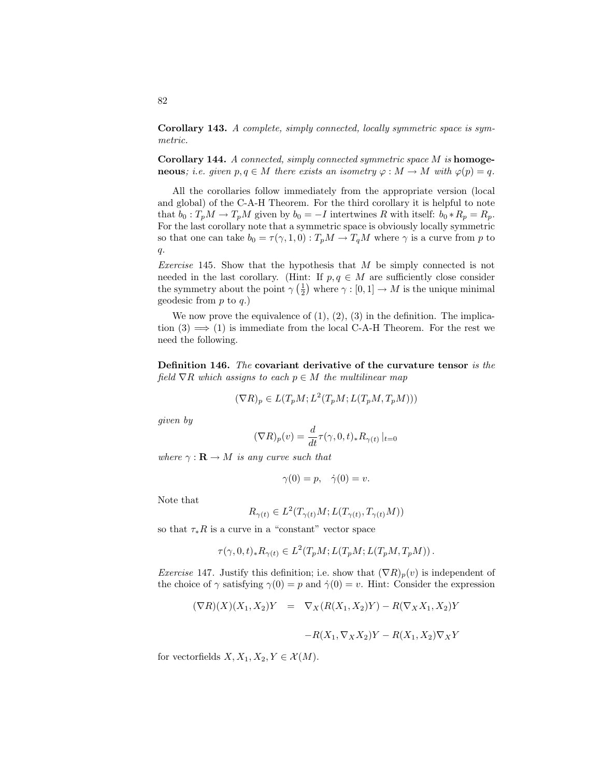Corollary 143. A complete, simply connected, locally symmetric space is symmetric.

Corollary 144. A connected, simply connected symmetric space M is homoge**neous**; i.e. given  $p, q \in M$  there exists an isometry  $\varphi : M \to M$  with  $\varphi(p) = q$ .

All the corollaries follow immediately from the appropriate version (local and global) of the C-A-H Theorem. For the third corollary it is helpful to note that  $b_0 : T_pM \to T_pM$  given by  $b_0 = -I$  intertwines R with itself:  $b_0 * R_p = R_p$ . For the last corollary note that a symmetric space is obviously locally symmetric so that one can take  $b_0 = \tau(\gamma, 1, 0) : T_pM \to T_qM$  where  $\gamma$  is a curve from p to  $q$ .

*Exercise* 145. Show that the hypothesis that  $M$  be simply connected is not needed in the last corollary. (Hint: If  $p, q \in M$  are sufficiently close consider the symmetry about the point  $\gamma\left(\frac{1}{2}\right)$  where  $\gamma: [0, 1] \to M$  is the unique minimal geodesic from  $p$  to  $q$ .)

We now prove the equivalence of  $(1)$ ,  $(2)$ ,  $(3)$  in the definition. The implication  $(3) \implies (1)$  is immediate from the local C-A-H Theorem. For the rest we need the following.

Definition 146. The covariant derivative of the curvature tensor is the field  $\nabla R$  which assigns to each  $p \in M$  the multilinear map

$$
(\nabla R)_p \in L(T_pM; L^2(T_pM; L(T_pM, T_pM)))
$$

given by

$$
(\nabla R)_p(v) = \frac{d}{dt} \tau(\gamma,0,t)_* R_{\gamma(t)}\left|_{t=0}\right.
$$

where  $\gamma : \mathbf{R} \to M$  is any curve such that

$$
\gamma(0) = p, \quad \dot{\gamma}(0) = v.
$$

Note that

$$
R_{\gamma(t)} \in L^2(T_{\gamma(t)}M; L(T_{\gamma(t)}, T_{\gamma(t)}M))
$$

so that  $\tau_*R$  is a curve in a "constant" vector space

$$
\tau(\gamma,0,t)_*R_{\gamma(t)}\in L^2(T_pM;L(T_pM;L(T_pM,T_pM)).
$$

Exercise 147. Justify this definition; i.e. show that  $(\nabla R)_p(v)$  is independent of the choice of  $\gamma$  satisfying  $\gamma(0) = p$  and  $\dot{\gamma}(0) = v$ . Hint: Consider the expression

$$
(\nabla R)(X)(X_1, X_2)Y = \nabla_X (R(X_1, X_2)Y) - R(\nabla_X X_1, X_2)Y
$$

$$
-R(X_1, \nabla_X X_2)Y - R(X_1, X_2)\nabla_X Y
$$

for vectorfields  $X, X_1, X_2, Y \in \mathcal{X}(M)$ .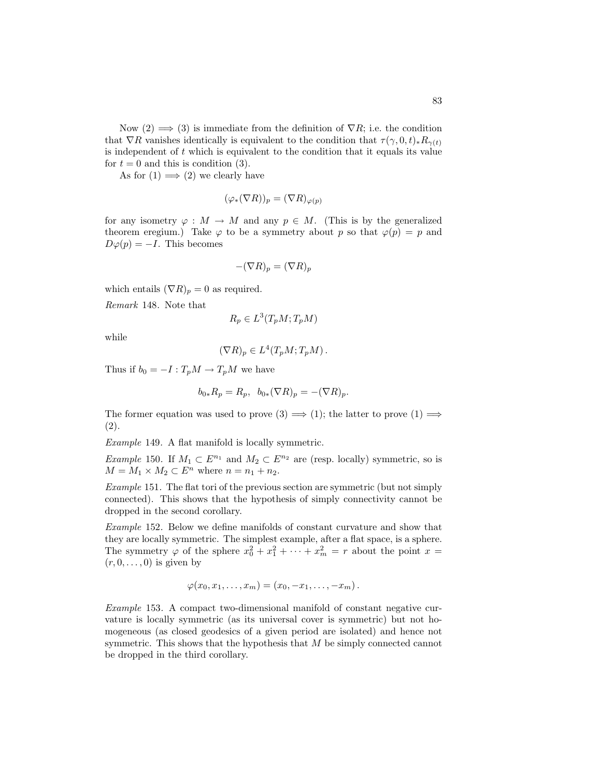Now  $(2) \implies (3)$  is immediate from the definition of  $\nabla R$ ; i.e. the condition that  $\nabla R$  vanishes identically is equivalent to the condition that  $\tau(\gamma, 0, t)_*R_{\gamma(t)}$ is independent of  $t$  which is equivalent to the condition that it equals its value for  $t = 0$  and this is condition (3).

As for  $(1) \implies (2)$  we clearly have

$$
(\varphi_*(\nabla R))_p = (\nabla R)_{\varphi(p)}
$$

for any isometry  $\varphi : M \to M$  and any  $p \in M$ . (This is by the generalized theorem eregium.) Take  $\varphi$  to be a symmetry about p so that  $\varphi(p) = p$  and  $D\varphi(p) = -I$ . This becomes

$$
-(\nabla R)_p = (\nabla R)_p
$$

which entails  $(\nabla R)_p = 0$  as required.

Remark 148. Note that

$$
R_p \in L^3(T_pM;T_pM)
$$

while

$$
(\nabla R)_p \in L^4(T_pM;T_pM).
$$

Thus if  $b_0 = -I : T_pM \to T_pM$  we have

$$
b_{0*}R_p = R_p, b_{0*}(\nabla R)_p = -(\nabla R)_p.
$$

The former equation was used to prove  $(3) \implies (1)$ ; the latter to prove  $(1) \implies$ (2).

Example 149. A flat manifold is locally symmetric.

Example 150. If  $M_1 \subset E^{n_1}$  and  $M_2 \subset E^{n_2}$  are (resp. locally) symmetric, so is  $M = M_1 \times M_2 \subset E^n$  where  $n = n_1 + n_2$ .

Example 151. The flat tori of the previous section are symmetric (but not simply connected). This shows that the hypothesis of simply connectivity cannot be dropped in the second corollary.

Example 152. Below we define manifolds of constant curvature and show that they are locally symmetric. The simplest example, after a flat space, is a sphere. The symmetry  $\varphi$  of the sphere  $x_0^2 + x_1^2 + \cdots + x_m^2 = r$  about the point  $x =$  $(r, 0, \ldots, 0)$  is given by

$$
\varphi(x_0,x_1,\ldots,x_m)=(x_0,-x_1,\ldots,-x_m).
$$

Example 153. A compact two-dimensional manifold of constant negative curvature is locally symmetric (as its universal cover is symmetric) but not homogeneous (as closed geodesics of a given period are isolated) and hence not symmetric. This shows that the hypothesis that M be simply connected cannot be dropped in the third corollary.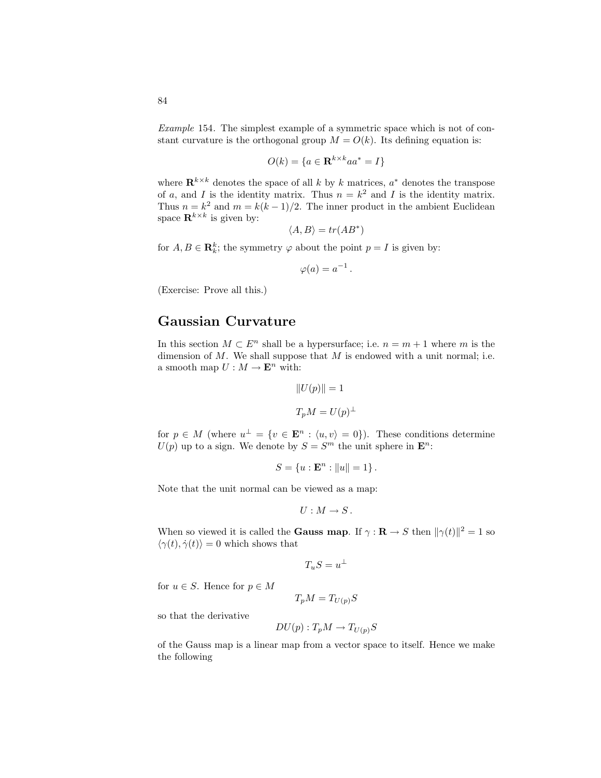84

Example 154. The simplest example of a symmetric space which is not of constant curvature is the orthogonal group  $M = O(k)$ . Its defining equation is:

$$
O(k) = \{a \in \mathbf{R}^{k \times k}aa^* = I\}
$$

where  $\mathbf{R}^{k \times k}$  denotes the space of all k by k matrices,  $a^*$  denotes the transpose of a, and I is the identity matrix. Thus  $n = k^2$  and I is the identity matrix. Thus  $n = k^2$  and  $m = k(k-1)/2$ . The inner product in the ambient Euclidean space  $\mathbf{R}^{k\times k}$  is given by:

$$
\langle A, B \rangle = tr(AB^*)
$$

for  $A, B \in \mathbf{R}_k^k$ ; the symmetry  $\varphi$  about the point  $p = I$  is given by:

 $\varphi(a) = a^{-1}$ .

(Exercise: Prove all this.)

#### Gaussian Curvature

In this section  $M \subset E^n$  shall be a hypersurface; i.e.  $n = m + 1$  where m is the dimension of  $M$ . We shall suppose that  $M$  is endowed with a unit normal; i.e. a smooth map  $U: M \to \mathbf{E}^n$  with:

$$
||U(p)|| = 1
$$
  

$$
T_p M = U(p)^{\perp}
$$

for  $p \in M$  (where  $u^{\perp} = \{v \in \mathbf{E}^n : \langle u, v \rangle = 0\}$ ). These conditions determine  $U(p)$  up to a sign. We denote by  $S = S<sup>m</sup>$  the unit sphere in  $\mathbf{E}^{n}$ :

$$
S = \{u : \mathbf{E}^n : ||u|| = 1\}.
$$

Note that the unit normal can be viewed as a map:

$$
U: M \to S.
$$

When so viewed it is called the **Gauss map**. If  $\gamma : \mathbf{R} \to S$  then  $\|\gamma(t)\|^2 = 1$  so  $\langle \gamma(t), \dot{\gamma}(t) \rangle = 0$  which shows that

$$
T_u S = u^\perp
$$

for  $u \in S$ . Hence for  $p \in M$ 

$$
T_p M = T_{U(p)} S
$$

so that the derivative

$$
DU(p): T_pM \to T_{U(p)}S
$$

of the Gauss map is a linear map from a vector space to itself. Hence we make the following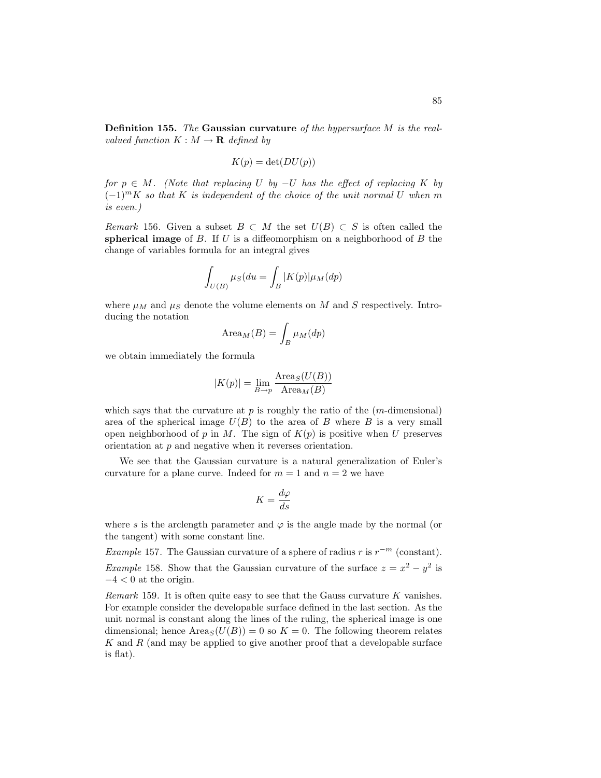Definition 155. The Gaussian curvature of the hypersurface M is the realvalued function  $K : M \to \mathbf{R}$  defined by

$$
K(p) = \det(DU(p))
$$

for  $p \in M$ . (Note that replacing U by  $-U$  has the effect of replacing K by  $(-1)^m K$  so that K is independent of the choice of the unit normal U when m is even.)

Remark 156. Given a subset  $B \subset M$  the set  $U(B) \subset S$  is often called the spherical image of  $B$ . If  $U$  is a diffeomorphism on a neighborhood of  $B$  the change of variables formula for an integral gives

$$
\int_{U(B)} \mu_S(du = \int_B |K(p)| \mu_M(dp)
$$

where  $\mu_M$  and  $\mu_S$  denote the volume elements on M and S respectively. Introducing the notation

$$
\text{Area}_M(B) = \int_B \mu_M(dp)
$$

we obtain immediately the formula

$$
|K(p)| = \lim_{B \to p} \frac{\text{Area}_S(U(B))}{\text{Area}_M(B)}
$$

which says that the curvature at  $p$  is roughly the ratio of the  $(m$ -dimensional) area of the spherical image  $U(B)$  to the area of B where B is a very small open neighborhood of p in M. The sign of  $K(p)$  is positive when U preserves orientation at p and negative when it reverses orientation.

We see that the Gaussian curvature is a natural generalization of Euler's curvature for a plane curve. Indeed for  $m = 1$  and  $n = 2$  we have

$$
K = \frac{d\varphi}{ds}
$$

where s is the arclength parameter and  $\varphi$  is the angle made by the normal (or the tangent) with some constant line.

Example 157. The Gaussian curvature of a sphere of radius r is  $r^{-m}$  (constant). *Example* 158. Show that the Gaussian curvature of the surface  $z = x^2 - y^2$  is  $-4 < 0$  at the origin.

*Remark* 159. It is often quite easy to see that the Gauss curvature  $K$  vanishes. For example consider the developable surface defined in the last section. As the unit normal is constant along the lines of the ruling, the spherical image is one dimensional; hence  $Area_S(U(B)) = 0$  so  $K = 0$ . The following theorem relates  $K$  and  $R$  (and may be applied to give another proof that a developable surface is flat).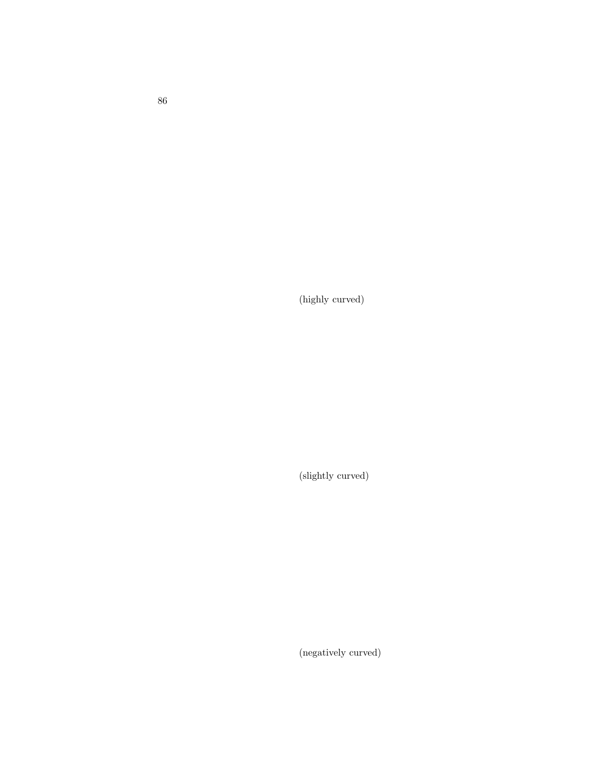(highly curved)

(slightly curved)

(negatively curved)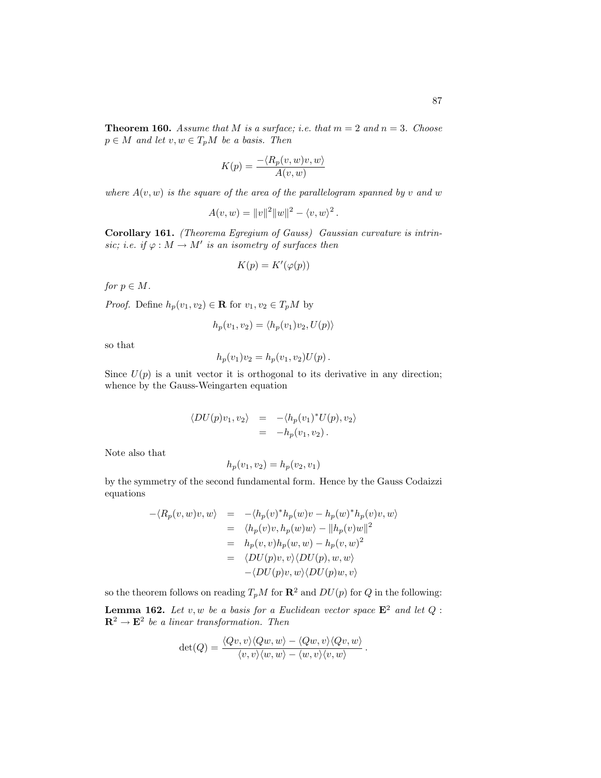**Theorem 160.** Assume that M is a surface; i.e. that  $m = 2$  and  $n = 3$ . Choose  $p \in M$  and let  $v, w \in T_pM$  be a basis. Then

$$
K(p) = \frac{-\langle R_p(v, w)v, w \rangle}{A(v, w)}
$$

where  $A(v, w)$  is the square of the area of the parallelogram spanned by v and w

$$
A(v, w) = ||v||2 ||w||2 - \langle v, w \rangle2.
$$

Corollary 161. (Theorema Egregium of Gauss) Gaussian curvature is intrinsic; i.e. if  $\varphi : M \to M'$  is an isometry of surfaces then

$$
K(p) = K'(\varphi(p))
$$

for  $p \in M$ .

*Proof.* Define  $h_p(v_1, v_2) \in \mathbf{R}$  for  $v_1, v_2 \in T_pM$  by

$$
h_p(v_1, v_2) = \langle h_p(v_1)v_2, U(p) \rangle
$$

so that

$$
h_p(v_1)v_2 = h_p(v_1, v_2)U(p).
$$

Since  $U(p)$  is a unit vector it is orthogonal to its derivative in any direction; whence by the Gauss-Weingarten equation

$$
\langle DU(p)v_1, v_2 \rangle = -\langle h_p(v_1)^* U(p), v_2 \rangle
$$
  
= -h<sub>p</sub>(v<sub>1</sub>, v<sub>2</sub>).

Note also that

$$
h_p(v_1, v_2) = h_p(v_2, v_1)
$$

by the symmetry of the second fundamental form. Hence by the Gauss Codaizzi equations

$$
-\langle R_p(v, w)v, w \rangle = -\langle h_p(v)^* h_p(w)v - h_p(w)^* h_p(v)v, w \rangle
$$
  
\n
$$
= \langle h_p(v)v, h_p(w)w \rangle - ||h_p(v)w||^2
$$
  
\n
$$
= h_p(v, v)h_p(w, w) - h_p(v, w)^2
$$
  
\n
$$
= \langle DU(p)v, v \rangle \langle DU(p), w, w \rangle
$$
  
\n
$$
- \langle DU(p)v, w \rangle \langle DU(p)w, v \rangle
$$

so the theorem follows on reading  $T_pM$  for  $\mathbb{R}^2$  and  $DU(p)$  for  $Q$  in the following:

**Lemma 162.** Let v, w be a basis for a Euclidean vector space  $\mathbf{E}^2$  and let Q:  $\mathbf{R}^2 \to \mathbf{E}^2$  be a linear transformation. Then

$$
\det(Q) = \frac{\langle Qv, v \rangle \langle Qw, w \rangle - \langle Qw, v \rangle \langle Qv, w \rangle}{\langle v, v \rangle \langle w, w \rangle - \langle w, v \rangle \langle v, w \rangle}
$$

.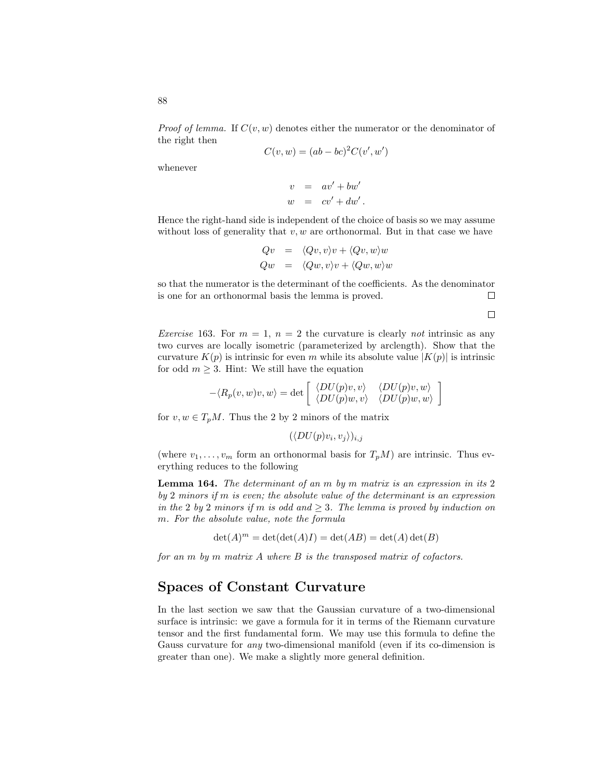*Proof of lemma.* If  $C(v, w)$  denotes either the numerator or the denominator of the right then

$$
C(v, w) = (ab - bc)^2 C(v', w')
$$

whenever

$$
v = av' + bw'
$$
  

$$
w = cv' + dw'.
$$

Hence the right-hand side is independent of the choice of basis so we may assume without loss of generality that  $v, w$  are orthonormal. But in that case we have

$$
Qv = \langle Qv, v \rangle v + \langle Qv, w \rangle w
$$
  

$$
Qw = \langle Qw, v \rangle v + \langle Qw, w \rangle w
$$

so that the numerator is the determinant of the coefficients. As the denominator is one for an orthonormal basis the lemma is proved.  $\Box$ 

 $\Box$ 

*Exercise* 163. For  $m = 1$ ,  $n = 2$  the curvature is clearly not intrinsic as any two curves are locally isometric (parameterized by arclength). Show that the curvature  $K(p)$  is intrinsic for even m while its absolute value  $|K(p)|$  is intrinsic for odd  $m \geq 3$ . Hint: We still have the equation

$$
-\langle R_p(v, w)v, w\rangle = \det \begin{bmatrix} \langle DU(p)v, v \rangle & \langle DU(p)v, w \rangle \\ \langle DU(p)w, v \rangle & \langle DU(p)w, w \rangle \end{bmatrix}
$$

for  $v, w \in T_nM$ . Thus the 2 by 2 minors of the matrix

 $(\langle DU(p)v_i, v_j \rangle)_{i,j}$ 

(where  $v_1, \ldots, v_m$  form an orthonormal basis for  $T_pM$ ) are intrinsic. Thus everything reduces to the following

Lemma 164. The determinant of an m by m matrix is an expression in its 2 by 2 minors if m is even; the absolute value of the determinant is an expression in the 2 by 2 minors if m is odd and  $\geq$  3. The lemma is proved by induction on m. For the absolute value, note the formula

$$
\det(A)^m = \det(\det(A)I) = \det(AB) = \det(A)\det(B)
$$

for an  $m$  by  $m$  matrix  $A$  where  $B$  is the transposed matrix of cofactors.

### Spaces of Constant Curvature

In the last section we saw that the Gaussian curvature of a two-dimensional surface is intrinsic: we gave a formula for it in terms of the Riemann curvature tensor and the first fundamental form. We may use this formula to define the Gauss curvature for any two-dimensional manifold (even if its co-dimension is greater than one). We make a slightly more general definition.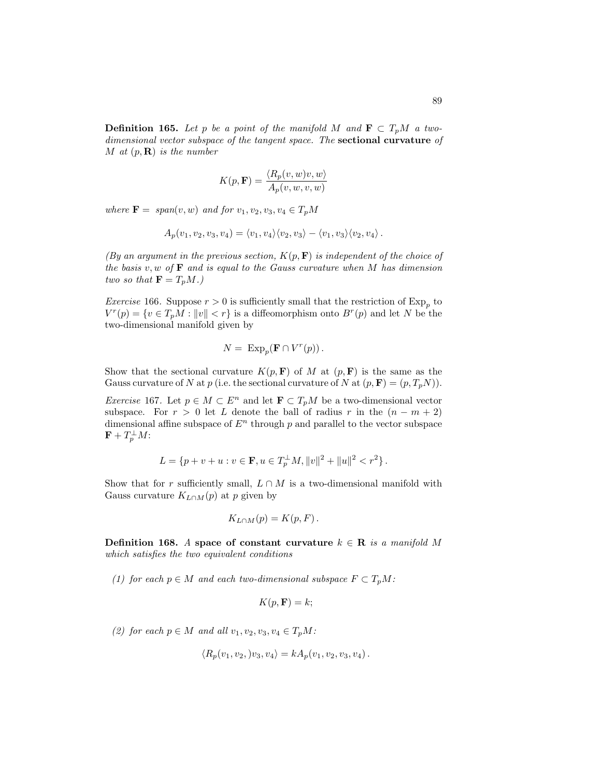**Definition 165.** Let p be a point of the manifold M and  $\mathbf{F} \subset T_pM$  a twodimensional vector subspace of the tangent space. The sectional curvature of M at  $(p, \mathbf{R})$  is the number

$$
K(p, \mathbf{F}) = \frac{\langle R_p(v, w)v, w \rangle}{A_p(v, w, v, w)}
$$

where  $\mathbf{F} = span(v, w)$  and for  $v_1, v_2, v_3, v_4 \in T_pM$ 

$$
A_p(v_1, v_2, v_3, v_4) = \langle v_1, v_4 \rangle \langle v_2, v_3 \rangle - \langle v_1, v_3 \rangle \langle v_2, v_4 \rangle.
$$

(By an argument in the previous section,  $K(p, \mathbf{F})$  is independent of the choice of the basis  $v, w$  of  $\mathbf F$  and is equal to the Gauss curvature when M has dimension two so that  $\mathbf{F} = T_p M$ .)

*Exercise* 166. Suppose  $r > 0$  is sufficiently small that the restriction of  $Exp_p$  to  $V^{r}(p) = \{v \in T_pM : ||v|| < r\}$  is a diffeomorphism onto  $B^{r}(p)$  and let N be the two-dimensional manifold given by

$$
N = \text{Exp}_p(\mathbf{F} \cap V^r(p)).
$$

Show that the sectional curvature  $K(p, \mathbf{F})$  of M at  $(p, \mathbf{F})$  is the same as the Gauss curvature of N at p (i.e. the sectional curvature of N at  $(p, \mathbf{F}) = (p, T_pN)$ ).

Exercise 167. Let  $p \in M \subset E^n$  and let  $\mathbf{F} \subset T_pM$  be a two-dimensional vector subspace. For  $r > 0$  let L denote the ball of radius r in the  $(n - m + 2)$ dimensional affine subspace of  $E<sup>n</sup>$  through p and parallel to the vector subspace  $\mathbf{F}+T_{p}^{\perp}M\mathpunct{:}$ 

$$
L = \{ p + v + u : v \in \mathbf{F}, u \in T_p^{\perp} M, ||v||^2 + ||u||^2 < r^2 \}.
$$

Show that for r sufficiently small,  $L \cap M$  is a two-dimensional manifold with Gauss curvature  $K_{L\cap M}(p)$  at p given by

$$
K_{L\cap M}(p)=K(p,F).
$$

Definition 168. A space of constant curvature  $k \in \mathbb{R}$  is a manifold M which satisfies the two equivalent conditions

(1) for each  $p \in M$  and each two-dimensional subspace  $F \subset T_pM$ :

$$
K(p, \mathbf{F}) = k;
$$

(2) for each  $p \in M$  and all  $v_1, v_2, v_3, v_4 \in T_pM$ :

$$
\langle R_p(v_1, v_2, v_3, v_4 \rangle = k A_p(v_1, v_2, v_3, v_4).
$$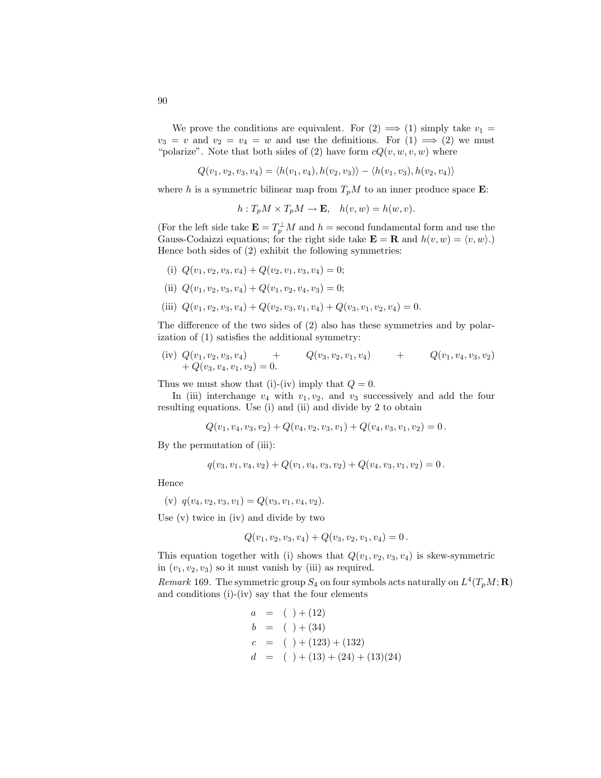We prove the conditions are equivalent. For  $(2) \implies (1)$  simply take  $v_1 =$  $v_3 = v$  and  $v_2 = v_4 = w$  and use the definitions. For  $(1) \implies (2)$  we must "polarize". Note that both sides of (2) have form  $cQ(v, w, v, w)$  where

$$
Q(v_1, v_2, v_3, v_4) = \langle h(v_1, v_4), h(v_2, v_3) \rangle - \langle h(v_1, v_3), h(v_2, v_4) \rangle
$$

where h is a symmetric bilinear map from  $T_pM$  to an inner produce space **E**:

 $h: T_pM \times T_pM \to \mathbf{E}, \quad h(v, w) = h(w, v).$ 

(For the left side take  $\mathbf{E} = T_p^{\perp} M$  and  $h =$  second fundamental form and use the Gauss-Codaizzi equations; for the right side take  $\mathbf{E} = \mathbf{R}$  and  $h(v, w) = \langle v, w \rangle$ .) Hence both sides of (2) exhibit the following symmetries:

- (i)  $Q(v_1, v_2, v_3, v_4) + Q(v_2, v_1, v_3, v_4) = 0;$
- (ii)  $Q(v_1, v_2, v_3, v_4) + Q(v_1, v_2, v_4, v_3) = 0;$
- (iii)  $Q(v_1, v_2, v_3, v_4) + Q(v_2, v_3, v_1, v_4) + Q(v_3, v_1, v_2, v_4) = 0.$

The difference of the two sides of (2) also has these symmetries and by polarization of (1) satisfies the additional symmetry:

(iv) 
$$
Q(v_1, v_2, v_3, v_4)
$$
 +  $Q(v_3, v_2, v_1, v_4)$  +  $Q(v_1, v_4, v_3, v_2)$   
+  $Q(v_3, v_4, v_1, v_2)$  = 0.

Thus we must show that (i)-(iv) imply that  $Q = 0$ .

In (iii) interchange  $v_4$  with  $v_1, v_2$ , and  $v_3$  successively and add the four resulting equations. Use (i) and (ii) and divide by 2 to obtain

$$
Q(v_1, v_4, v_3, v_2) + Q(v_4, v_2, v_3, v_1) + Q(v_4, v_3, v_1, v_2) = 0.
$$

By the permutation of (iii):

$$
q(v_3, v_1, v_4, v_2) + Q(v_1, v_4, v_3, v_2) + Q(v_4, v_3, v_1, v_2) = 0.
$$

Hence

(v) 
$$
q(v_4, v_2, v_3, v_1) = Q(v_3, v_1, v_4, v_2).
$$

Use (v) twice in (iv) and divide by two

$$
Q(v_1, v_2, v_3, v_4) + Q(v_3, v_2, v_1, v_4) = 0.
$$

This equation together with (i) shows that  $Q(v_1, v_2, v_3, v_4)$  is skew-symmetric in  $(v_1, v_2, v_3)$  so it must vanish by (iii) as required.

Remark 169. The symmetric group  $S_4$  on four symbols acts naturally on  $L^4(T_pM; \mathbf{R})$ and conditions (i)-(iv) say that the four elements

$$
a = ( ) + (12)
$$
  
\n
$$
b = ( ) + (34)
$$
  
\n
$$
c = ( ) + (123) + (132)
$$
  
\n
$$
d = ( ) + (13) + (24) + (13)(24)
$$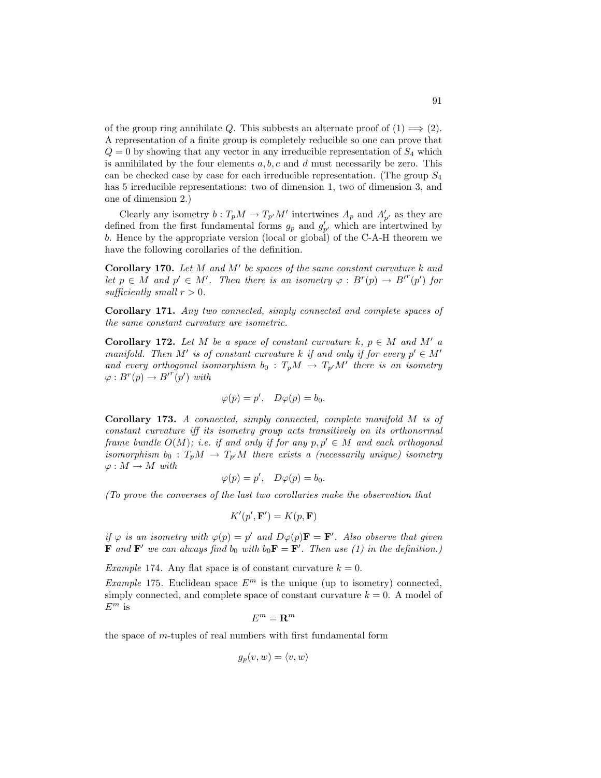of the group ring annihilate Q. This subbests an alternate proof of  $(1) \implies (2)$ . A representation of a finite group is completely reducible so one can prove that  $Q = 0$  by showing that any vector in any irreducible representation of  $S<sub>4</sub>$  which is annihilated by the four elements  $a, b, c$  and d must necessarily be zero. This can be checked case by case for each irreducible representation. (The group  $S_4$ has 5 irreducible representations: two of dimension 1, two of dimension 3, and one of dimension 2.)

Clearly any isometry  $b: T_pM \to T_{p'}M'$  intertwines  $A_p$  and  $A'_{p'}$  as they are defined from the first fundamental forms  $g_p$  and  $g'_{p'}$  which are intertwined by b. Hence by the appropriate version (local or global) of the C-A-H theorem we have the following corollaries of the definition.

Corollary 170. Let  $M$  and  $M'$  be spaces of the same constant curvature  $k$  and let  $p \in M$  and  $p' \in M'$ . Then there is an isometry  $\varphi : B^r(p) \to B'^r(p')$  for sufficiently small  $r > 0$ .

Corollary 171. Any two connected, simply connected and complete spaces of the same constant curvature are isometric.

**Corollary 172.** Let M be a space of constant curvature k,  $p \in M$  and M' a manifold. Then M' is of constant curvature k if and only if for every  $p' \in M'$ and every orthogonal isomorphism  $b_0 : T_pM \to T_{p'}M'$  there is an isometry  $\varphi: B^r(p) \to {B'}^r(p')$  with

$$
\varphi(p) = p', \quad D\varphi(p) = b_0.
$$

Corollary 173. A connected, simply connected, complete manifold M is of constant curvature iff its isometry group acts transitively on its orthonormal frame bundle  $O(M)$ ; i.e. if and only if for any  $p, p' \in M$  and each orthogonal isomorphism  $b_0 : T_pM \to T_{p'}M$  there exists a (necessarily unique) isometry  $\varphi: M \to M$  with

$$
\varphi(p) = p', \quad D\varphi(p) = b_0.
$$

(To prove the converses of the last two corollaries make the observation that

$$
K'(p', \mathbf{F}') = K(p, \mathbf{F})
$$

if  $\varphi$  is an isometry with  $\varphi(p) = p'$  and  $D\varphi(p)F = F'$ . Also observe that given **F** and **F'** we can always find  $b_0$  with  $b_0$ **F** = **F'**. Then use (1) in the definition.)

Example 174. Any flat space is of constant curvature  $k = 0$ .

Example 175. Euclidean space  $E^m$  is the unique (up to isometry) connected, simply connected, and complete space of constant curvature  $k = 0$ . A model of  $E^m$  is

$$
E^m={\bf R}^m
$$

the space of m-tuples of real numbers with first fundamental form

$$
g_p(v, w) = \langle v, w \rangle
$$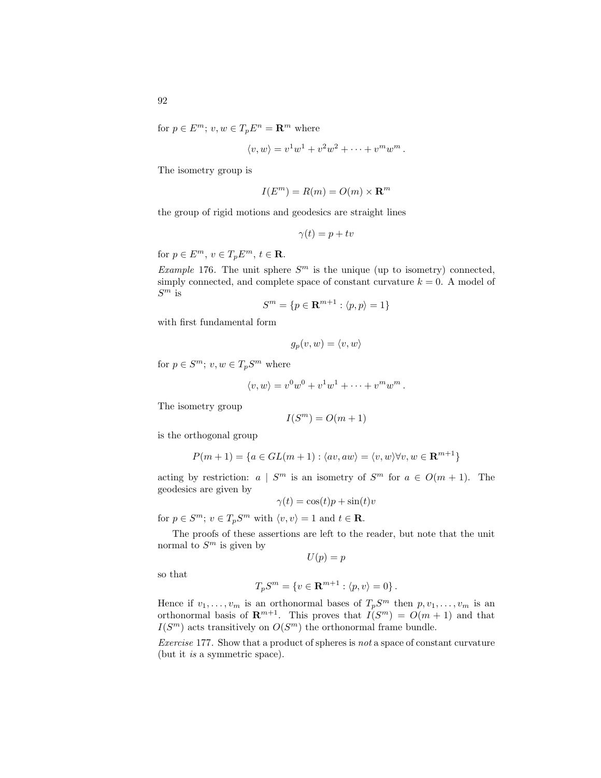for  $p \in E^m$ ;  $v, w \in T_p E^n = \mathbb{R}^m$  where

$$
\langle v, w \rangle = v^1 w^1 + v^2 w^2 + \dots + v^m w^m.
$$

The isometry group is

$$
I(E^m) = R(m) = O(m) \times \mathbf{R}^m
$$

the group of rigid motions and geodesics are straight lines

$$
\gamma(t) = p + tv
$$

for  $p \in E^m$ ,  $v \in T_p E^m$ ,  $t \in \mathbf{R}$ .

Example 176. The unit sphere  $S<sup>m</sup>$  is the unique (up to isometry) connected, simply connected, and complete space of constant curvature  $k = 0$ . A model of  $S^m$  is

$$
S^m = \{ p \in \mathbf{R}^{m+1} : \langle p, p \rangle = 1 \}
$$

with first fundamental form

$$
g_p(v, w) = \langle v, w \rangle
$$

for  $p \in S^m$ ;  $v, w \in T_p S^m$  where

$$
\langle v, w \rangle = v^0 w^0 + v^1 w^1 + \dots + v^m w^m.
$$

The isometry group

$$
I(S^m) = O(m+1)
$$

is the orthogonal group

$$
P(m+1) = \{a \in GL(m+1) : \langle av, aw \rangle = \langle v, w \rangle \forall v, w \in \mathbf{R}^{m+1}\}
$$

acting by restriction:  $a \mid S^m$  is an isometry of  $S^m$  for  $a \in O(m+1)$ . The geodesics are given by

$$
\gamma(t) = \cos(t)p + \sin(t)v
$$

for  $p \in S^m$ ;  $v \in T_p S^m$  with  $\langle v, v \rangle = 1$  and  $t \in \mathbf{R}$ .

The proofs of these assertions are left to the reader, but note that the unit normal to  $S^m$  is given by

$$
U(p) = p
$$

so that

$$
T_p S^m = \{ v \in \mathbf{R}^{m+1} : \langle p, v \rangle = 0 \}.
$$

Hence if  $v_1, \ldots, v_m$  is an orthonormal bases of  $T_pS^m$  then  $p, v_1, \ldots, v_m$  is an orthonormal basis of  $\mathbb{R}^{m+1}$ . This proves that  $I(S^m) = O(m+1)$  and that  $I(S^m)$  acts transitively on  $O(S^m)$  the orthonormal frame bundle.

Exercise 177. Show that a product of spheres is not a space of constant curvature (but it is a symmetric space).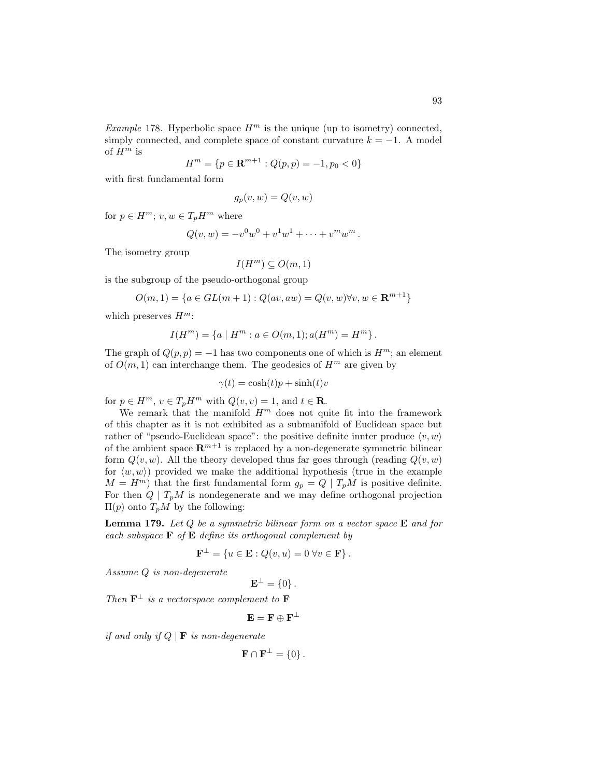$$
H^m = \{ p \in \mathbf{R}^{m+1} : Q(p, p) = -1, p_0 < 0 \}
$$

with first fundamental form

$$
g_p(v, w) = Q(v, w)
$$

for  $p \in H^m$ ;  $v, w \in T_p H^m$  where

$$
Q(v, w) = -v0w0 + v1w1 + \dots + vmwm.
$$

The isometry group

$$
I(H^m) \subseteq O(m,1)
$$

is the subgroup of the pseudo-orthogonal group

$$
O(m, 1) = \{a \in GL(m + 1) : Q(av, aw) = Q(v, w) \forall v, w \in \mathbf{R}^{m+1}\}\
$$

which preserves  $H^m$ :

$$
I(H^{m}) = \{a \mid H^{m} : a \in O(m, 1); a(H^{m}) = H^{m}\}.
$$

The graph of  $Q(p, p) = -1$  has two components one of which is  $H^m$ ; an element of  $O(m, 1)$  can interchange them. The geodesics of  $H<sup>m</sup>$  are given by

$$
\gamma(t) = \cosh(t)p + \sinh(t)v
$$

for  $p \in H^m$ ,  $v \in T_p H^m$  with  $Q(v, v) = 1$ , and  $t \in \mathbb{R}$ .

We remark that the manifold  $H^m$  does not quite fit into the framework of this chapter as it is not exhibited as a submanifold of Euclidean space but rather of "pseudo-Euclidean space": the positive definite innter produce  $\langle v, w \rangle$ of the ambient space  $\mathbb{R}^{m+1}$  is replaced by a non-degenerate symmetric bilinear form  $Q(v, w)$ . All the theory developed thus far goes through (reading  $Q(v, w)$ ) for  $\langle w, w \rangle$  provided we make the additional hypothesis (true in the example  $M = H<sup>m</sup>$ ) that the first fundamental form  $g_p = Q | T_p M$  is positive definite. For then  $Q \mid T_pM$  is nondegenerate and we may define orthogonal projection  $\Pi(p)$  onto  $T_pM$  by the following:

**Lemma 179.** Let  $Q$  be a symmetric bilinear form on a vector space  $E$  and for each subspace  $\bf{F}$  of  $\bf{E}$  define its orthogonal complement by

$$
\mathbf{F}^{\perp} = \{ u \in \mathbf{E} : Q(v, u) = 0 \,\forall v \in \mathbf{F} \}.
$$

Assume Q is non-degenerate

 $\mathbf{E}^{\perp} = \{0\}$ .

Then  $\mathbf{F}^{\perp}$  is a vectorspace complement to  $\mathbf{F}$ 

$$
\mathbf{E} = \mathbf{F} \oplus \mathbf{F}^\perp
$$

if and only if  $Q \mid \mathbf{F}$  is non-degenerate

$$
\mathbf{F} \cap \mathbf{F}^{\perp} = \{0\}.
$$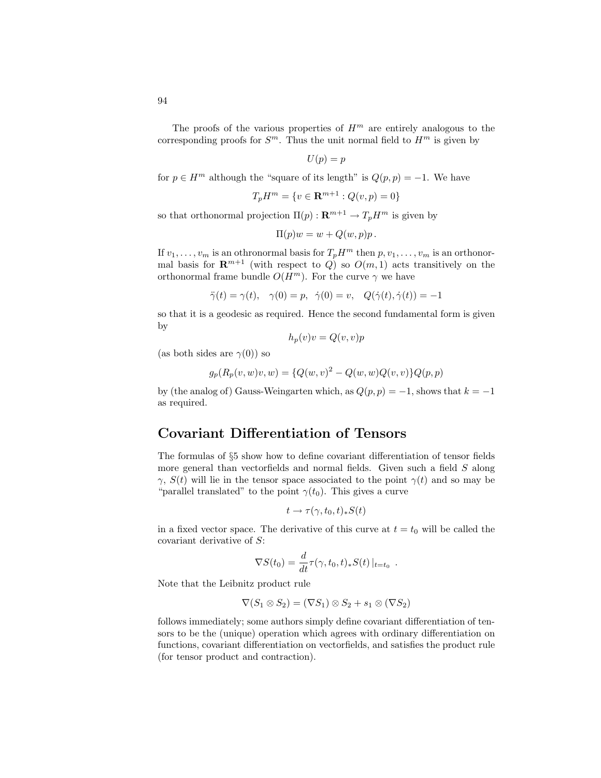The proofs of the various properties of  $H<sup>m</sup>$  are entirely analogous to the corresponding proofs for  $S^m$ . Thus the unit normal field to  $H^m$  is given by

$$
U(p) = p
$$

for  $p \in H^m$  although the "square of its length" is  $Q(p, p) = -1$ . We have

$$
T_p H^m = \{ v \in \mathbf{R}^{m+1} : Q(v, p) = 0 \}
$$

so that orthonormal projection  $\Pi(p) : \mathbf{R}^{m+1} \to T_p H^m$  is given by

$$
\Pi(p)w = w + Q(w, p)p.
$$

If  $v_1, \ldots, v_m$  is an othronormal basis for  $T_p H^m$  then  $p, v_1, \ldots, v_m$  is an orthonormal basis for  $\mathbf{R}^{m+1}$  (with respect to Q) so  $O(m, 1)$  acts transitively on the orthonormal frame bundle  $O(H^m)$ . For the curve  $\gamma$  we have

$$
\ddot{\gamma}(t) = \gamma(t), \quad \gamma(0) = p, \quad \dot{\gamma}(0) = v, \quad Q(\dot{\gamma}(t), \dot{\gamma}(t)) = -1
$$

so that it is a geodesic as required. Hence the second fundamental form is given by

$$
h_p(v)v = Q(v, v)p
$$

(as both sides are  $\gamma(0)$ ) so

$$
g_p(R_p(v, w)v, w) = \{Q(w, v)^2 - Q(w, w)Q(v, v)\}Q(p, p)
$$

by (the analog of) Gauss-Weingarten which, as  $Q(p, p) = -1$ , shows that  $k = -1$ as required.

#### Covariant Differentiation of Tensors

The formulas of §5 show how to define covariant differentiation of tensor fields more general than vectorfields and normal fields. Given such a field S along  $γ$ ,  $S(t)$  will lie in the tensor space associated to the point  $γ(t)$  and so may be "parallel translated" to the point  $\gamma(t_0)$ . This gives a curve

$$
t \to \tau(\gamma, t_0, t)_* S(t)
$$

in a fixed vector space. The derivative of this curve at  $t = t_0$  will be called the covariant derivative of S:

$$
\nabla S(t_0) = \frac{d}{dt} \tau(\gamma, t_0, t)_* S(t) |_{t=t_0}.
$$

Note that the Leibnitz product rule

$$
\nabla(S_1 \otimes S_2) = (\nabla S_1) \otimes S_2 + s_1 \otimes (\nabla S_2)
$$

follows immediately; some authors simply define covariant differentiation of tensors to be the (unique) operation which agrees with ordinary differentiation on functions, covariant differentiation on vectorfields, and satisfies the product rule (for tensor product and contraction).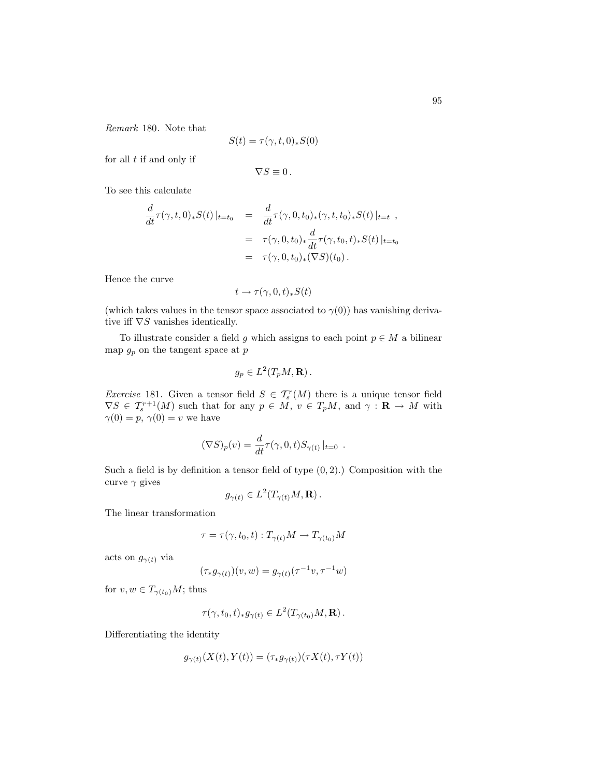Remark 180. Note that

$$
S(t) = \tau(\gamma, t, 0)_* S(0)
$$

for all  $t$  if and only if

$$
\nabla S\equiv 0\,.
$$

To see this calculate

$$
\frac{d}{dt}\tau(\gamma, t, 0)_*S(t)|_{t=t_0} = \frac{d}{dt}\tau(\gamma, 0, t_0)_*(\gamma, t, t_0)_*S(t)|_{t=t},
$$
\n
$$
= \tau(\gamma, 0, t_0)_*\frac{d}{dt}\tau(\gamma, t_0, t)_*S(t)|_{t=t_0}
$$
\n
$$
= \tau(\gamma, 0, t_0)_*(\nabla S)(t_0).
$$

Hence the curve

$$
t\to \tau(\gamma,0,t)_*S(t)
$$

(which takes values in the tensor space associated to  $\gamma(0)$ ) has vanishing derivative iff  $\nabla S$  vanishes identically.

To illustrate consider a field g which assigns to each point  $p \in M$  a bilinear map $g_p$  on the tangent space at  $p$ 

$$
g_p\in L^2(T_pM,\mathbf{R})\,.
$$

*Exercise* 181. Given a tensor field  $S \in \mathcal{T}_{s}^{r}(M)$  there is a unique tensor field  $\nabla S \in \mathcal{T}_{s}^{r+1}(M)$  such that for any  $p \in M$ ,  $v \in T_pM$ , and  $\gamma : \mathbf{R} \to M$  with  $\gamma(0) = p, \, \gamma(0) = v$  we have

$$
(\nabla S)_p(v) = \frac{d}{dt} \tau(\gamma, 0, t) S_{\gamma(t)} |_{t=0} .
$$

Such a field is by definition a tensor field of type  $(0, 2)$ .) Composition with the curve  $\gamma$  gives

$$
g_{\gamma(t)} \in L^2(T_{\gamma(t)}M, \mathbf{R})\,.
$$

The linear transformation

$$
\tau = \tau(\gamma, t_0, t) : T_{\gamma(t)}M \to T_{\gamma(t_0)}M
$$

acts on  $g_{\gamma(t)}$  via

$$
(\tau_*g_{\gamma(t)})(v,w)=g_{\gamma(t)}(\tau^{-1}v,\tau^{-1}w)
$$

for  $v, w \in T_{\gamma(t_0)}M$ ; thus

$$
\tau(\gamma, t_0, t)_*g_{\gamma(t)} \in L^2(T_{\gamma(t_0)}M, \mathbf{R}).
$$

Differentiating the identity

$$
g_{\gamma(t)}(X(t), Y(t)) = (\tau_* g_{\gamma(t)})(\tau X(t), \tau Y(t))
$$